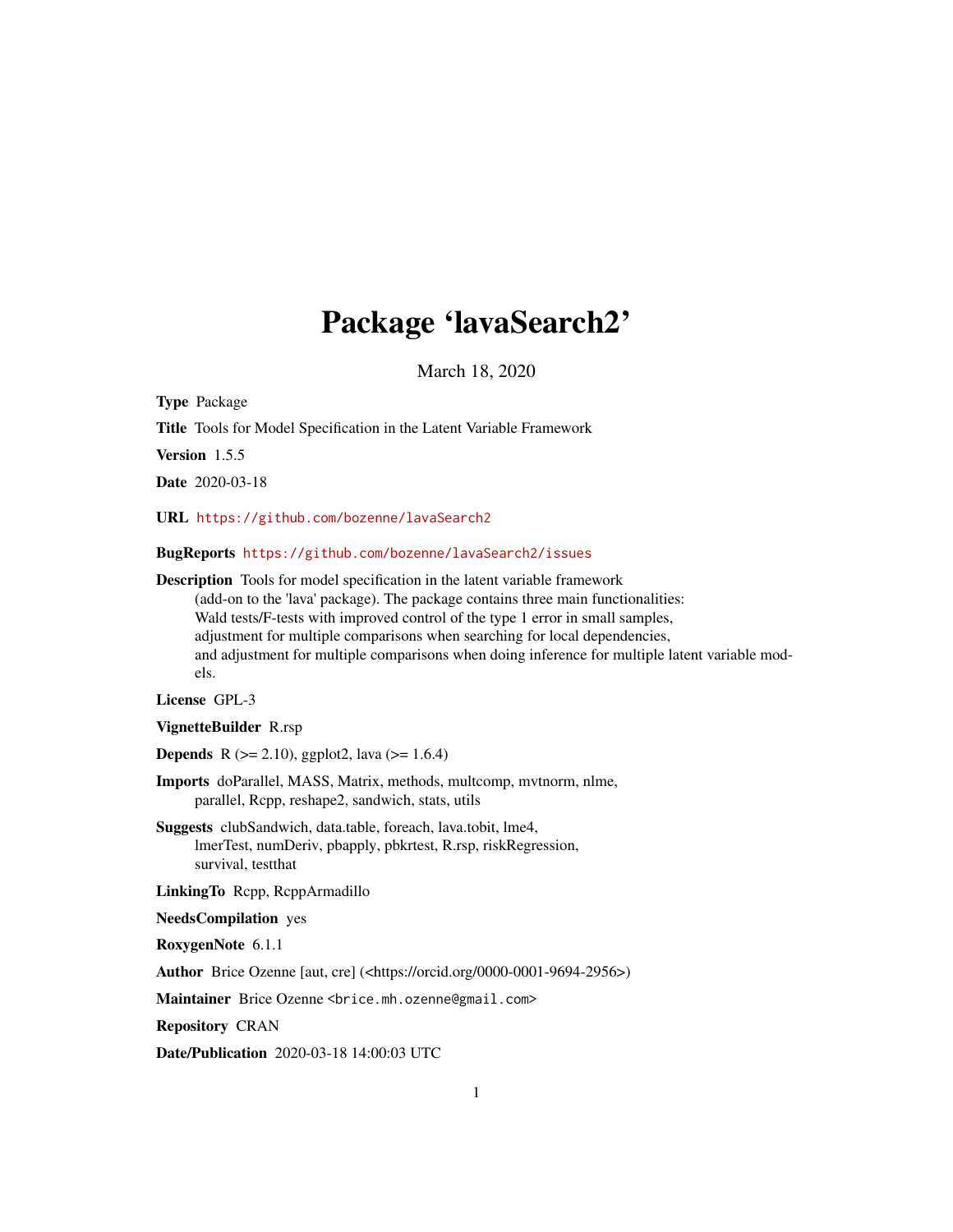# Package 'lavaSearch2'

March 18, 2020

Type Package

Title Tools for Model Specification in the Latent Variable Framework

Version 1.5.5

Date 2020-03-18

URL <https://github.com/bozenne/lavaSearch2>

BugReports <https://github.com/bozenne/lavaSearch2/issues>

Description Tools for model specification in the latent variable framework (add-on to the 'lava' package). The package contains three main functionalities: Wald tests/F-tests with improved control of the type 1 error in small samples, adjustment for multiple comparisons when searching for local dependencies, and adjustment for multiple comparisons when doing inference for multiple latent variable models.

License GPL-3

VignetteBuilder R.rsp

**Depends** R ( $>= 2.10$ ), ggplot2, lava ( $>= 1.6.4$ )

Imports doParallel, MASS, Matrix, methods, multcomp, mvtnorm, nlme, parallel, Rcpp, reshape2, sandwich, stats, utils

Suggests clubSandwich, data.table, foreach, lava.tobit, lme4, lmerTest, numDeriv, pbapply, pbkrtest, R.rsp, riskRegression, survival, testthat

LinkingTo Rcpp, RcppArmadillo

NeedsCompilation yes

RoxygenNote 6.1.1

Author Brice Ozenne [aut, cre] (<https://orcid.org/0000-0001-9694-2956>)

Maintainer Brice Ozenne <brice.mh.ozenne@gmail.com>

Repository CRAN

Date/Publication 2020-03-18 14:00:03 UTC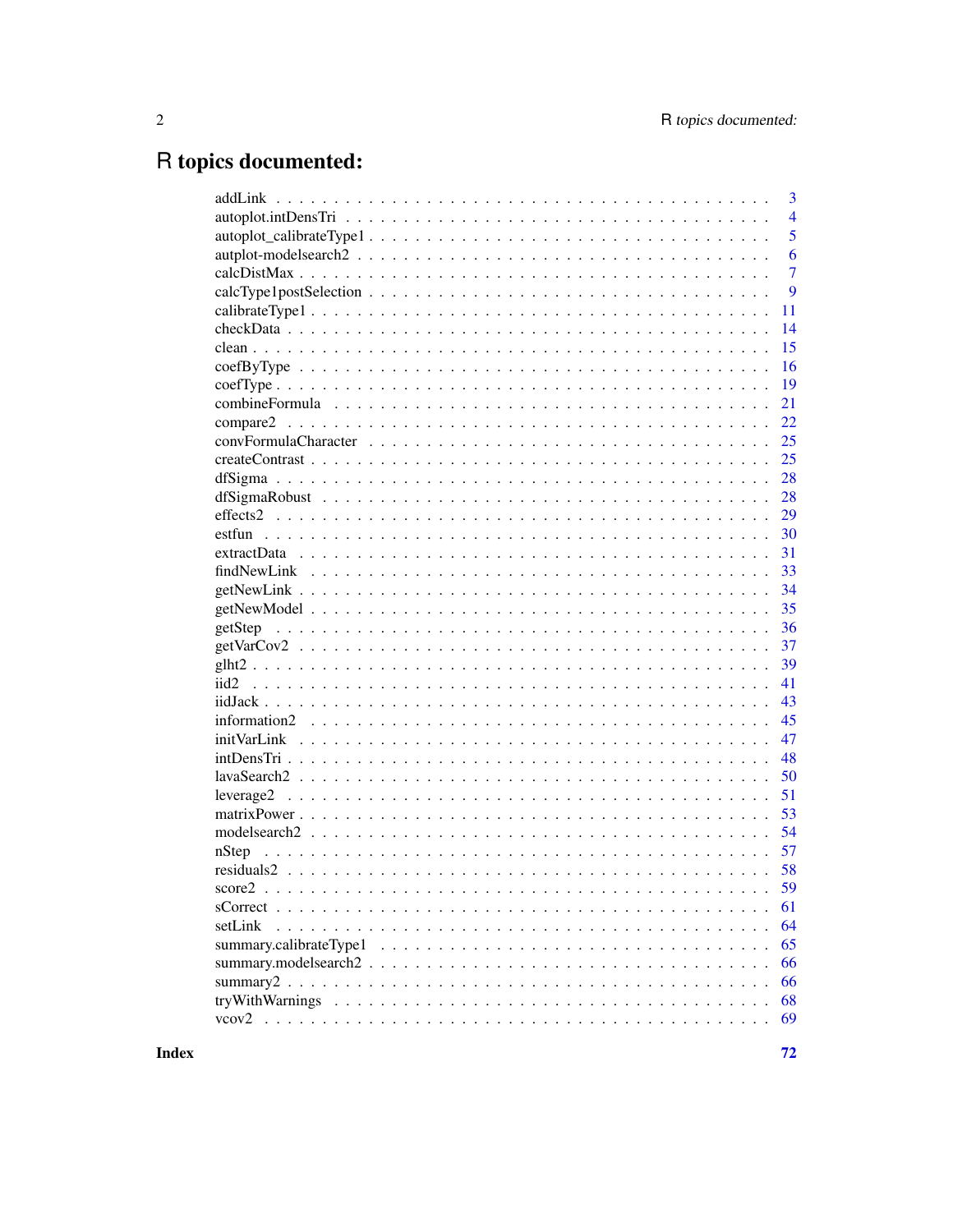# R topics documented:

|                                                                                                                                                                                                                                                          | 3              |
|----------------------------------------------------------------------------------------------------------------------------------------------------------------------------------------------------------------------------------------------------------|----------------|
|                                                                                                                                                                                                                                                          | $\overline{4}$ |
|                                                                                                                                                                                                                                                          | 5              |
|                                                                                                                                                                                                                                                          | 6              |
|                                                                                                                                                                                                                                                          | $\overline{7}$ |
|                                                                                                                                                                                                                                                          | 9              |
|                                                                                                                                                                                                                                                          | 11             |
|                                                                                                                                                                                                                                                          | 14             |
|                                                                                                                                                                                                                                                          | 15             |
|                                                                                                                                                                                                                                                          | 16             |
|                                                                                                                                                                                                                                                          | 19             |
|                                                                                                                                                                                                                                                          | 21             |
|                                                                                                                                                                                                                                                          | 22             |
|                                                                                                                                                                                                                                                          | 25             |
|                                                                                                                                                                                                                                                          | 25             |
|                                                                                                                                                                                                                                                          | 28             |
|                                                                                                                                                                                                                                                          | 28             |
|                                                                                                                                                                                                                                                          | 29             |
|                                                                                                                                                                                                                                                          | 30             |
|                                                                                                                                                                                                                                                          |                |
|                                                                                                                                                                                                                                                          | 33             |
|                                                                                                                                                                                                                                                          |                |
|                                                                                                                                                                                                                                                          | 35             |
|                                                                                                                                                                                                                                                          | 36             |
|                                                                                                                                                                                                                                                          | 37             |
|                                                                                                                                                                                                                                                          | 39             |
|                                                                                                                                                                                                                                                          | 41             |
|                                                                                                                                                                                                                                                          | 43             |
|                                                                                                                                                                                                                                                          | 45             |
|                                                                                                                                                                                                                                                          | 47             |
|                                                                                                                                                                                                                                                          | 48             |
|                                                                                                                                                                                                                                                          | 50             |
|                                                                                                                                                                                                                                                          | 51             |
|                                                                                                                                                                                                                                                          | 53             |
|                                                                                                                                                                                                                                                          |                |
|                                                                                                                                                                                                                                                          | 57             |
|                                                                                                                                                                                                                                                          |                |
| score <sub>2</sub><br>$\mathcal{L}$ , and a set of the set of the set of the set of the set of the set of the set of the set of the set of the set of the set of the set of the set of the set of the set of the set of the set of the set of the set of | 59             |
|                                                                                                                                                                                                                                                          | 61             |
| setLink                                                                                                                                                                                                                                                  | 64             |
|                                                                                                                                                                                                                                                          | 65             |
|                                                                                                                                                                                                                                                          | 66             |
|                                                                                                                                                                                                                                                          | 66             |
|                                                                                                                                                                                                                                                          | 68             |
|                                                                                                                                                                                                                                                          | 69             |
|                                                                                                                                                                                                                                                          |                |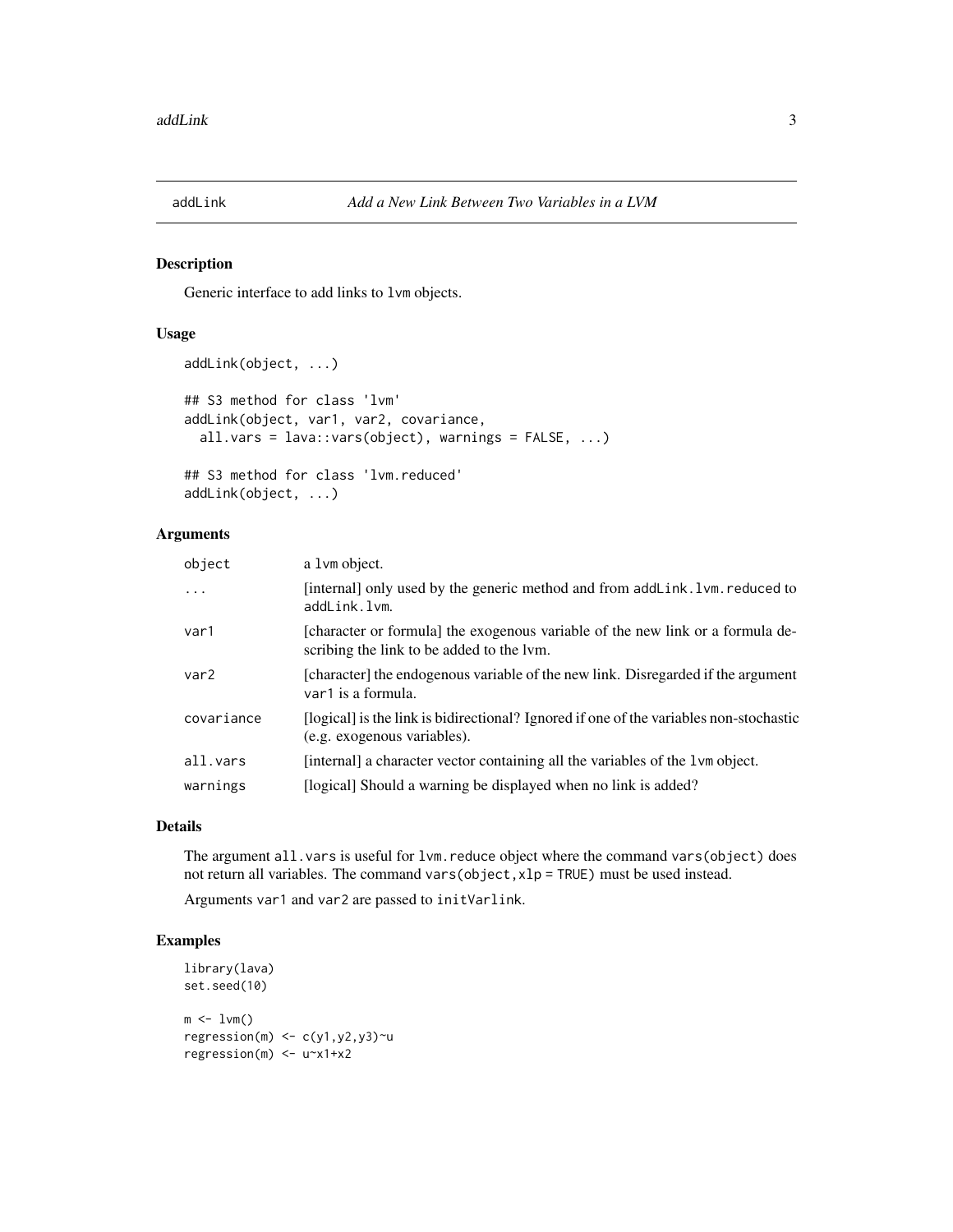<span id="page-2-0"></span>

Generic interface to add links to lvm objects.

## Usage

```
addLink(object, ...)
## S3 method for class 'lvm'
addLink(object, var1, var2, covariance,
  all.vars = lava::vars(object), warnings = FALSE, ...)
## S3 method for class 'lvm.reduced'
```
addLink(object, ...)

## Arguments

| object           | a 1 vm object.                                                                                                              |
|------------------|-----------------------------------------------------------------------------------------------------------------------------|
| $\ddots$         | [internal] only used by the generic method and from addLink. 1 vm. reduced to<br>addLink.lvm.                               |
| var1             | [character or formula] the exogenous variable of the new link or a formula de-<br>scribing the link to be added to the lym. |
| var <sub>2</sub> | [character] the endogenous variable of the new link. Disregarded if the argument<br>var1 is a formula.                      |
| covariance       | [logical] is the link is bidirectional? Ignored if one of the variables non-stochastic<br>(e.g. exogenous variables).       |
| all.vars         | [internal] a character vector containing all the variables of the 1 vm object.                                              |
| warnings         | [logical] Should a warning be displayed when no link is added?                                                              |
|                  |                                                                                                                             |

## Details

The argument all. vars is useful for lvm. reduce object where the command vars(object) does not return all variables. The command vars(object,xlp = TRUE) must be used instead.

Arguments var1 and var2 are passed to initVarlink.

```
library(lava)
set.seed(10)
m \leftarrow 1 \vee m()regression(m) \leq c(y1,y2,y3)\simu
regression(m) <- u~x1+x2
```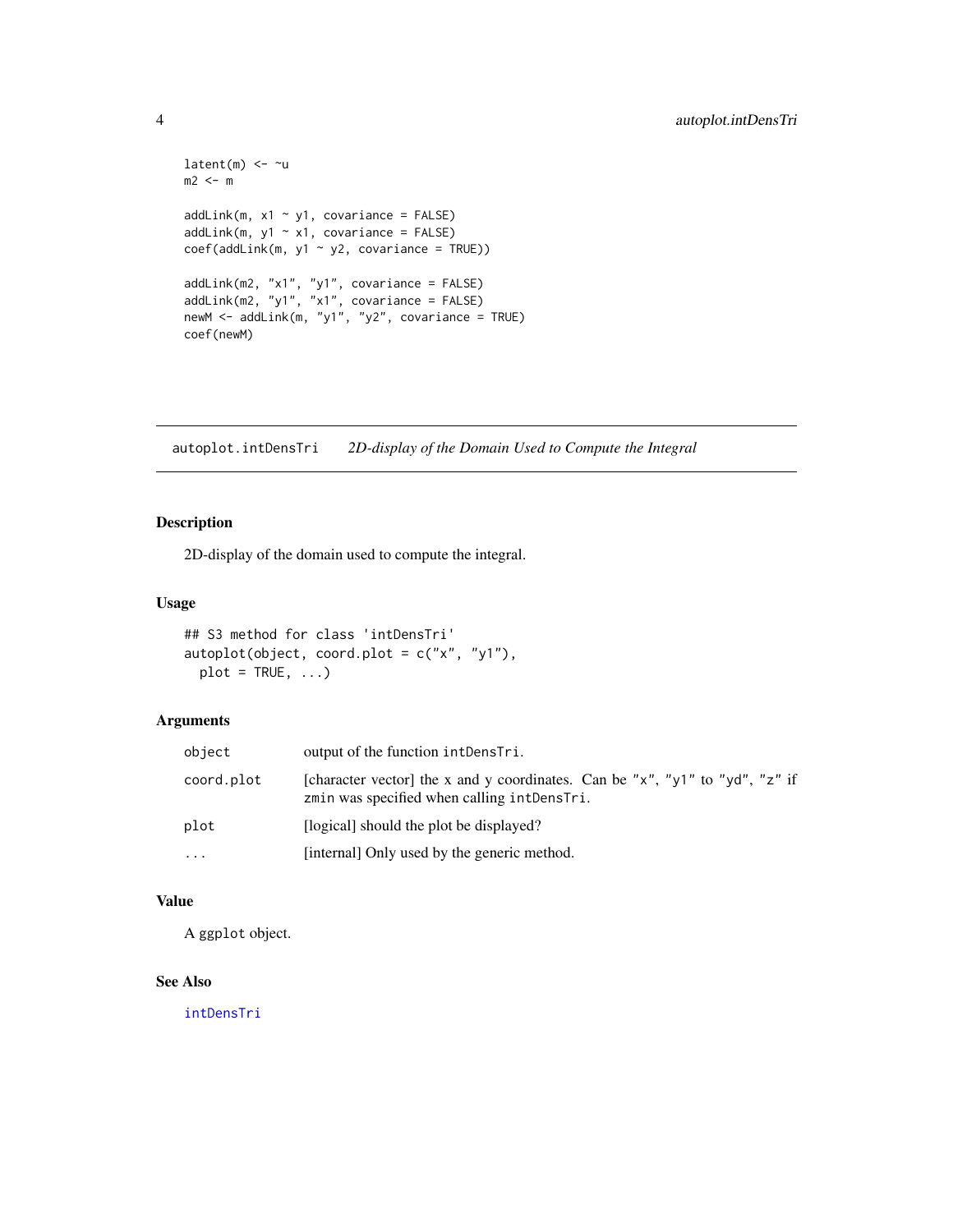```
latent(m) <- ~u
m2 < - maddLink(m, x1 ~ ~ y1, covariance = FALSE)addLink(m, y1 \sim x1, covariance = FALSE)coef(addLink(m, y1 ~ y2, covariance = TRUE))addLink(m2, "x1", "y1", covariance = FALSE)
addLink(m2, "y1", "x1", covariance = FALSE)
newM <- addLink(m, "y1", "y2", covariance = TRUE)
coef(newM)
```
autoplot.intDensTri *2D-display of the Domain Used to Compute the Integral*

## Description

2D-display of the domain used to compute the integral.

## Usage

```
## S3 method for class 'intDensTri'
autoplot(object, coord.plot = c("x", "y1"),
 plot = TRUE, ...
```
# Arguments

| object     | output of the function intDensTri.                                                                                          |
|------------|-----------------------------------------------------------------------------------------------------------------------------|
| coord.plot | [character vector] the x and y coordinates. Can be "x", "y1" to "yd", "z" if<br>zmin was specified when calling intDensTri. |
| plot       | [logical] should the plot be displayed?                                                                                     |
| $\cdots$   | [internal] Only used by the generic method.                                                                                 |

# Value

A ggplot object.

## See Also

[intDensTri](#page-47-1)

<span id="page-3-0"></span>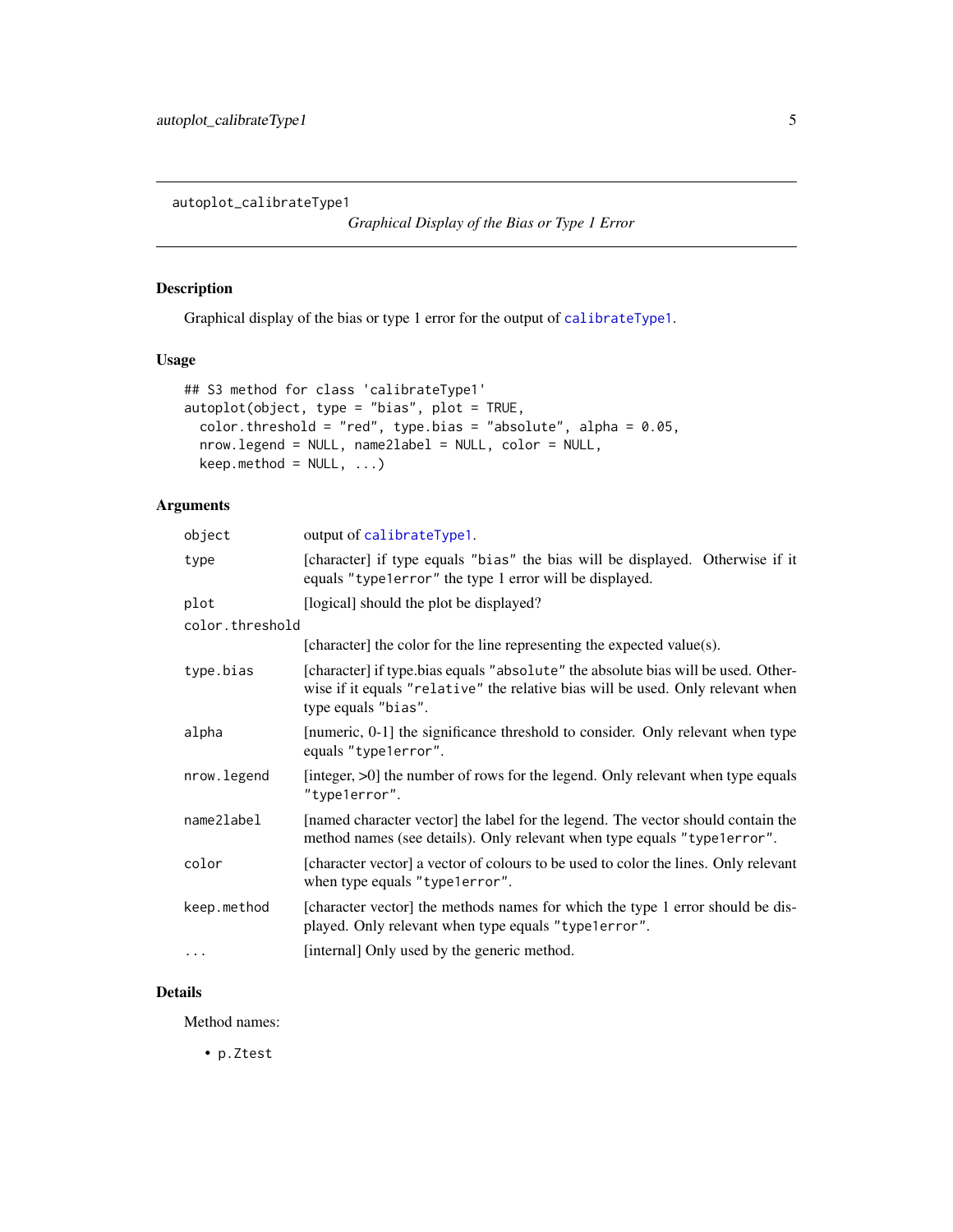<span id="page-4-0"></span>autoplot\_calibrateType1

*Graphical Display of the Bias or Type 1 Error*

# Description

Graphical display of the bias or type 1 error for the output of [calibrateType1](#page-10-1).

## Usage

```
## S3 method for class 'calibrateType1'
autoplot(object, type = "bias", plot = TRUE,
 color.threshold = "red", type.bias = "absolute", alpha = 0.05,
 nrow.legend = NULL, name2label = NULL, color = NULL,
 keep.method = NULL, ...)
```
# Arguments

| object          | output of calibrateType1.                                                                                                                                                                   |
|-----------------|---------------------------------------------------------------------------------------------------------------------------------------------------------------------------------------------|
| type            | [character] if type equals "bias" the bias will be displayed. Otherwise if it<br>equals "type1error" the type 1 error will be displayed.                                                    |
| plot            | [logical] should the plot be displayed?                                                                                                                                                     |
| color.threshold |                                                                                                                                                                                             |
|                 | [character] the color for the line representing the expected value(s).                                                                                                                      |
| type.bias       | [character] if type.bias equals "absolute" the absolute bias will be used. Other-<br>wise if it equals "relative" the relative bias will be used. Only relevant when<br>type equals "bias". |
| alpha           | [numeric, 0-1] the significance threshold to consider. Only relevant when type<br>equals "type1error".                                                                                      |
| nrow.legend     | [integer, >0] the number of rows for the legend. Only relevant when type equals<br>"type1error".                                                                                            |
| name2label      | [named character vector] the label for the legend. The vector should contain the<br>method names (see details). Only relevant when type equals "type1error".                                |
| color           | [character vector] a vector of colours to be used to color the lines. Only relevant<br>when type equals "type1error".                                                                       |
| keep.method     | [character vector] the methods names for which the type 1 error should be dis-<br>played. Only relevant when type equals "type1error".                                                      |
| $\cdots$        | [internal] Only used by the generic method.                                                                                                                                                 |
|                 |                                                                                                                                                                                             |

# Details

Method names:

• p.Ztest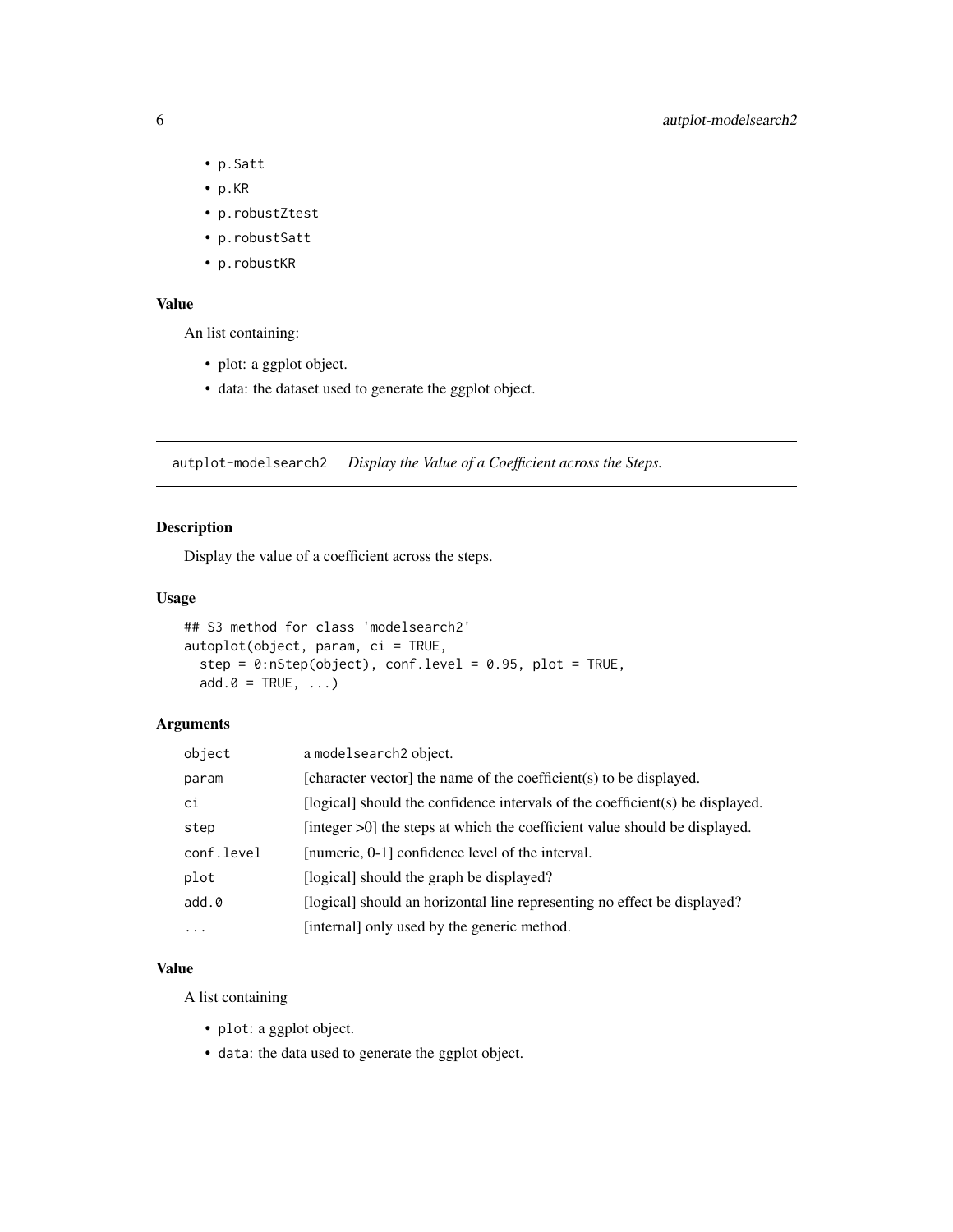- p.Satt
- p.KR
- p.robustZtest
- p.robustSatt
- p.robustKR

## Value

An list containing:

- plot: a ggplot object.
- data: the dataset used to generate the ggplot object.

autplot-modelsearch2 *Display the Value of a Coefficient across the Steps.*

# Description

Display the value of a coefficient across the steps.

# Usage

```
## S3 method for class 'modelsearch2'
autoplot(object, param, ci = TRUE,
  step = 0:nStep(object), conf.level = 0.95, plot = TRUE,
  add.0 = TRUE, ...)
```
# Arguments

| object     | a modelsearch <sub>2</sub> object.                                            |
|------------|-------------------------------------------------------------------------------|
| param      | [character vector] the name of the coefficient(s) to be displayed.            |
| ci         | [logical] should the confidence intervals of the coefficient(s) be displayed. |
| step       | [integer $>0$ ] the steps at which the coefficient value should be displayed. |
| conf.level | [numeric, 0-1] confidence level of the interval.                              |
| plot       | [logical] should the graph be displayed?                                      |
| add.0      | [logical] should an horizontal line representing no effect be displayed?      |
| $\cdots$   | [internal] only used by the generic method.                                   |

## Value

A list containing

- plot: a ggplot object.
- data: the data used to generate the ggplot object.

<span id="page-5-0"></span>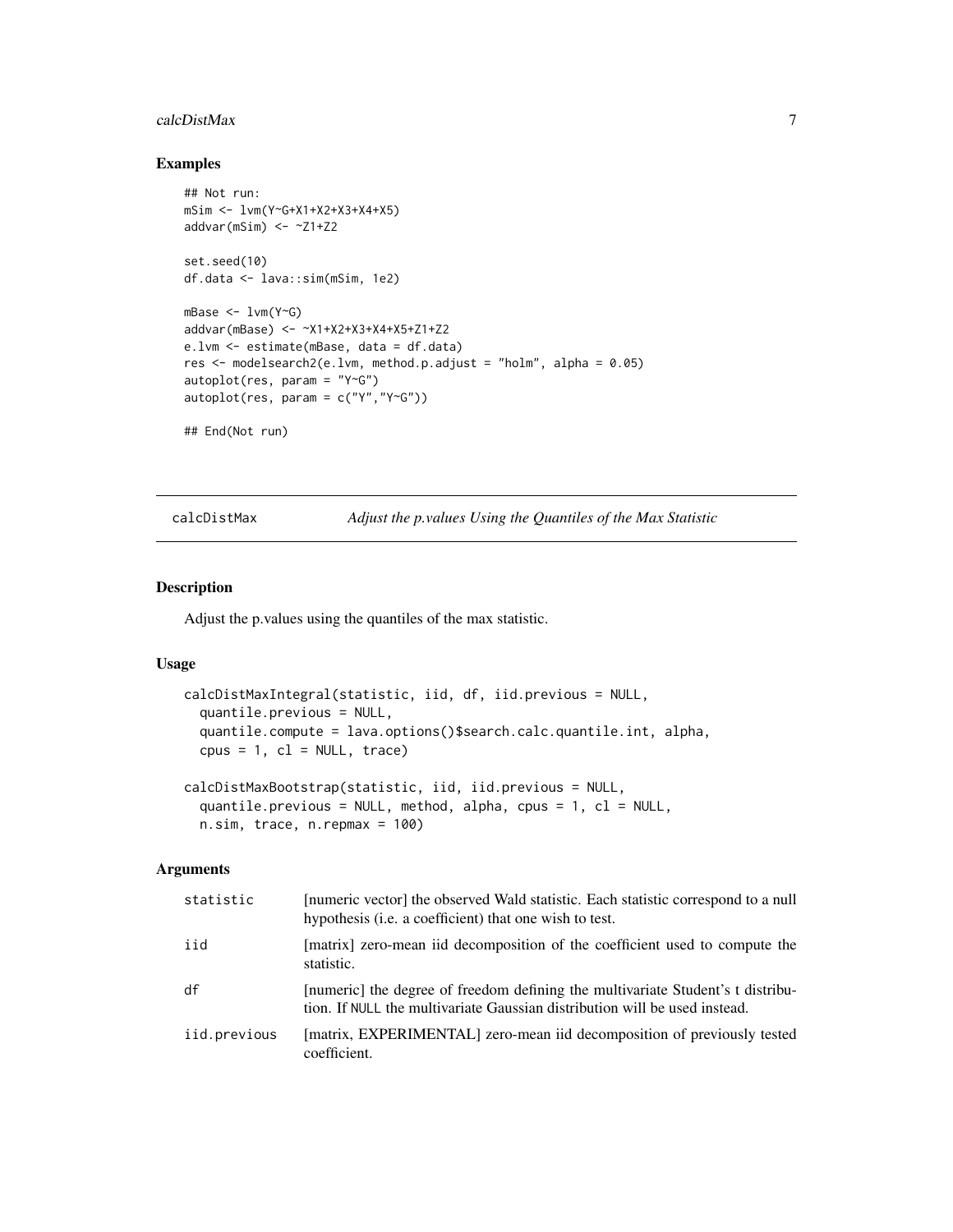#### <span id="page-6-0"></span>calcDistMax 7

# Examples

```
## Not run:
mSim <- lvm(Y~G+X1+X2+X3+X4+X5)
addvar(mSim) <- ~Z1+Z2
set.seed(10)
df.data <- lava::sim(mSim, 1e2)
mBase < -1vm(Y<sup>o</sup>G)addvar(mBase) <- ~X1+X2+X3+X4+X5+Z1+Z2
e.lvm <- estimate(mBase, data = df.data)
res <- modelsearch2(e.lvm, method.p.adjust = "holm", alpha = 0.05)
autoplot(res, param = "Y~G")
autoplot(res, param = c("Y", "Y~G"))## End(Not run)
```
calcDistMax *Adjust the p.values Using the Quantiles of the Max Statistic*

## Description

Adjust the p.values using the quantiles of the max statistic.

#### Usage

```
calcDistMaxIntegral(statistic, iid, df, iid.previous = NULL,
  quantile.previous = NULL,
  quantile.compute = lava.options()$search.calc.quantile.int, alpha,
  cpus = 1, c1 = NULL, trace)calcDistMaxBootstrap(statistic, iid, iid.previous = NULL,
  quantile.previous = NULL, method, alpha, cpus = 1, cl = NULL,
 n.sim, trace, n.repmax = 100)
```

| statistic    | [numeric vector] the observed Wald statistic. Each statistic correspond to a null<br>hypothesis ( <i>i.e.</i> a coefficient) that one wish to test.           |
|--------------|---------------------------------------------------------------------------------------------------------------------------------------------------------------|
| iid          | [matrix] zero-mean iid decomposition of the coefficient used to compute the<br>statistic.                                                                     |
| df           | [numeric] the degree of freedom defining the multivariate Student's t distribu-<br>tion. If NULL the multivariate Gaussian distribution will be used instead. |
| iid.previous | [matrix, EXPERIMENTAL] zero-mean iid decomposition of previously tested<br>coefficient.                                                                       |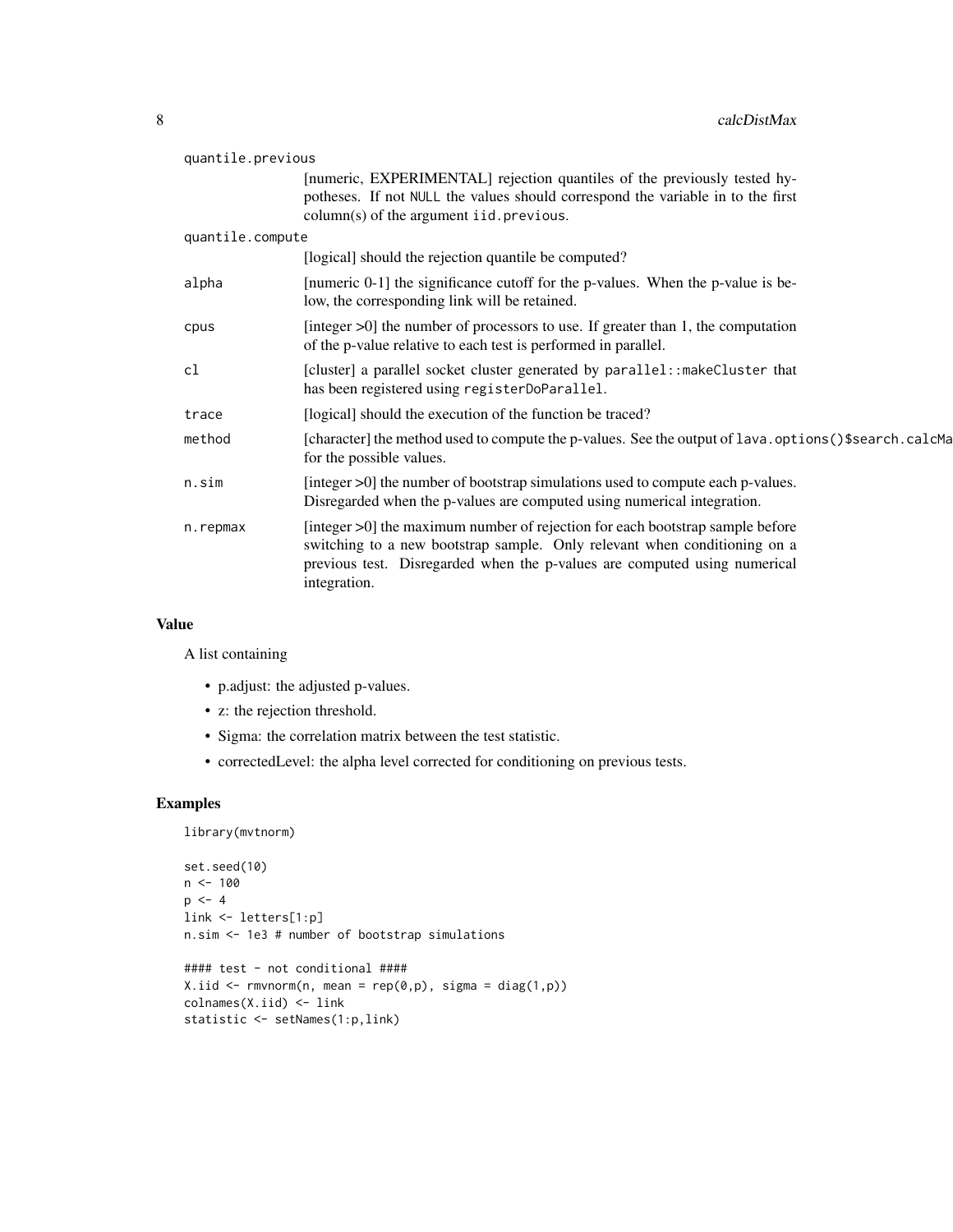| quantile.previous |                                                                                                                                                                                                                                                         |  |
|-------------------|---------------------------------------------------------------------------------------------------------------------------------------------------------------------------------------------------------------------------------------------------------|--|
|                   | [numeric, EXPERIMENTAL] rejection quantiles of the previously tested hy-<br>potheses. If not NULL the values should correspond the variable in to the first<br>$column(s)$ of the argument iid. previous.                                               |  |
| quantile.compute  |                                                                                                                                                                                                                                                         |  |
|                   | [logical] should the rejection quantile be computed?                                                                                                                                                                                                    |  |
| alpha             | [numeric 0-1] the significance cutoff for the p-values. When the p-value is be-<br>low, the corresponding link will be retained.                                                                                                                        |  |
| cpus              | [integer $>0$ ] the number of processors to use. If greater than 1, the computation<br>of the p-value relative to each test is performed in parallel.                                                                                                   |  |
| cl                | [cluster] a parallel socket cluster generated by parallel:: makeCluster that<br>has been registered using registerDoParallel.                                                                                                                           |  |
| trace             | [logical] should the execution of the function be traced?                                                                                                                                                                                               |  |
| method            | [character] the method used to compute the p-values. See the output of lava.options()\$search.calcMa<br>for the possible values.                                                                                                                        |  |
| n.sim             | [integer >0] the number of bootstrap simulations used to compute each p-values.<br>Disregarded when the p-values are computed using numerical integration.                                                                                              |  |
| n.repmax          | [integer >0] the maximum number of rejection for each bootstrap sample before<br>switching to a new bootstrap sample. Only relevant when conditioning on a<br>previous test. Disregarded when the p-values are computed using numerical<br>integration. |  |

# Value

A list containing

- p.adjust: the adjusted p-values.
- z: the rejection threshold.
- Sigma: the correlation matrix between the test statistic.
- correctedLevel: the alpha level corrected for conditioning on previous tests.

```
library(mvtnorm)
```

```
set.seed(10)
n < - 100p \le -4link <- letters[1:p]
n.sim <- 1e3 # number of bootstrap simulations
```

```
#### test - not conditional ####
X.iid <- rmvnorm(n, mean = rep(0,p), sigma = diag(1,p))
colnames(X.iid) <- link
statistic <- setNames(1:p,link)
```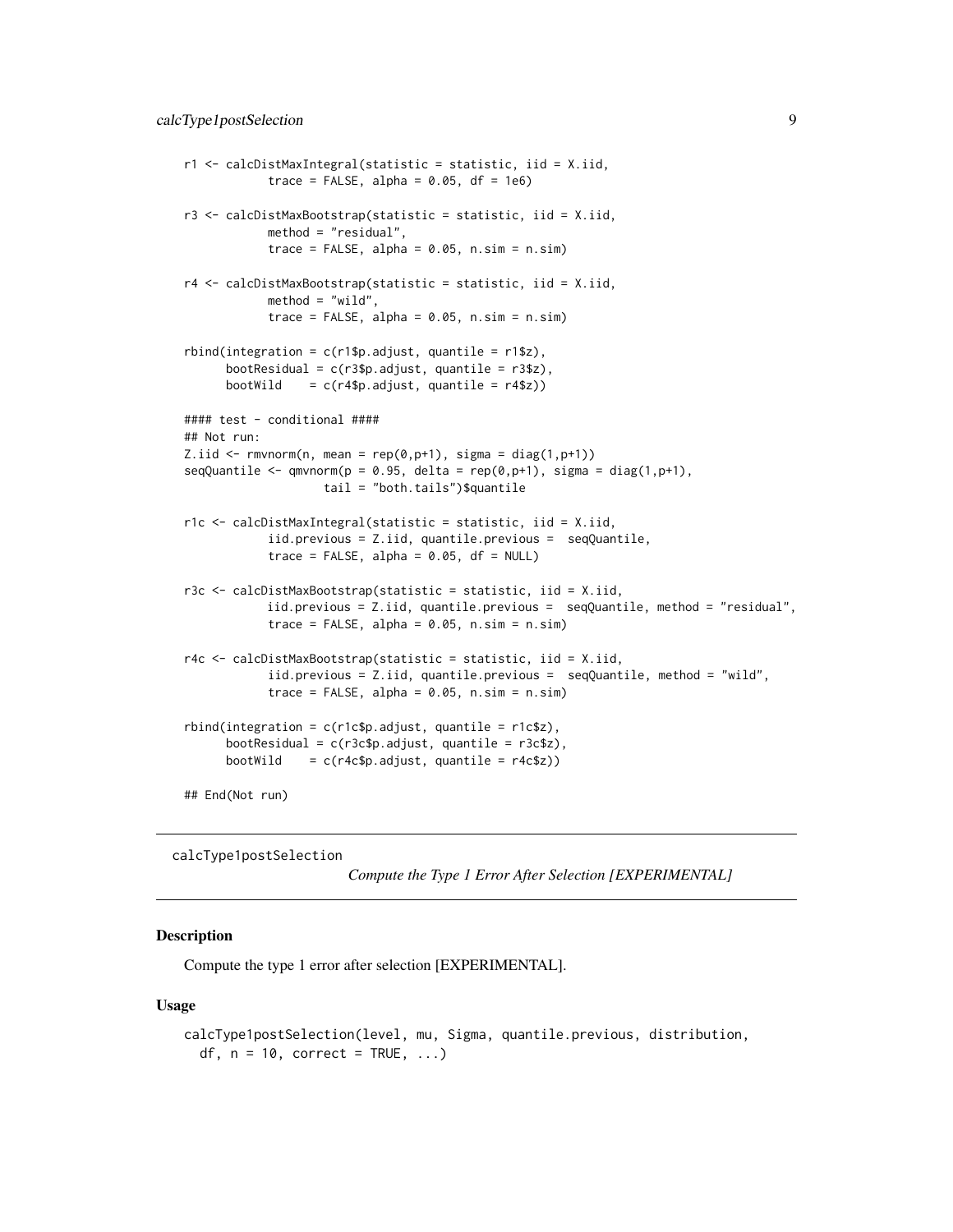```
r1 <- calcDistMaxIntegral(statistic = statistic, iid = X.iid,
            trace = FALSE, alpha = 0.05, df = 1e6)
r3 <- calcDistMaxBootstrap(statistic = statistic, iid = X.iid,
            method = "residual",
            trace = FALSE, alpha = 0.05, n \sin = n \sin)
r4 <- calcDistMaxBootstrap(statistic = statistic, iid = X.iid,
            method = "wild".trace = FALSE, alpha = 0.05, n \sin = n \sin)
rbind(integration = c(r1$p.addjust, quantile = r1$z),bootResidual = c(r3$p.addjust, quantile = r3$z),
     bootWild = c(r4\p.adjust, quantile = r4\z))
#### test - conditional ####
## Not run:
Z.iid \le rmvnorm(n, mean = rep(0,p+1), sigma = diag(1,p+1))
seqQuantile <- qmvnorm(p = 0.95, delta = rep(\theta,p+1), sigma = diag(1, p+1),
                    tail = "both.tails")$quantile
r1c <- calcDistMaxIntegral(statistic = statistic, iid = X.iid,
            iid.previous = Z.iid, quantile.previous = seqQuantile,
            trace = FALSE, alpha = 0.05, df = NULL)r3c <- calcDistMaxBootstrap(statistic = statistic, iid = X.iid,
            iid.previous = Z.iid, quantile.previous = seqQuantile, method = "residual",
            trace = FALSE, alpha = 0.05, n \sin = n \sin)
r4c <- calcDistMaxBootstrap(statistic = statistic, iid = X.iid,
            iid.previous = Z.iid, quantile.previous = seqQuantile, method = "wild",
            trace = FALSE, alpha = 0.05, n \sin = n \sin)
rbind(integration = c(r1c$p.adjust, quantile = r1c$z),
      bootResidual = c(r3c$p.adjust, quantile = r3c$z),
     bootWild = c(r4c$p.addjust, quantile = r4c$z))## End(Not run)
```
calcType1postSelection

```
Compute the Type 1 Error After Selection [EXPERIMENTAL]
```
## Description

Compute the type 1 error after selection [EXPERIMENTAL].

#### Usage

```
calcType1postSelection(level, mu, Sigma, quantile.previous, distribution,
  df, n = 10, correct = TRUE, ...)
```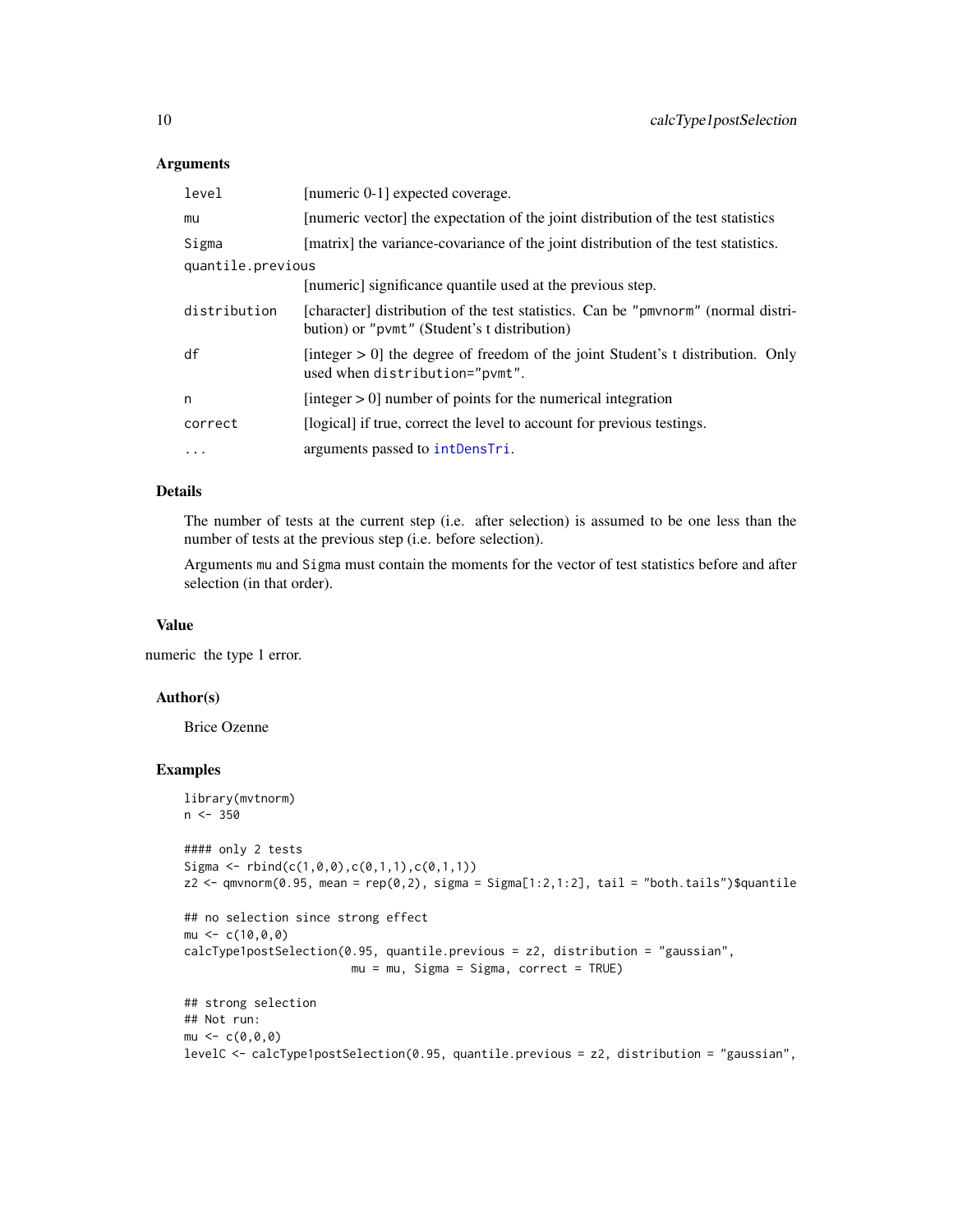#### Arguments

| level             | [numeric 0-1] expected coverage.                                                                                                  |
|-------------------|-----------------------------------------------------------------------------------------------------------------------------------|
| mu                | [numeric vector] the expectation of the joint distribution of the test statistics                                                 |
| Sigma             | [matrix] the variance-covariance of the joint distribution of the test statistics.                                                |
| quantile.previous |                                                                                                                                   |
|                   | [numeric] significance quantile used at the previous step.                                                                        |
| distribution      | [character] distribution of the test statistics. Can be "pmvnorm" (normal distri-<br>bution) or "pvmt" (Student's t distribution) |
| df                | [integer $> 0$ ] the degree of freedom of the joint Student's t distribution. Only<br>used when distribution="pvmt".              |
| n                 | [integer $> 0$ ] number of points for the numerical integration                                                                   |
| correct           | [logical] if true, correct the level to account for previous testings.                                                            |
| $\ddotsc$         | arguments passed to intDensTri.                                                                                                   |

## Details

The number of tests at the current step (i.e. after selection) is assumed to be one less than the number of tests at the previous step (i.e. before selection).

Arguments mu and Sigma must contain the moments for the vector of test statistics before and after selection (in that order).

#### Value

numeric the type 1 error.

## Author(s)

Brice Ozenne

```
library(mvtnorm)
n < -350#### only 2 tests
Sigma \le rbind(c(1,0,0),c(0,1,1),c(0,1,1))
z2 <- qmvnorm(0.95, mean = rep(0,2), sigma = Sigma[1:2,1:2], tail = "both.tails")$quantile
## no selection since strong effect
mu < -c(10, 0, 0)calcType1postSelection(0.95, quantile.previous = z2, distribution = "gaussian",
                        mu = mu, Sigma = Sigma, correct = TRUE)
## strong selection
## Not run:
mu < -c(0, 0, 0)levelC <- calcType1postSelection(0.95, quantile.previous = z2, distribution = "gaussian",
```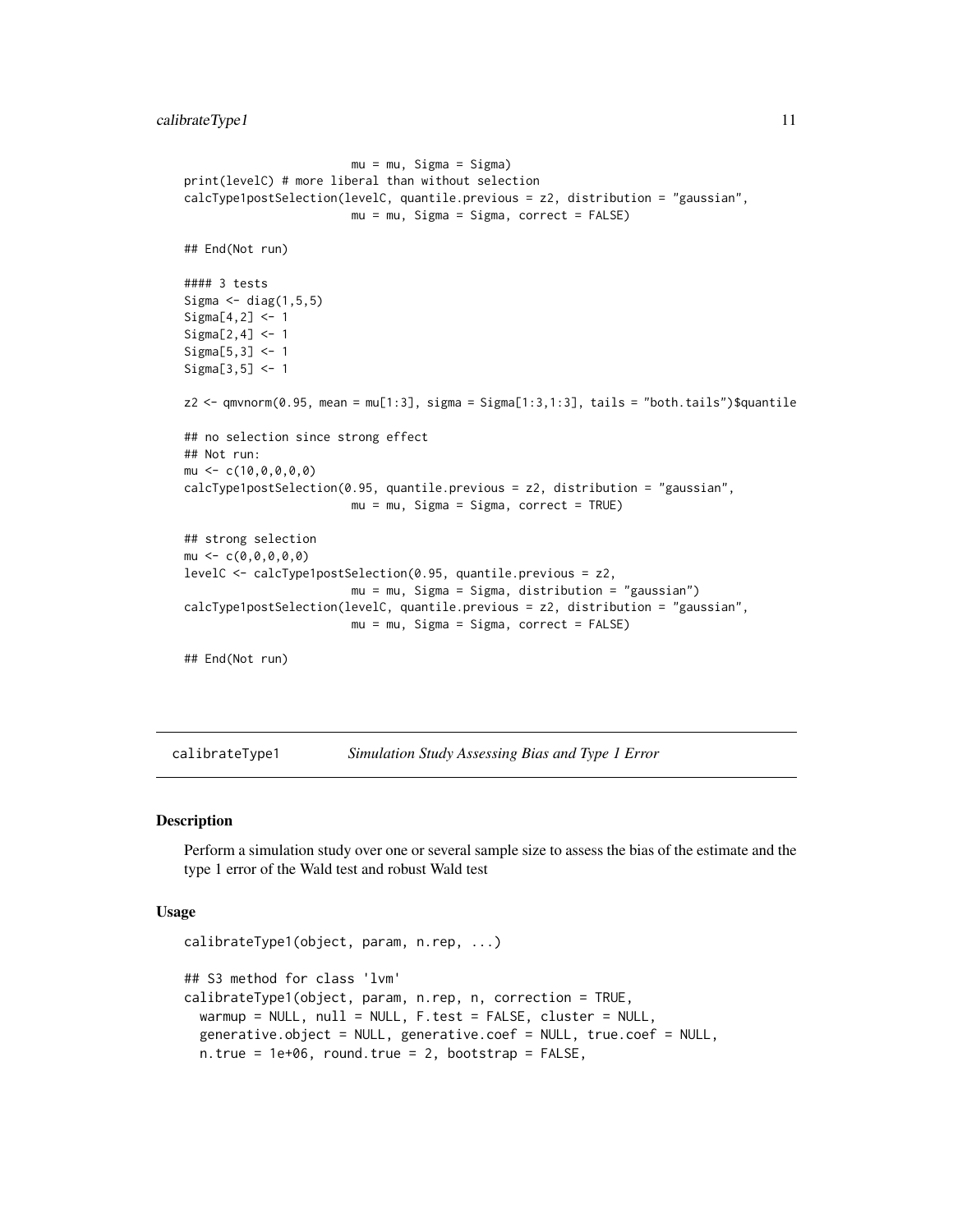```
mu = mu, Sigma = Sigma)
print(levelC) # more liberal than without selection
calcType1postSelection(levelC, quantile.previous = z2, distribution = "gaussian",
                        mu = mu, Sigma = Sigma, correct = FALSE)
## End(Not run)
#### 3 tests
Sigma \leq diag(1,5,5)
Sigma[4,2] <- 1
Sigma[2,4] < -1Sigma[5,3] <- 1
Sigma[3,5] <- 1
z2 <- qmvnorm(0.95, mean = mu[1:3], sigma = Sigma[1:3,1:3], tails = "both.tails")$quantile
## no selection since strong effect
## Not run:
mu \leftarrow c(10, 0, 0, 0, 0)calcType1postSelection(0.95, quantile.previous = z2, distribution = "gaussian",
                        mu = mu, Sigma = Sigma, correct = TRUE)
## strong selection
mu \leq -c(0,0,0,0,0)levelC <- calcType1postSelection(0.95, quantile.previous = z2,
                        mu = mu, Sigma = Sigma, distribution = "gaussian")
calcType1postSelection(levelC, quantile.previous = z2, distribution = "gaussian",
                        mu = mu, Sigma = Sigma, correct = FALSE)
## End(Not run)
```
<span id="page-10-1"></span>calibrateType1 *Simulation Study Assessing Bias and Type 1 Error*

## Description

Perform a simulation study over one or several sample size to assess the bias of the estimate and the type 1 error of the Wald test and robust Wald test

#### Usage

```
calibrateType1(object, param, n.rep, ...)
## S3 method for class 'lvm'
calibrateType1(object, param, n.rep, n, correction = TRUE,
 warmup = NULL, null = NULL, F.test = FALSE, cluster = NULL,
  generative.object = NULL, generative.coef = NULL, true.coef = NULL,
  n. true = 1e+06, round.true = 2, bootstrap = FALSE,
```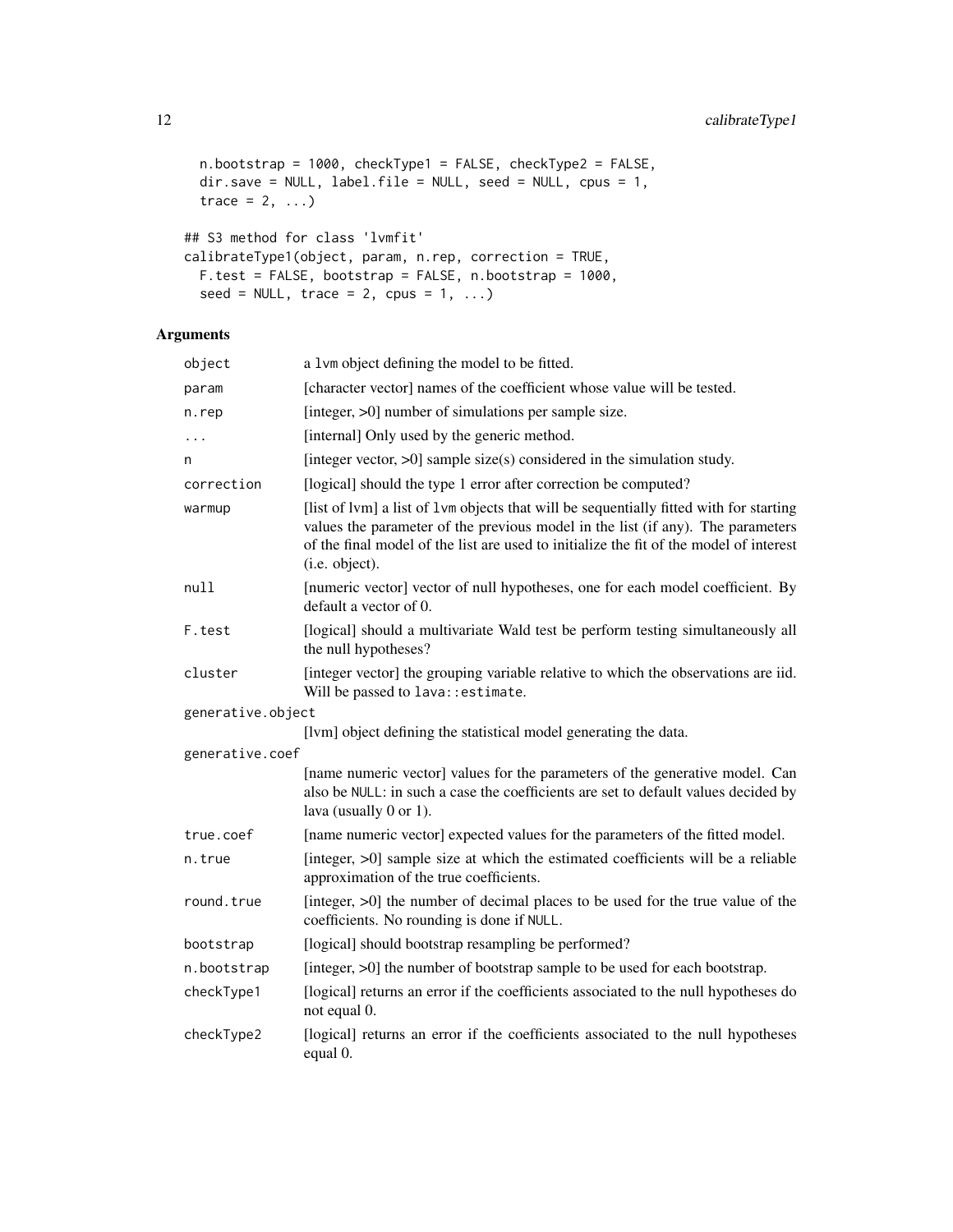```
n.bootstrap = 1000, checkType1 = FALSE, checkType2 = FALSE,
dir.save = NULL, label.file = NULL, seed = NULL, cpus = 1,
trace = 2, ...)
```

```
## S3 method for class 'lvmfit'
calibrateType1(object, param, n.rep, correction = TRUE,
 F.test = FALSE, bootstrap = FALSE, n.bootstrap = 1000,
 seed = NULL, trace = 2, cpus = 1, ...)
```

| object            | a 1vm object defining the model to be fitted.                                                                                                                                                                                                                                         |
|-------------------|---------------------------------------------------------------------------------------------------------------------------------------------------------------------------------------------------------------------------------------------------------------------------------------|
| param             | [character vector] names of the coefficient whose value will be tested.                                                                                                                                                                                                               |
| n.rep             | [integer, >0] number of simulations per sample size.                                                                                                                                                                                                                                  |
|                   | [internal] Only used by the generic method.                                                                                                                                                                                                                                           |
| n                 | [integer vector, $>0$ ] sample size(s) considered in the simulation study.                                                                                                                                                                                                            |
| correction        | [logical] should the type 1 error after correction be computed?                                                                                                                                                                                                                       |
| warmup            | [list of lvm] a list of lvm objects that will be sequentially fitted with for starting<br>values the parameter of the previous model in the list (if any). The parameters<br>of the final model of the list are used to initialize the fit of the model of interest<br>(i.e. object). |
| null              | [numeric vector] vector of null hypotheses, one for each model coefficient. By<br>default a vector of 0.                                                                                                                                                                              |
| F.test            | [logical] should a multivariate Wald test be perform testing simultaneously all<br>the null hypotheses?                                                                                                                                                                               |
| cluster           | [integer vector] the grouping variable relative to which the observations are iid.<br>Will be passed to lava: : estimate.                                                                                                                                                             |
| generative.object |                                                                                                                                                                                                                                                                                       |
|                   | [lvm] object defining the statistical model generating the data.                                                                                                                                                                                                                      |
| generative.coef   |                                                                                                                                                                                                                                                                                       |
|                   | [name numeric vector] values for the parameters of the generative model. Can<br>also be NULL: in such a case the coefficients are set to default values decided by<br>lava (usually 0 or 1).                                                                                          |
| true.coef         | [name numeric vector] expected values for the parameters of the fitted model.                                                                                                                                                                                                         |
| n.true            | [integer, >0] sample size at which the estimated coefficients will be a reliable<br>approximation of the true coefficients.                                                                                                                                                           |
| round.true        | [integer, >0] the number of decimal places to be used for the true value of the<br>coefficients. No rounding is done if NULL.                                                                                                                                                         |
| bootstrap         | [logical] should bootstrap resampling be performed?                                                                                                                                                                                                                                   |
| n.bootstrap       | [integer, >0] the number of bootstrap sample to be used for each bootstrap.                                                                                                                                                                                                           |
| checkType1        | [logical] returns an error if the coefficients associated to the null hypotheses do<br>not equal 0.                                                                                                                                                                                   |
| checkType2        | [logical] returns an error if the coefficients associated to the null hypotheses<br>equal 0.                                                                                                                                                                                          |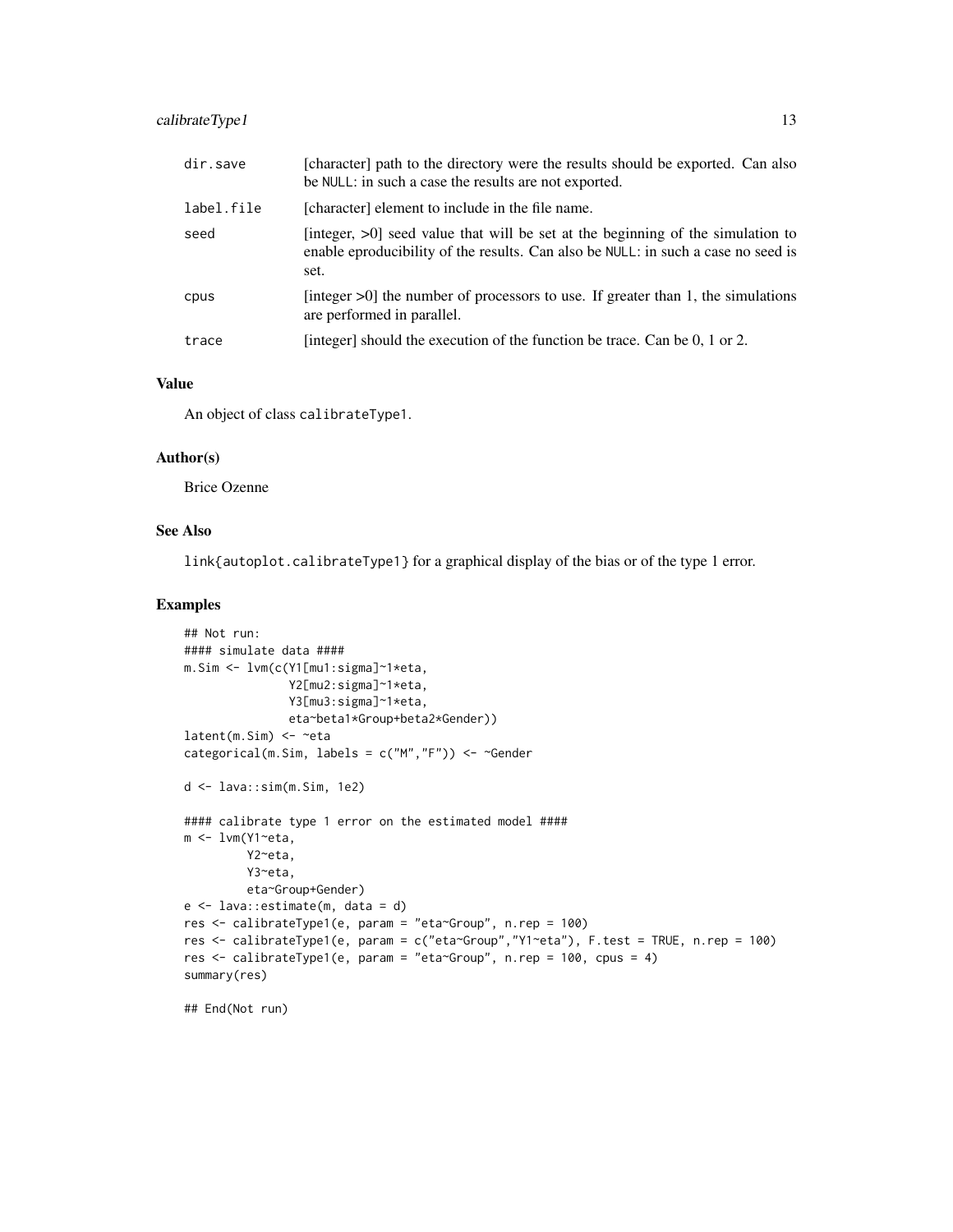| dir.save   | [character] path to the directory were the results should be exported. Can also<br>be NULL: in such a case the results are not exported.                                        |
|------------|---------------------------------------------------------------------------------------------------------------------------------------------------------------------------------|
| label.file | [character] element to include in the file name.                                                                                                                                |
| seed       | [integer, $>0$ ] seed value that will be set at the beginning of the simulation to<br>enable eproducibility of the results. Can also be NULL: in such a case no seed is<br>set. |
| cpus       | [integer $>0$ ] the number of processors to use. If greater than 1, the simulations<br>are performed in parallel.                                                               |
| trace      | [integer] should the execution of the function be trace. Can be 0, 1 or 2.                                                                                                      |

## Value

An object of class calibrateType1.

#### Author(s)

Brice Ozenne

# See Also

link{autoplot.calibrateType1} for a graphical display of the bias or of the type 1 error.

## Examples

```
## Not run:
#### simulate data ####
m.Sim <- lvm(c(Y1[mu1:sigma]~1*eta,
               Y2[mu2:sigma]~1*eta,
               Y3[mu3:sigma]~1*eta,
              eta~beta1*Group+beta2*Gender))
latent(m.Sim) <- ~eta
categorical(m.Sim, labels = c("M","F")) <- ~Gender
d <- lava::sim(m.Sim, 1e2)
#### calibrate type 1 error on the estimated model ####
m <- lvm(Y1~eta,
         Y2~eta,
         Y3~eta,
         eta~Group+Gender)
e <- lava::estimate(m, data = d)
res <- calibrateType1(e, param = "eta~Group", n.rep = 100)
res <- calibrateType1(e, param = c("eta~Group","Y1~eta"), F.test = TRUE, n.rep = 100)
res <- calibrateType1(e, param = "eta~Group", n.rep = 100, cpus = 4)
summary(res)
```
## End(Not run)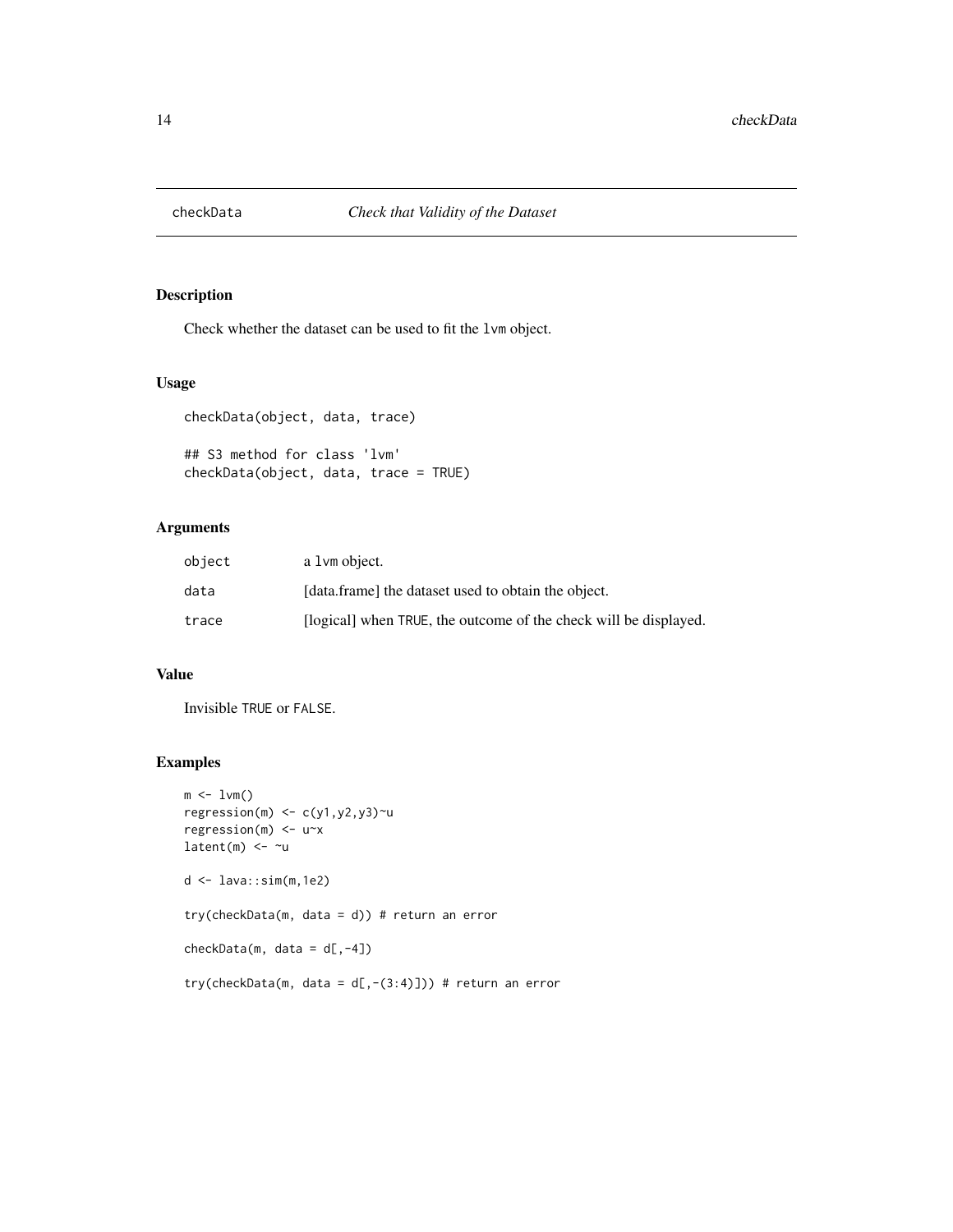<span id="page-13-0"></span>

Check whether the dataset can be used to fit the lvm object.

# Usage

```
checkData(object, data, trace)
## S3 method for class 'lvm'
```
checkData(object, data, trace = TRUE)

# Arguments

| object | a 1 vm object.                                                   |
|--------|------------------------------------------------------------------|
| data   | [data.frame] the dataset used to obtain the object.              |
| trace  | [logical] when TRUE, the outcome of the check will be displayed. |

## Value

Invisible TRUE or FALSE.

```
m \leftarrow 1 \vee m()regression(m) \leq c(y1,y2,y3)\simu
regression(m) <- u~x
latent(m) <- ~u
d <- lava::sim(m,1e2)
try(checkData(m, data = d)) # return an error
checkData(m, data = d[, -4])try(checkData(m, data = d[,-(3:4)])) # return an error
```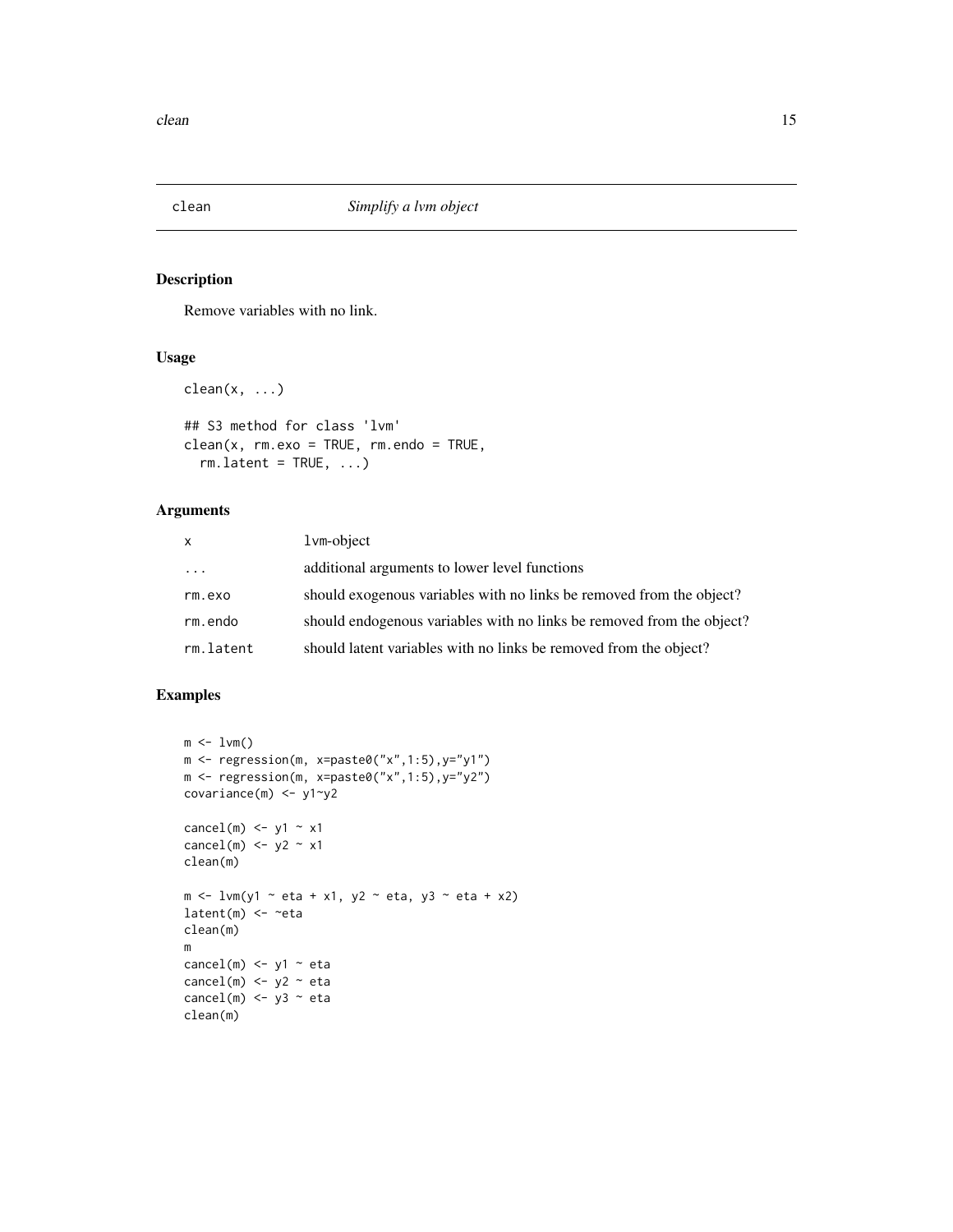<span id="page-14-0"></span>

Remove variables with no link.

# Usage

```
clean(x, ...)
```

```
## S3 method for class 'lvm'
clean(x, rm.exo = TRUE, rm.endo = TRUE,
 rm.latent = TRUE, ...
```
# Arguments

| <b>X</b>  | $1$ vm-object                                                         |
|-----------|-----------------------------------------------------------------------|
| $\cdots$  | additional arguments to lower level functions                         |
| rm.exo    | should exogenous variables with no links be removed from the object?  |
| rm.endo   | should endogenous variables with no links be removed from the object? |
| rm.latent | should latent variables with no links be removed from the object?     |

```
m \leq -1vm()
m <- regression(m, x=paste0("x",1:5),y="y1")
m <- regression(m, x=paste0("x",1:5),y="y2")
covariance(m) <- y1~y2
cancel(m) \leftarrow y1 \sim x1
cancel(m) \leftarrow y2 \sim x1clean(m)
m <- lvm(y1 ~ eta + x1, y2 ~ eta, y3 ~ eta + x2)
latent(m) <- ~eta
clean(m)
m
cancel(m) \le y1 \sim eta
cancel(m) <- y2 - eta
cancel(m) <- y3 ~ eta
clean(m)
```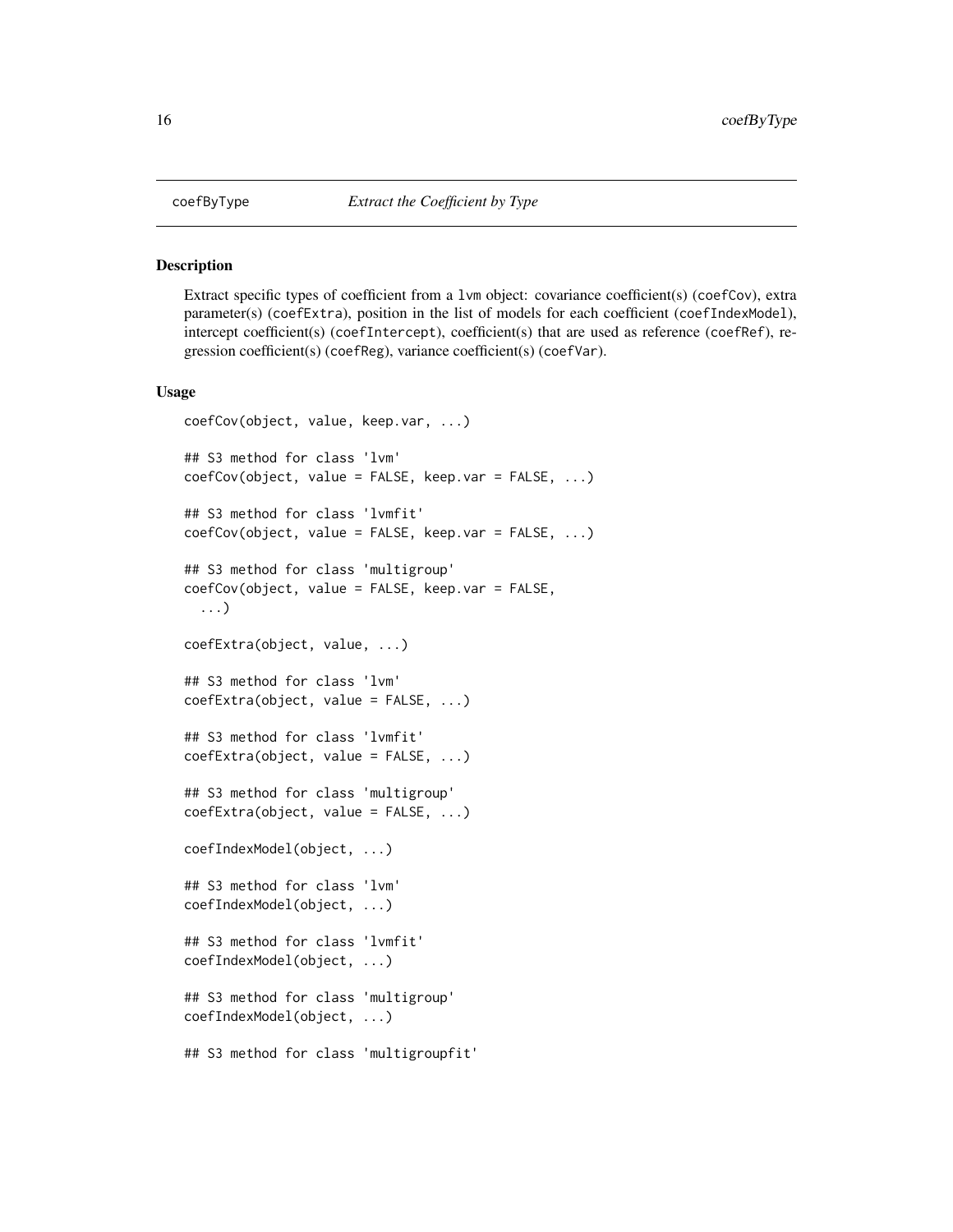Extract specific types of coefficient from a 1 $\nu$ m object: covariance coefficient(s) (coefCov), extra parameter(s) (coefExtra), position in the list of models for each coefficient (coefIndexModel), intercept coefficient(s) (coefIntercept), coefficient(s) that are used as reference (coefRef), regression coefficient(s) (coefReg), variance coefficient(s) (coefVar).

#### Usage

```
coefCov(object, value, keep.var, ...)
## S3 method for class 'lvm'
coefCov(object, value = FALSE, keep.var = FALSE, ...)
## S3 method for class 'lvmfit'
coefCov(object, value = FALSE, keep.var = FALSE, ...)
## S3 method for class 'multigroup'
coefCov(object, value = FALSE, keep.var = FALSE,
  ...)
coefExtra(object, value, ...)
## S3 method for class 'lvm'
coefExtra(object, value = FALSE, ...)
## S3 method for class 'lvmfit'
coefExtra(object, value = FALSE, ...)
## S3 method for class 'multigroup'
coefExtra(object, value = FALSE, ...)
coefIndexModel(object, ...)
## S3 method for class 'lvm'
coefIndexModel(object, ...)
## S3 method for class 'lvmfit'
coefIndexModel(object, ...)
## S3 method for class 'multigroup'
coefIndexModel(object, ...)
## S3 method for class 'multigroupfit'
```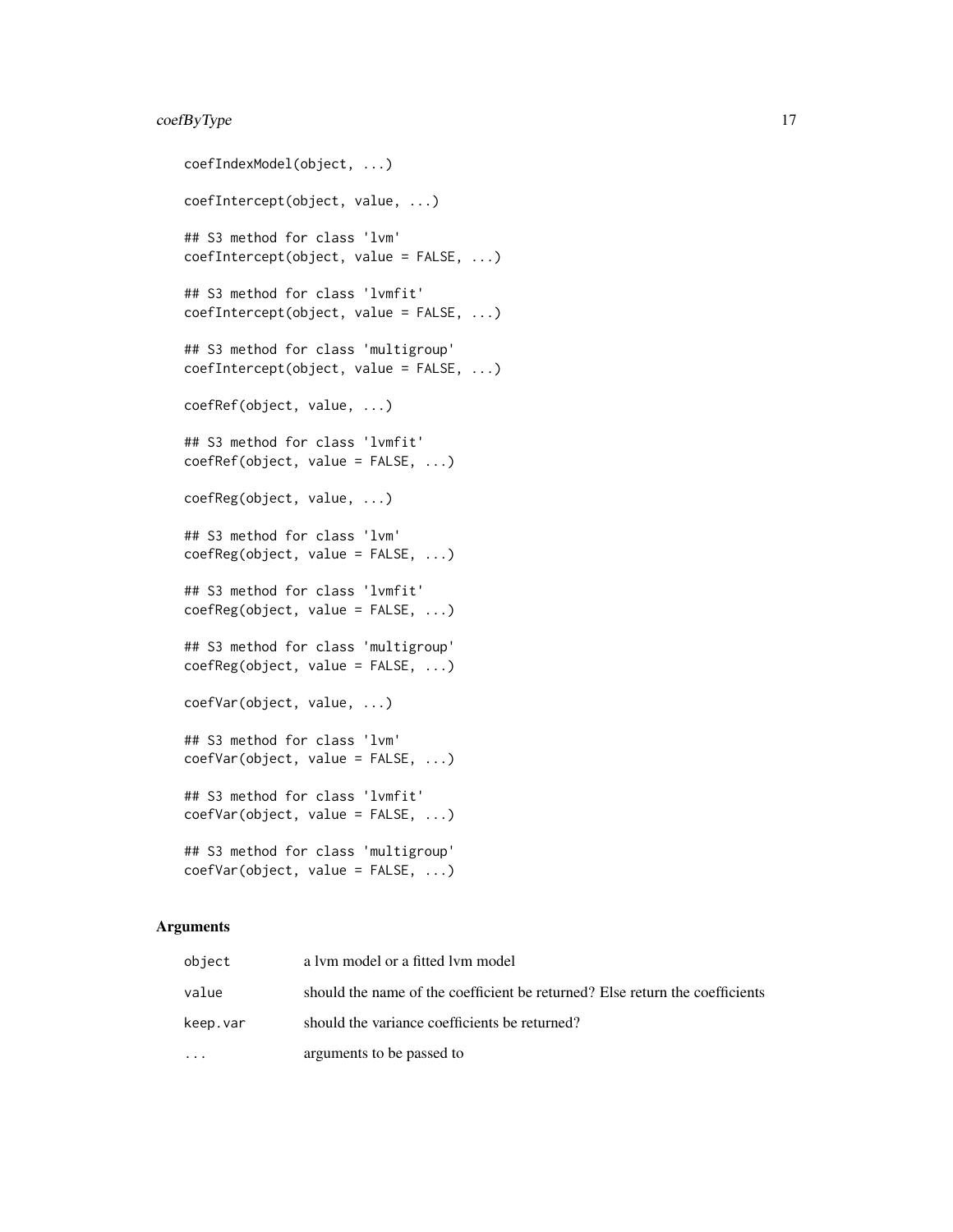# coefByType 17

```
coefIndexModel(object, ...)
coefIntercept(object, value, ...)
## S3 method for class 'lvm'
coefIntercept(object, value = FALSE, ...)
## S3 method for class 'lvmfit'
coefIntercept(object, value = FALSE, ...)
## S3 method for class 'multigroup'
coefIntercept(object, value = FALSE, ...)
coefRef(object, value, ...)
## S3 method for class 'lvmfit'
coefRef(object, value = FALSE, ...)
coefReg(object, value, ...)
## S3 method for class 'lvm'
coefReg(object, value = FALSE, ...)
## S3 method for class 'lvmfit'
coefReg(object, value = FALSE, ...)
## S3 method for class 'multigroup'
coefReg(object, value = FALSE, ...)
coefVar(object, value, ...)
## S3 method for class 'lvm'
coefVar(object, value = FALSE, ...)
## S3 method for class 'lvmfit'
coefVar(object, value = FALSE, ...)
## S3 method for class 'multigroup'
coefVar(object, value = FALSE, ...)
```

| object    | a lym model or a fitted lym model                                            |
|-----------|------------------------------------------------------------------------------|
| value     | should the name of the coefficient be returned? Else return the coefficients |
| keep.var  | should the variance coefficients be returned?                                |
| $\ddotsc$ | arguments to be passed to                                                    |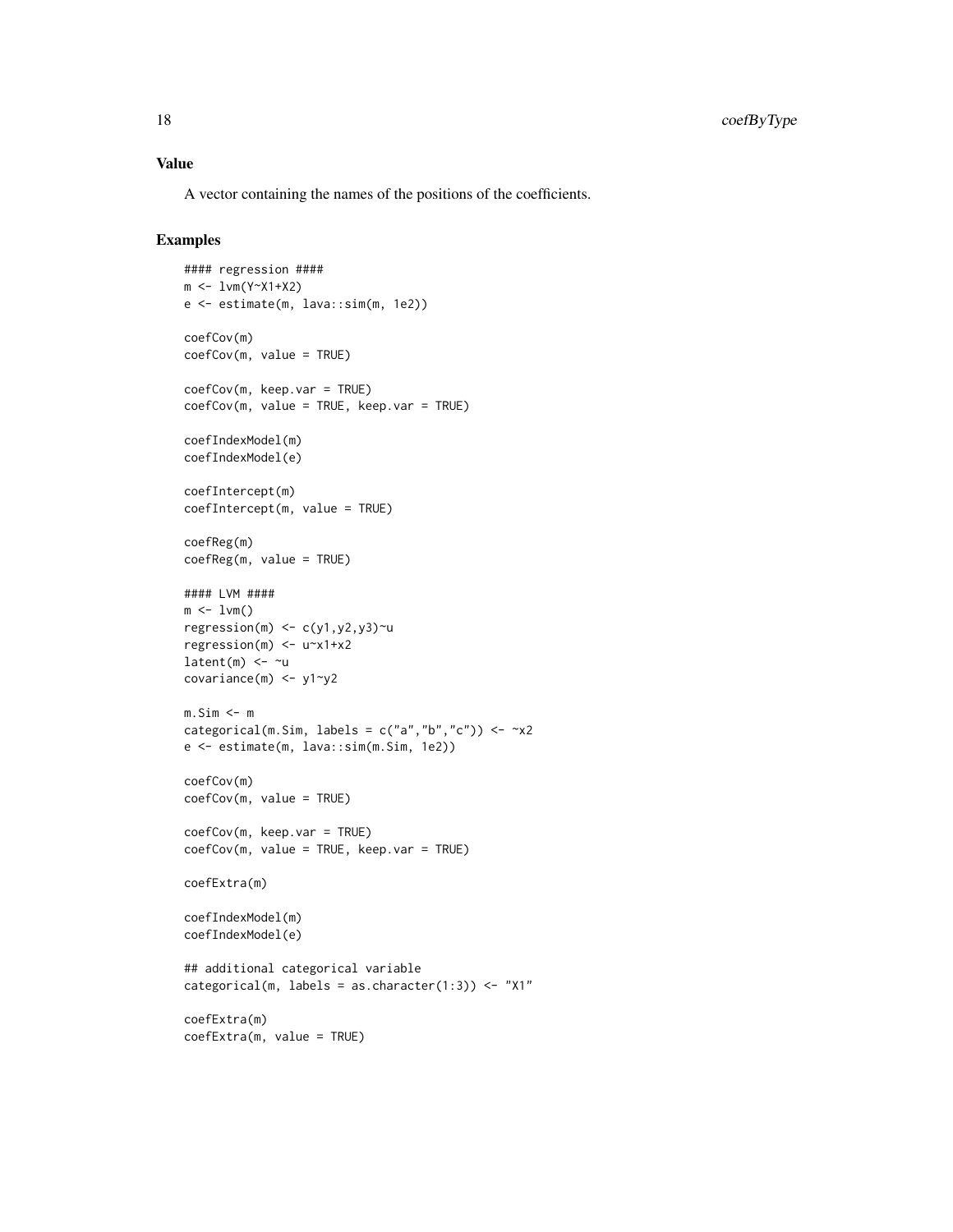## Value

A vector containing the names of the positions of the coefficients.

```
#### regression ####
m <- lvm(Y~X1+X2)
e <- estimate(m, lava::sim(m, 1e2))
coefCov(m)
coefCov(m, value = TRUE)
coefCov(m, keep.var = TRUE)
coefCov(m, value = TRUE, keep var = TRUE)coefIndexModel(m)
coefIndexModel(e)
coefIntercept(m)
coefIntercept(m, value = TRUE)
coefReg(m)
coefReg(m, value = TRUE)
#### LVM ####
m \leq -1vm()
regression(m) \leq c(y1,y2,y3)\simu
regression(m) <- u~x1+x2
latent(m) <- ~u
covariance(m) <- y1~y2
m.Sim < -mcategorical(m.Sim, labels = c("a", "b", "c")) \le -x2e <- estimate(m, lava::sim(m.Sim, 1e2))
coefCov(m)
coefCov(m, value = TRUE)
coefCov(m, keep.var = TRUE)
coefCov(m, value = TRUE, keep var = TRUE)coefExtra(m)
coefIndexModel(m)
coefIndexModel(e)
## additional categorical variable
categorical(m, labels = as.character(1:3)) <- "X1"
coefExtra(m)
coefExtra(m, value = TRUE)
```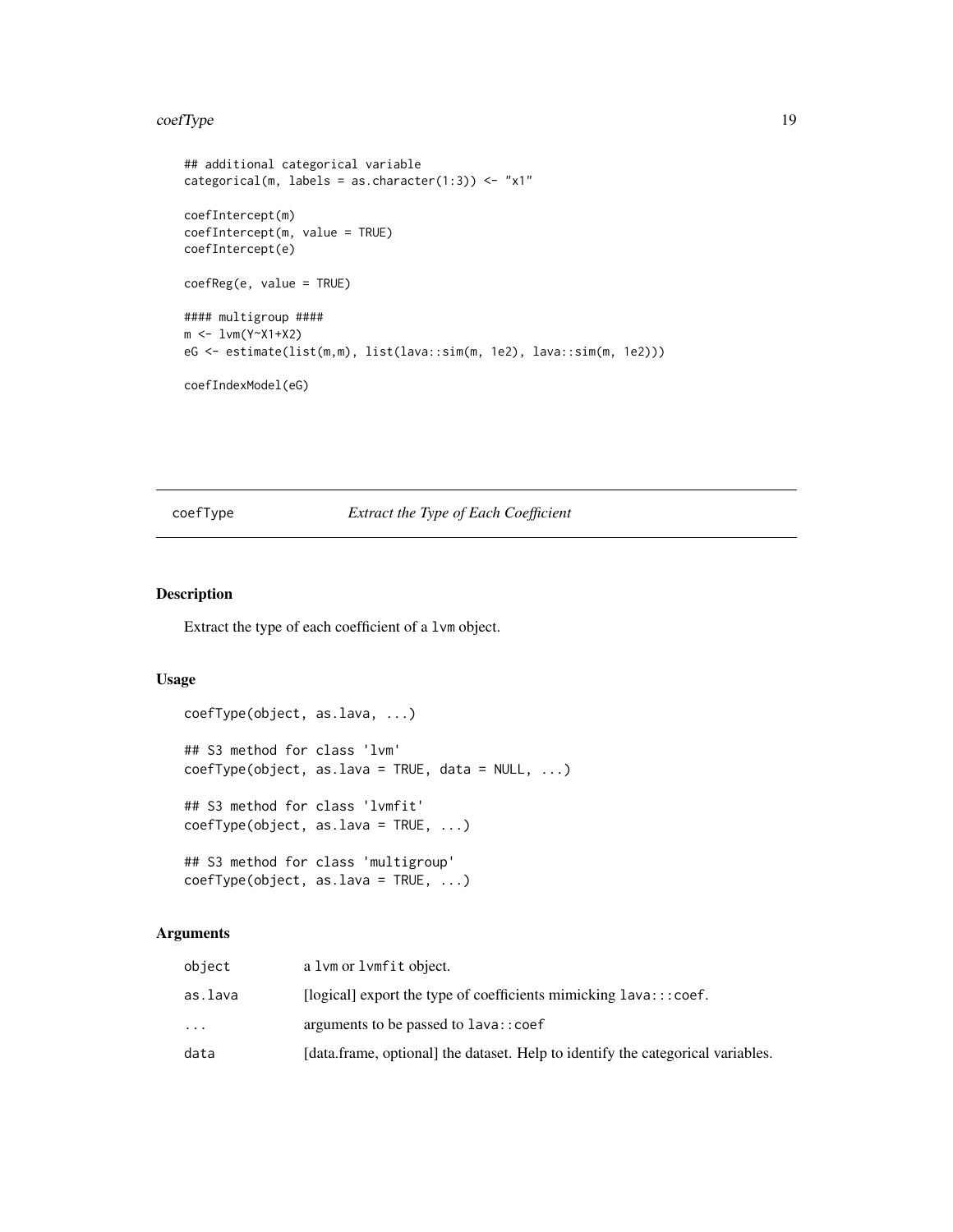#### <span id="page-18-0"></span>coefType 19

```
## additional categorical variable
categorical(m, labels = as.charAt("1:3)) \leftarrow "x1"coefIntercept(m)
coefIntercept(m, value = TRUE)
coefIntercept(e)
coefReg(e, value = TRUE)
#### multigroup ####
m <- lvm(Y~X1+X2)
eG <- estimate(list(m,m), list(lava::sim(m, 1e2), lava::sim(m, 1e2)))
coefIndexModel(eG)
```
# coefType *Extract the Type of Each Coefficient*

## Description

Extract the type of each coefficient of a lvm object.

## Usage

```
coefType(object, as.lava, ...)
## S3 method for class 'lvm'
coefType(object, as.lava = TRUE, data = NULL, ...)
## S3 method for class 'lvmfit'
coefType(object, as.lava = TRUE, ...)
## S3 method for class 'multigroup'
coefType(object, as.lava = TRUE, ...)
```

| object    | a 1vm or 1vmfit object.                                                         |
|-----------|---------------------------------------------------------------------------------|
| as.lava   | [ $logical$ ] export the type of coefficients mimicking $lava::coef$ .          |
| $\ddotsc$ | arguments to be passed to lava:: coef                                           |
| data      | [data.frame, optional] the dataset. Help to identify the categorical variables. |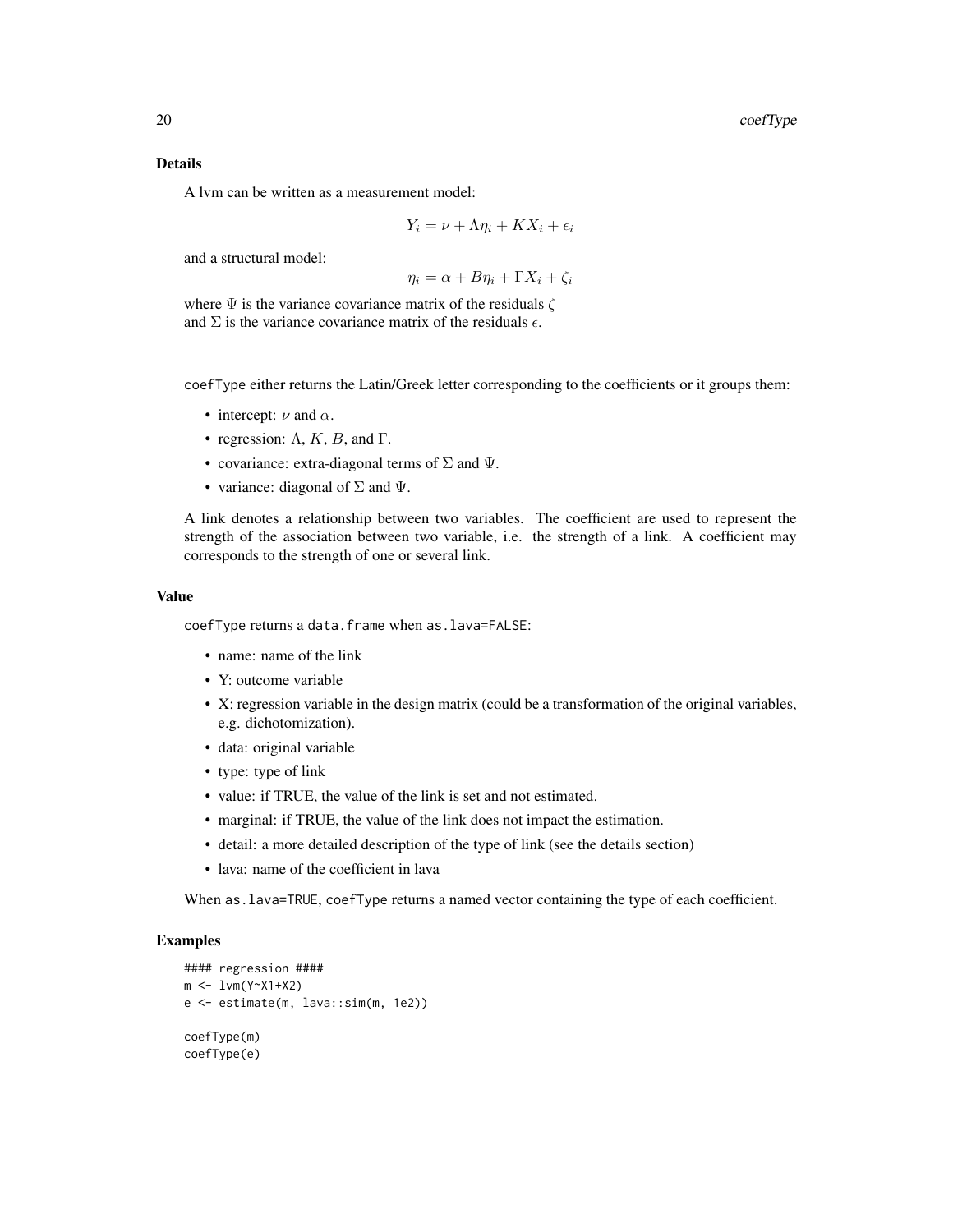## Details

A lvm can be written as a measurement model:

$$
Y_i = \nu + \Lambda \eta_i + K X_i + \epsilon_i
$$

and a structural model:

 $\eta_i = \alpha + B\eta_i + \Gamma X_i + \zeta_i$ 

where  $\Psi$  is the variance covariance matrix of the residuals  $\zeta$ and  $\Sigma$  is the variance covariance matrix of the residuals  $\epsilon$ .

coefType either returns the Latin/Greek letter corresponding to the coefficients or it groups them:

- intercept:  $\nu$  and  $\alpha$ .
- regression:  $\Lambda$ ,  $K$ ,  $B$ , and  $\Gamma$ .
- covariance: extra-diagonal terms of  $\Sigma$  and  $\Psi$ .
- variance: diagonal of  $\Sigma$  and  $\Psi$ .

A link denotes a relationship between two variables. The coefficient are used to represent the strength of the association between two variable, i.e. the strength of a link. A coefficient may corresponds to the strength of one or several link.

#### Value

coefType returns a data.frame when as.lava=FALSE:

- name: name of the link
- Y: outcome variable
- X: regression variable in the design matrix (could be a transformation of the original variables, e.g. dichotomization).
- data: original variable
- type: type of link
- value: if TRUE, the value of the link is set and not estimated.
- marginal: if TRUE, the value of the link does not impact the estimation.
- detail: a more detailed description of the type of link (see the details section)
- lava: name of the coefficient in lava

When as.lava=TRUE, coefType returns a named vector containing the type of each coefficient.

```
#### regression ####
m <- lvm(Y~X1+X2)
e <- estimate(m, lava::sim(m, 1e2))
coefType(m)
coefType(e)
```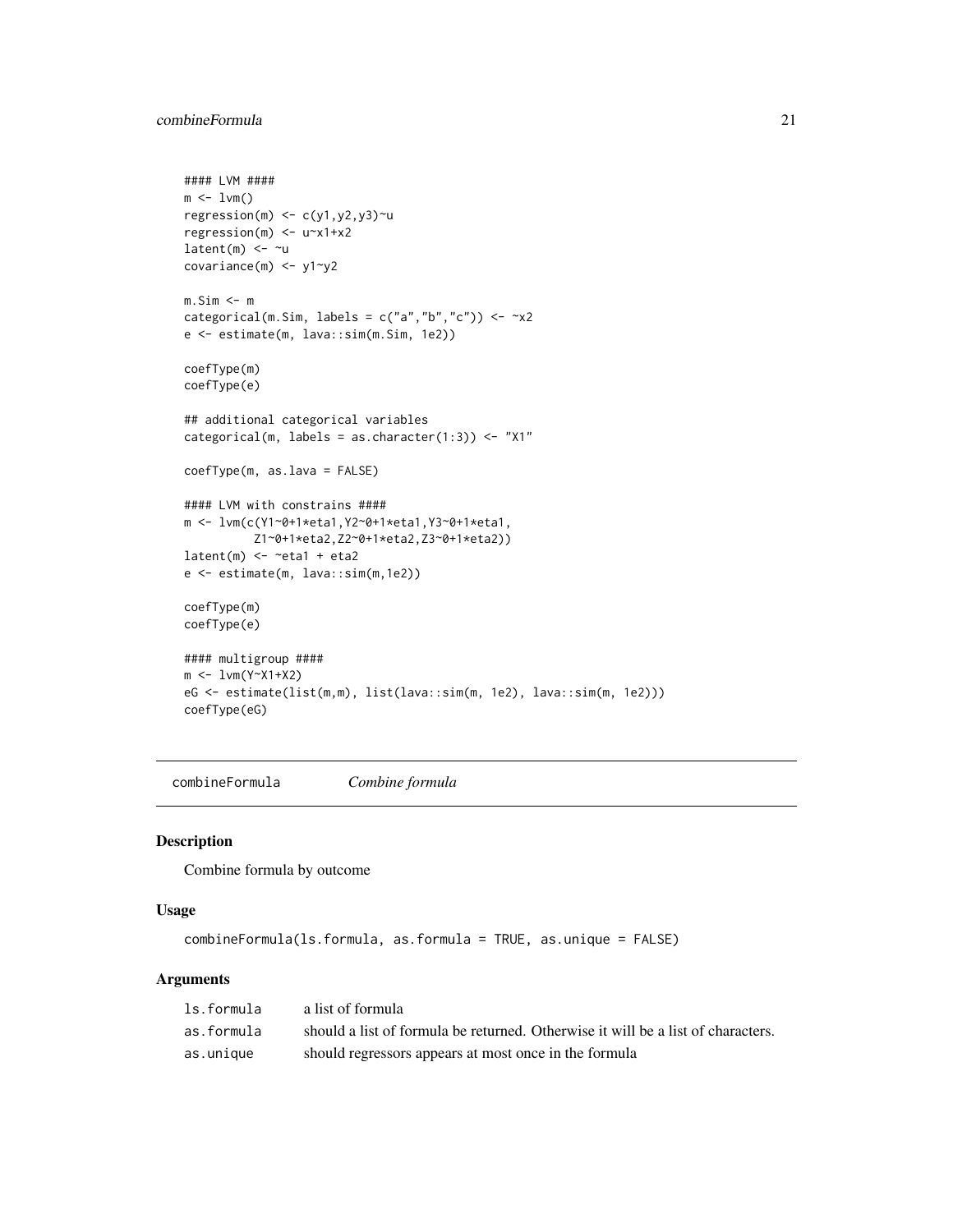```
#### LVM ####
m \leq -1vm()
regression(m) \leq c(y1,y2,y3)\simu
regression(m) <- u~x1+x2
latent(m) <- ~u
covariance(m) <- y1~y2
m.Sim <- m
categorical(m.Sim, labels = c("a", "b", "c")) \le -x2e <- estimate(m, lava::sim(m.Sim, 1e2))
coefType(m)
coefType(e)
## additional categorical variables
categorical(m, labels = as.character(1:3)) <- "X1"
coefType(m, as.lava = FALSE)
#### LVM with constrains ####
m <- lvm(c(Y1~0+1*eta1,Y2~0+1*eta1,Y3~0+1*eta1,
          Z1~0+1*eta2,Z2~0+1*eta2,Z3~0+1*eta2))
latent(m) \leftarrow \text{~} \text{~} \text{~} + \text{~} \text{~} \text{~}e <- estimate(m, lava::sim(m,1e2))
coefType(m)
coefType(e)
#### multigroup ####
m <- lvm(Y~X1+X2)
eG <- estimate(list(m,m), list(lava::sim(m, 1e2), lava::sim(m, 1e2)))
coefType(eG)
```
combineFormula *Combine formula*

#### Description

Combine formula by outcome

#### Usage

```
combineFormula(ls.formula, as.formula = TRUE, as.unique = FALSE)
```

| ls.formula | a list of formula                                                                |
|------------|----------------------------------------------------------------------------------|
| as.formula | should a list of formula be returned. Otherwise it will be a list of characters. |
| as.unique  | should regressors appears at most once in the formula                            |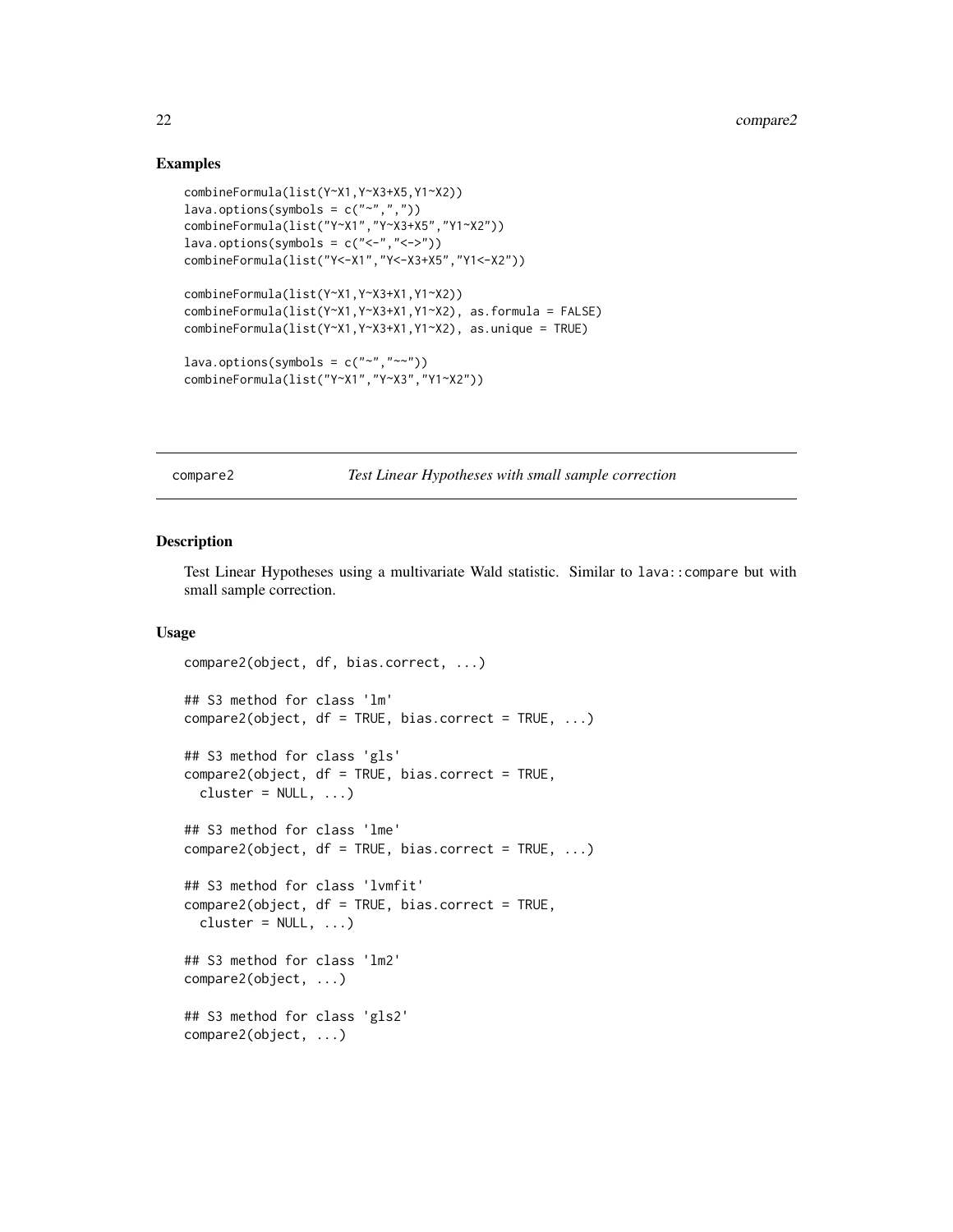## Examples

```
combineFormula(list(Y~X1,Y~X3+X5,Y1~X2))
lava.options(symbols = c("~"combineFormula(list("Y~X1","Y~X3+X5","Y1~X2"))
lava.options(symbols = c("<-", "-->"))
combineFormula(list("Y<-X1","Y<-X3+X5","Y1<-X2"))
combineFormula(list(Y~X1,Y~X3+X1,Y1~X2))
combineFormula(list(Y~X1,Y~X3+X1,Y1~X2), as.formula = FALSE)
combineFormula(list(Y~X1,Y~X3+X1,Y1~X2), as.unique = TRUE)
lava.options(symbols = c("~","~~"))
combineFormula(list("Y~X1","Y~X3","Y1~X2"))
```
compare2 *Test Linear Hypotheses with small sample correction*

#### Description

Test Linear Hypotheses using a multivariate Wald statistic. Similar to lava::compare but with small sample correction.

## Usage

```
compare2(object, df, bias.correct, ...)
## S3 method for class 'lm'
compare2(object, df = TRUE, bias.correct = TRUE, ...)## S3 method for class 'gls'
compare2(object, df = TRUE, bias.correct = TRUE,
 cluster = NULL, ...)## S3 method for class 'lme'
compare2(object, df = TRUE, bias.correct = TRUE, ...)## S3 method for class 'lvmfit'
compare2(object, df = TRUE, bias.correct = TRUE,
 cluster = NULL, ...)## S3 method for class 'lm2'
compare2(object, ...)
## S3 method for class 'gls2'
compare2(object, ...)
```
<span id="page-21-0"></span>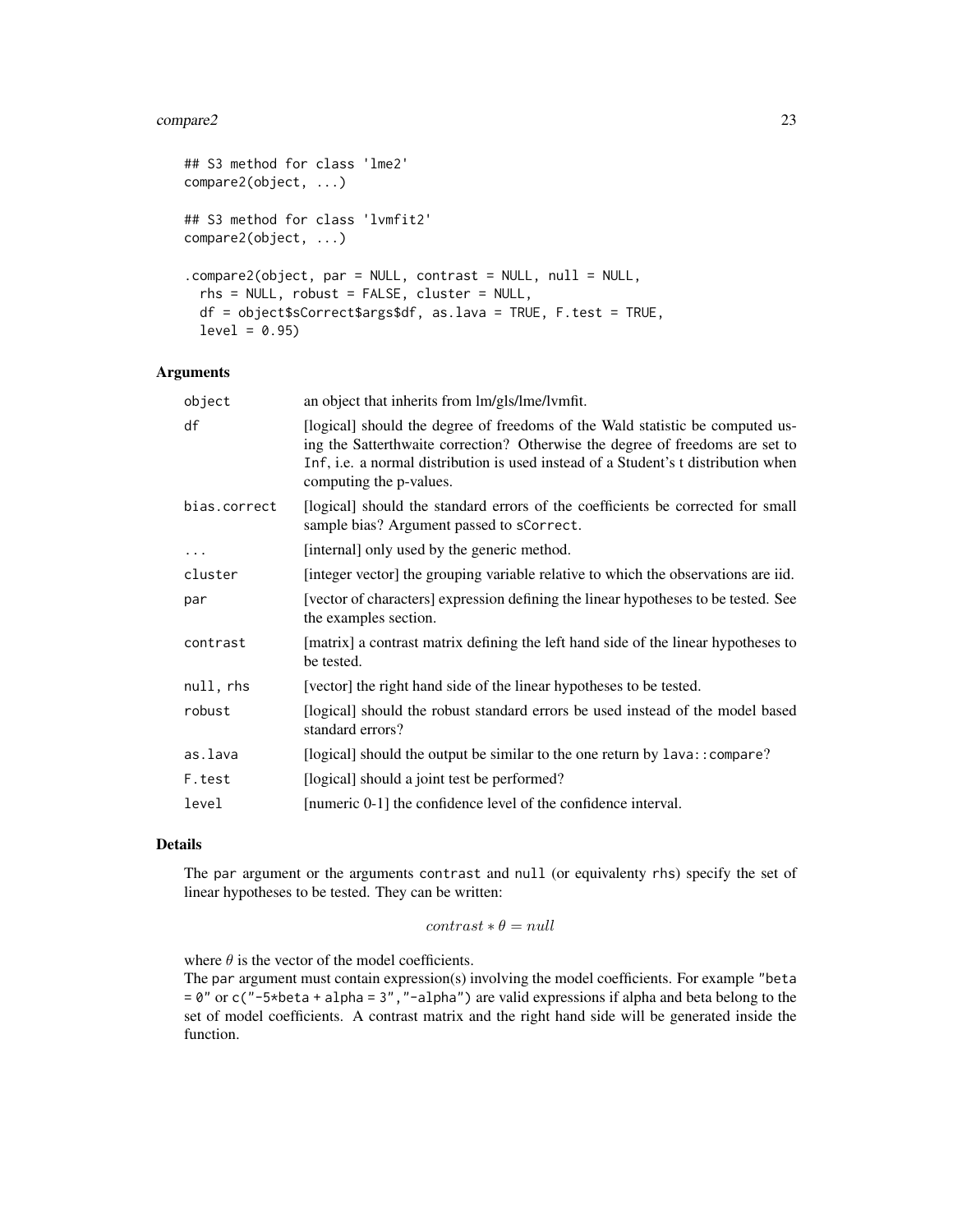#### compare2 23

```
## S3 method for class 'lme2'
compare2(object, ...)
## S3 method for class 'lvmfit2'
compare2(object, ...)
.compare2(object, par = NULL, contrast = NULL, null = NULL,
  rhs = NULL, robust = FALSE, cluster = NULL,
 df = object$sCorrect$args$df, as.lava = TRUE, F.test = TRUE,
  level = 0.95)
```
## Arguments

| an object that inherits from lm/gls/lme/lvmfit.                                                                                                                                                                                                                                 |
|---------------------------------------------------------------------------------------------------------------------------------------------------------------------------------------------------------------------------------------------------------------------------------|
| [logical] should the degree of freedoms of the Wald statistic be computed us-<br>ing the Satterthwaite correction? Otherwise the degree of freedoms are set to<br>Inf, i.e. a normal distribution is used instead of a Student's t distribution when<br>computing the p-values. |
| [logical] should the standard errors of the coefficients be corrected for small<br>sample bias? Argument passed to sCorrect.                                                                                                                                                    |
| [internal] only used by the generic method.                                                                                                                                                                                                                                     |
| [integer vector] the grouping variable relative to which the observations are iid.                                                                                                                                                                                              |
| [vector of characters] expression defining the linear hypotheses to be tested. See<br>the examples section.                                                                                                                                                                     |
| [matrix] a contrast matrix defining the left hand side of the linear hypotheses to<br>be tested.                                                                                                                                                                                |
| [vector] the right hand side of the linear hypotheses to be tested.                                                                                                                                                                                                             |
| [logical] should the robust standard errors be used instead of the model based<br>standard errors?                                                                                                                                                                              |
| [logical] should the output be similar to the one return by lava:: compare?                                                                                                                                                                                                     |
| [logical] should a joint test be performed?                                                                                                                                                                                                                                     |
| [numeric 0-1] the confidence level of the confidence interval.                                                                                                                                                                                                                  |
|                                                                                                                                                                                                                                                                                 |

#### Details

The par argument or the arguments contrast and null (or equivalenty rhs) specify the set of linear hypotheses to be tested. They can be written:

# $contrast * \theta = null$

where  $\theta$  is the vector of the model coefficients.

The par argument must contain expression(s) involving the model coefficients. For example "beta  $= 0$ " or c(" $-5$ \*beta + alpha = 3", " $-$ alpha") are valid expressions if alpha and beta belong to the set of model coefficients. A contrast matrix and the right hand side will be generated inside the function.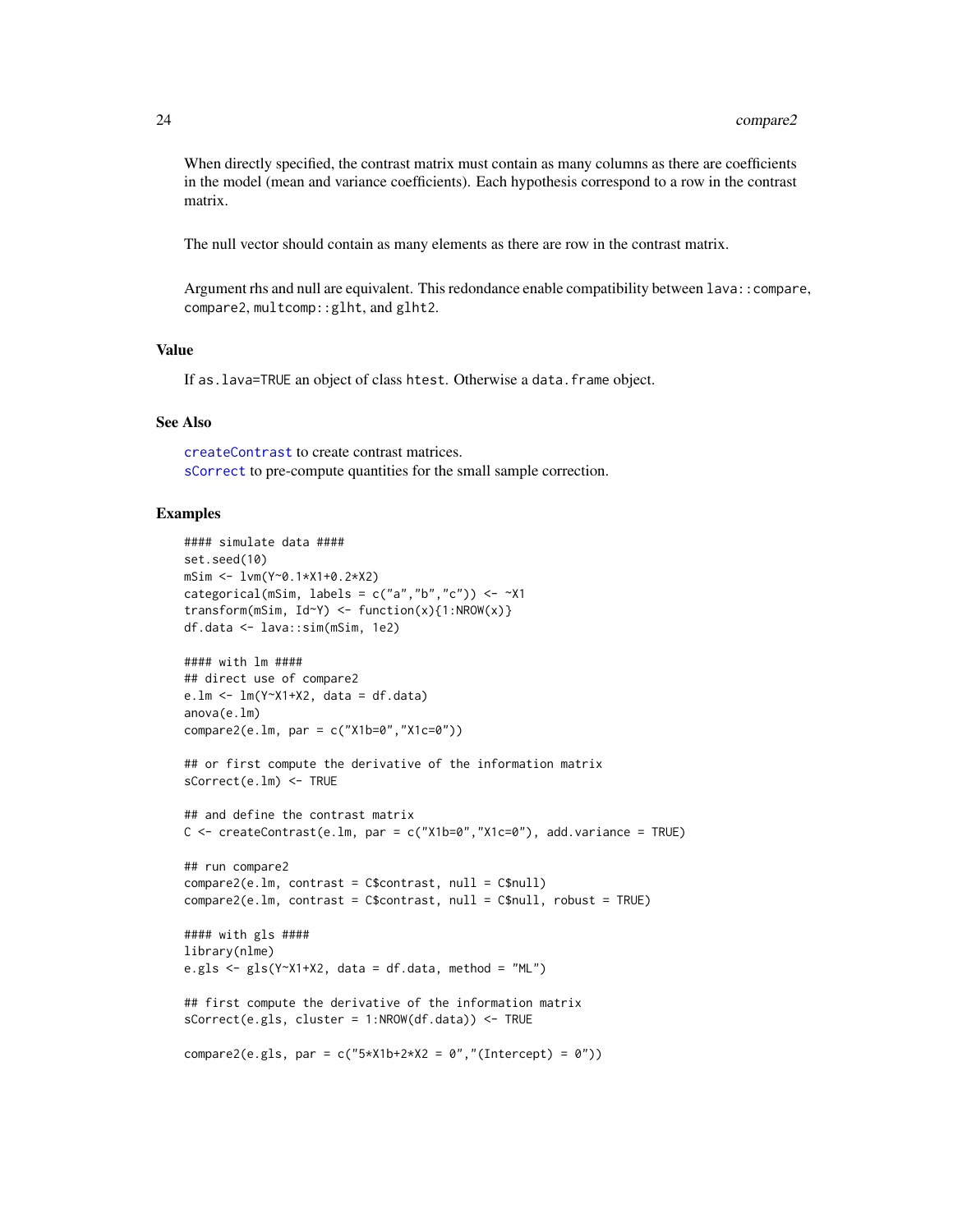When directly specified, the contrast matrix must contain as many columns as there are coefficients in the model (mean and variance coefficients). Each hypothesis correspond to a row in the contrast matrix.

The null vector should contain as many elements as there are row in the contrast matrix.

Argument rhs and null are equivalent. This redondance enable compatibility between lava::compare, compare2, multcomp::glht, and glht2.

## Value

If as.lava=TRUE an object of class htest. Otherwise a data.frame object.

#### See Also

[createContrast](#page-24-1) to create contrast matrices. [sCorrect](#page-60-1) to pre-compute quantities for the small sample correction.

```
#### simulate data ####
set.seed(10)
mSim <- lvm(Y~0.1*X1+0.2*X2)
categorical(mSim, labels = c("a", "b", "c")) \le -x1transform(mSim, Id~Y) <- function(x){1:NROW(x)}
df.data <- lava::sim(mSim, 1e2)
#### with lm ####
## direct use of compare2
e.lm <- lm(Y~X1+X2, data = df.data)
anova(e.lm)
compare2(e.lm, par = c("X1b=0","X1c=0"))
## or first compute the derivative of the information matrix
sCorrect(e.lm) <- TRUE
## and define the contrast matrix
C \le createContrast(e.lm, par = c("X1b=0","X1c=0"), add.variance = TRUE)
## run compare2
compare2(e.lm, contrast = C$contrast, null = C$null)
compare2(e.lm, contrast = C$contrast, null = C$null, robust = TRUE)
#### with gls ####
library(nlme)
e.gls \leq gls(Y~X1+X2, data = df.data, method = "ML")
## first compute the derivative of the information matrix
sCorrect(e.gls, cluster = 1:NROW(df.data)) <- TRUE
compare2(e.gls, par = c("5*X1b+2*X2 = 0","(Intercept) = 0"))
```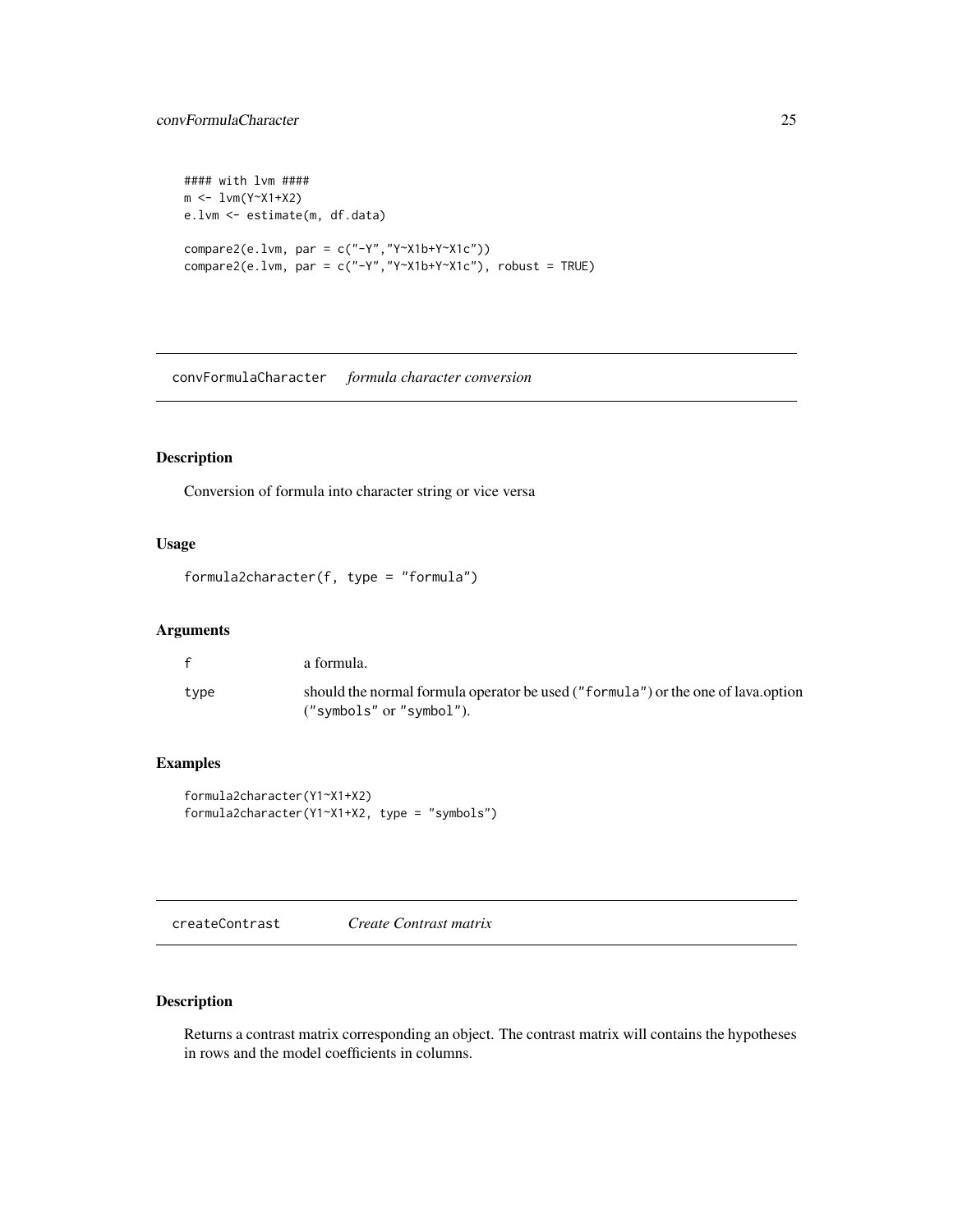```
#### with lvm ####
m <- lvm(Y~X1+X2)
e.lvm <- estimate(m, df.data)
compare2(e.lvm, par = c("-Y","Y~X1b+Y~X1c"))
compare2(e.lvm, par = c("Y", "Y~X1b+Y~X1c"), robust = TRUE)
```
convFormulaCharacter *formula character conversion*

## Description

Conversion of formula into character string or vice versa

# Usage

formula2character(f, type = "formula")

# Arguments

| $\mathbf{f}$ | a formula.                                                                                                   |
|--------------|--------------------------------------------------------------------------------------------------------------|
| type         | should the normal formula operator be used ("formula") or the one of lava.option<br>("symbols" or "symbol"). |

# Examples

```
formula2character(Y1~X1+X2)
formula2character(Y1~X1+X2, type = "symbols")
```
<span id="page-24-1"></span>createContrast *Create Contrast matrix*

## Description

Returns a contrast matrix corresponding an object. The contrast matrix will contains the hypotheses in rows and the model coefficients in columns.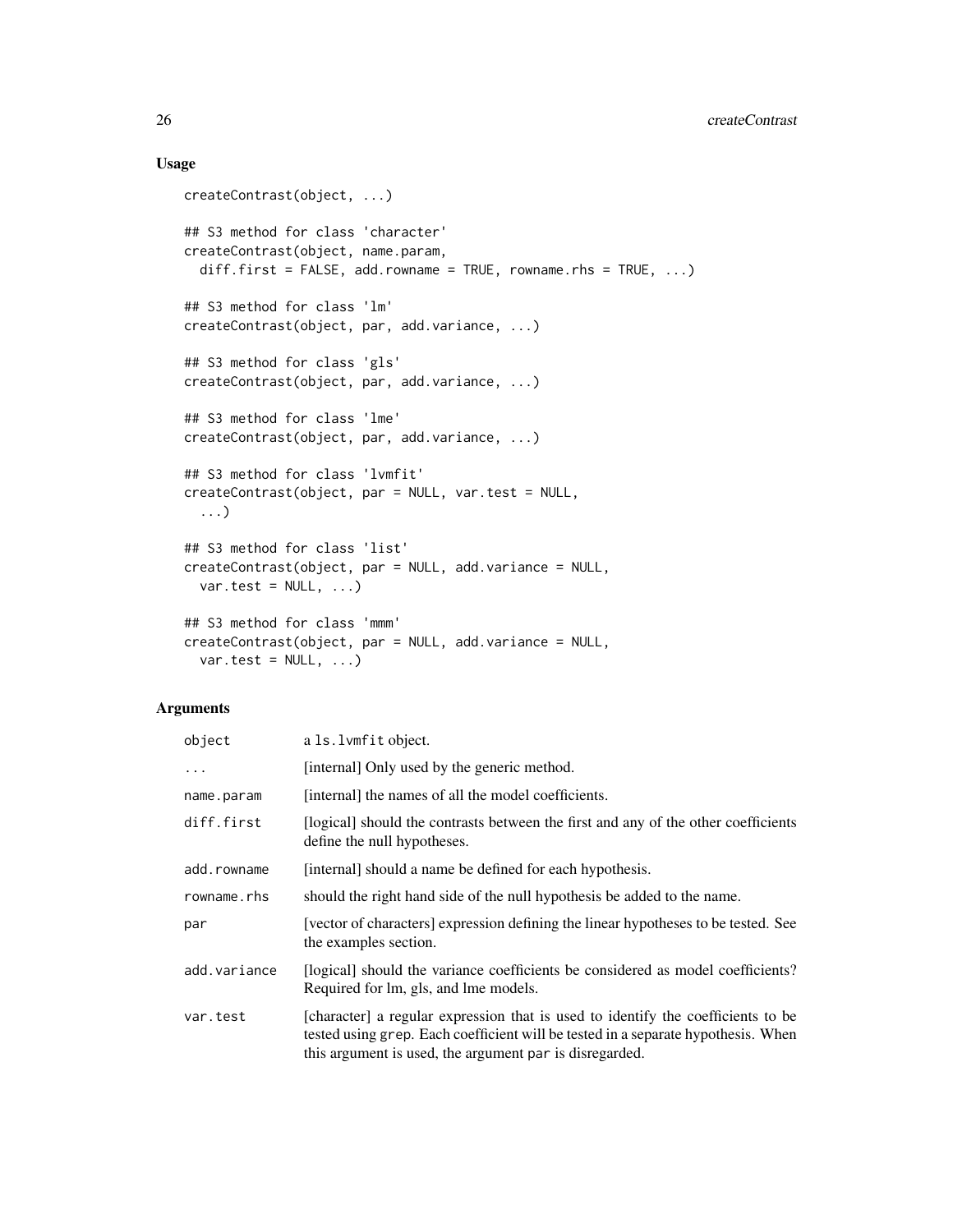## Usage

```
createContrast(object, ...)
## S3 method for class 'character'
createContrast(object, name.param,
 diff.first = FALSE, add.rowname = TRUE, rowname.rhs = TRUE, \ldots)
## S3 method for class 'lm'
createContrast(object, par, add.variance, ...)
## S3 method for class 'gls'
createContrast(object, par, add.variance, ...)
## S3 method for class 'lme'
createContrast(object, par, add.variance, ...)
## S3 method for class 'lvmfit'
createContrast(object, par = NULL, var.test = NULL,
  ...)
## S3 method for class 'list'
createContrast(object, par = NULL, add.variance = NULL,
 var.test = NULL, ...## S3 method for class 'mmm'
createContrast(object, par = NULL, add.variance = NULL,
 var.test = NULL, ...
```

| object       | a 1s.1vmfit object.                                                                                                                                                                                                              |
|--------------|----------------------------------------------------------------------------------------------------------------------------------------------------------------------------------------------------------------------------------|
| $\ddotsc$    | [internal] Only used by the generic method.                                                                                                                                                                                      |
| name.param   | [internal] the names of all the model coefficients.                                                                                                                                                                              |
| diff.first   | [logical] should the contrasts between the first and any of the other coefficients<br>define the null hypotheses.                                                                                                                |
| add.rowname  | [internal] should a name be defined for each hypothesis.                                                                                                                                                                         |
| rowname.rhs  | should the right hand side of the null hypothesis be added to the name.                                                                                                                                                          |
| par          | [vector of characters] expression defining the linear hypotheses to be tested. See<br>the examples section.                                                                                                                      |
| add.variance | [logical] should the variance coefficients be considered as model coefficients?<br>Required for lm, gls, and lme models.                                                                                                         |
| var.test     | [character] a regular expression that is used to identify the coefficients to be<br>tested using grep. Each coefficient will be tested in a separate hypothesis. When<br>this argument is used, the argument par is disregarded. |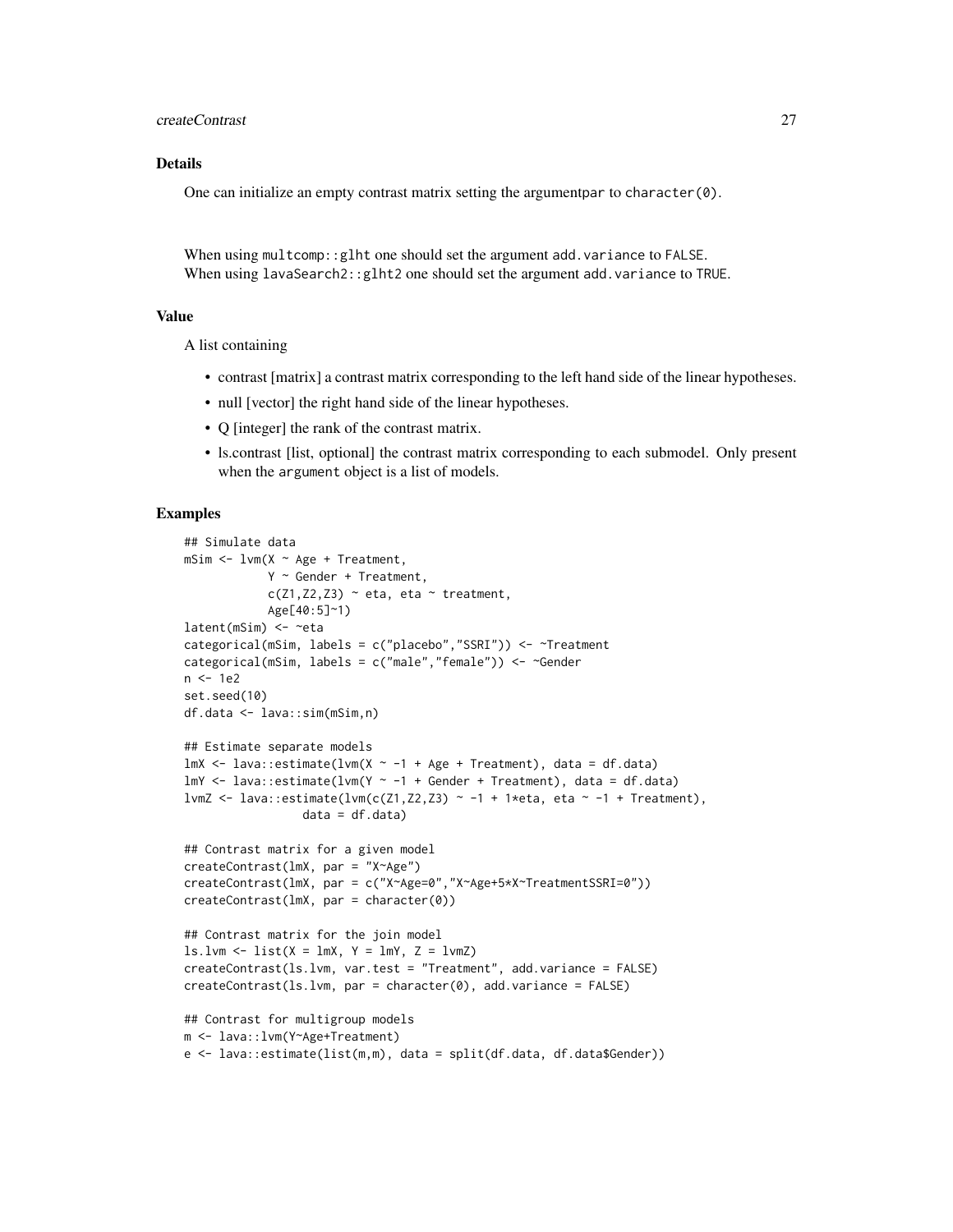createContrast 27

## Details

One can initialize an empty contrast matrix setting the argumentpar to character(0).

When using multcomp:: glht one should set the argument add.variance to FALSE. When using lavaSearch2::glht2 one should set the argument add.variance to TRUE.

#### Value

A list containing

- contrast [matrix] a contrast matrix corresponding to the left hand side of the linear hypotheses.
- null [vector] the right hand side of the linear hypotheses.
- Q [integer] the rank of the contrast matrix.
- ls.contrast [list, optional] the contrast matrix corresponding to each submodel. Only present when the argument object is a list of models.

```
## Simulate data
mSim <- lvm(X ~ Age + Treatment,
            Y ~ Gender + Treatment,
            c(Z1, Z2, Z3) \sim eta, eta ~ treatment,
            Age[40:5]~1)
latent(mSim) <- ~eta
categorical(mSim, labels = c("placebo","SSRI")) <- ~Treatment
categorical(mSim, labels = c("male","female")) <- ~Gender
n < -1e2set.seed(10)
df.data <- lava::sim(mSim,n)
## Estimate separate models
lmX <- lava::estimate(lvm(X \sim -1 + Age + Treatment), data = df.data)
lmY \leq lava::estimate(lvm(Y \sim -1 + \text{Gender} + \text{Treatment}), data = df.data)lvmZ <- lava::estimate(lvm(c(Z1,Z2,Z3) ~ -1 + 1*eta, eta ~ -1 + Treatment),
                 data = df.data)## Contrast matrix for a given model
createContrast(lmX, par = "X~Age")
createContrast(lmX, par = c("X~Age=0","X~Age+5*X~TreatmentSSRI=0"))
createContrast(lmX, par = character(0))
## Contrast matrix for the join model
ls.lvm < - list(X = lmX, Y = lmY, Z = lvmZ)createContrast(ls.lvm, var.test = "Treatment", add.variance = FALSE)
createContrast(ls.lvm, par = character(0), add.variance = FALSE)
## Contrast for multigroup models
m <- lava::lvm(Y~Age+Treatment)
e <- lava::estimate(list(m,m), data = split(df.data, df.data$Gender))
```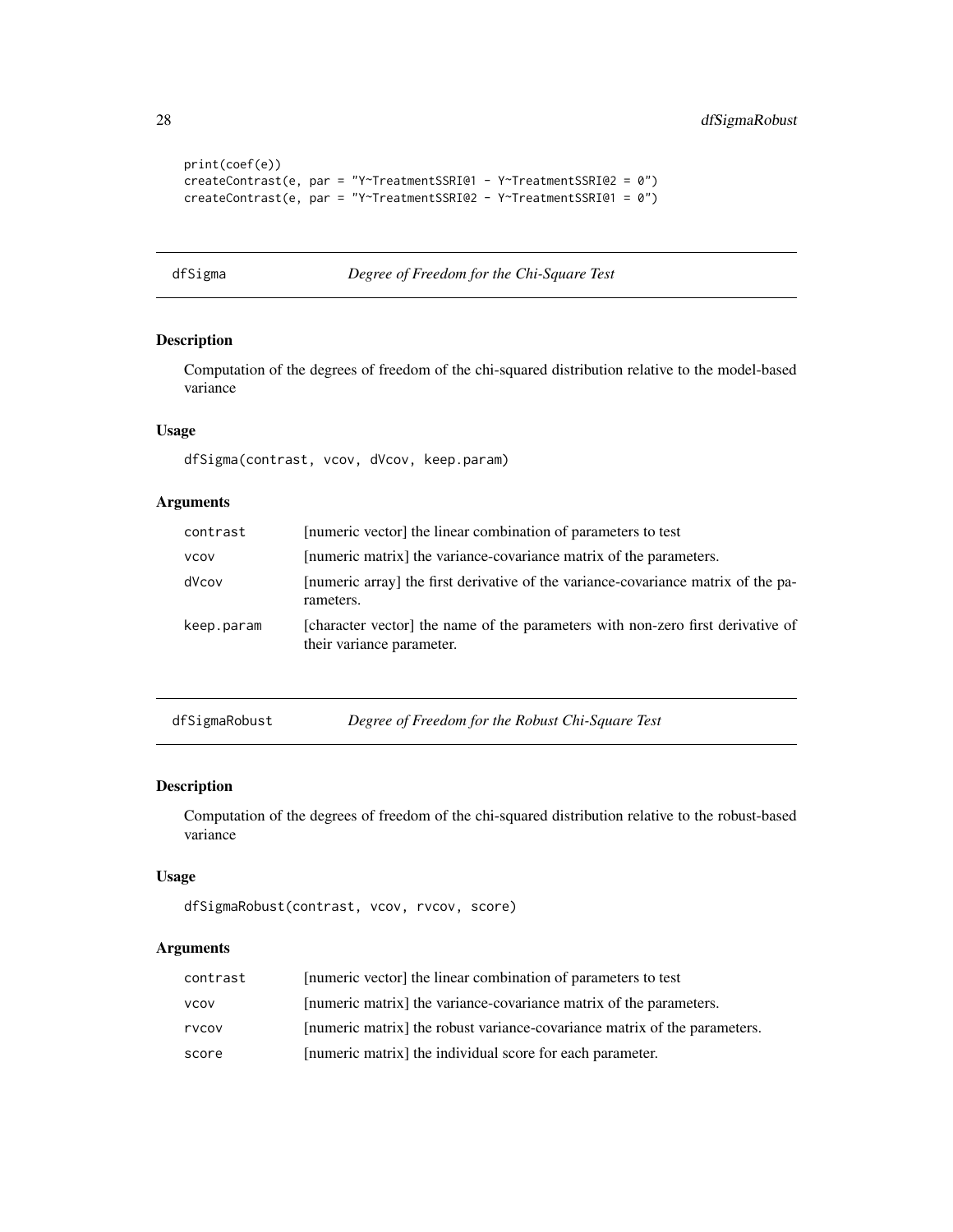```
print(coef(e))
createContrast(e, par = "Y~TreatmentSSRI@1 - Y~TreatmentSSRI@2 = 0")
createContrast(e, par = "Y~TreatmentSSRI@2 - Y~TreatmentSSRI@1 = 0")
```
dfSigma *Degree of Freedom for the Chi-Square Test*

### Description

Computation of the degrees of freedom of the chi-squared distribution relative to the model-based variance

#### Usage

dfSigma(contrast, vcov, dVcov, keep.param)

# Arguments

| contrast    | [numeric vector] the linear combination of parameters to test                                                |
|-------------|--------------------------------------------------------------------------------------------------------------|
| <b>VCOV</b> | [numeric matrix] the variance-covariance matrix of the parameters.                                           |
| dVcov       | [numeric array] the first derivative of the variance-covariance matrix of the pa-<br>rameters.               |
| keep.param  | [character vector] the name of the parameters with non-zero first derivative of<br>their variance parameter. |

dfSigmaRobust *Degree of Freedom for the Robust Chi-Square Test*

## Description

Computation of the degrees of freedom of the chi-squared distribution relative to the robust-based variance

#### Usage

```
dfSigmaRobust(contrast, vcov, rvcov, score)
```

| contrast    | [numeric vector] the linear combination of parameters to test             |
|-------------|---------------------------------------------------------------------------|
| <b>VCOV</b> | [numeric matrix] the variance-covariance matrix of the parameters.        |
| rvcov       | [numeric matrix] the robust variance-covariance matrix of the parameters. |
| score       | [numeric matrix] the individual score for each parameter.                 |

<span id="page-27-0"></span>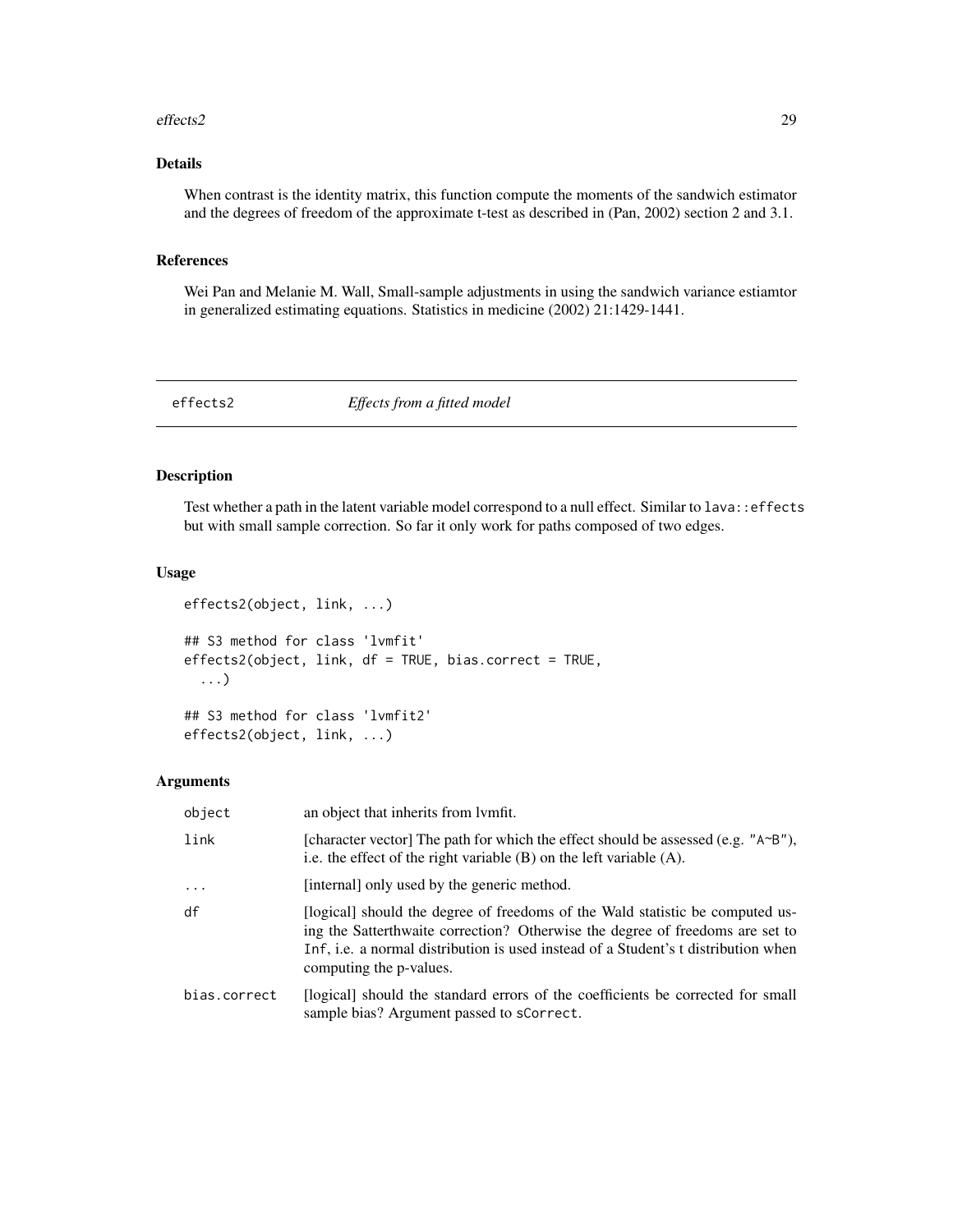#### <span id="page-28-0"></span>effects2 29

# Details

When contrast is the identity matrix, this function compute the moments of the sandwich estimator and the degrees of freedom of the approximate t-test as described in (Pan, 2002) section 2 and 3.1.

## References

Wei Pan and Melanie M. Wall, Small-sample adjustments in using the sandwich variance estiamtor in generalized estimating equations. Statistics in medicine (2002) 21:1429-1441.

effects2 *Effects from a fitted model*

## Description

Test whether a path in the latent variable model correspond to a null effect. Similar to lava::effects but with small sample correction. So far it only work for paths composed of two edges.

## Usage

```
effects2(object, link, ...)
## S3 method for class 'lvmfit'
effects2(object, link, df = TRUE, bias.correct = TRUE,
  ...)
## S3 method for class 'lvmfit2'
effects2(object, link, ...)
```

| object       | an object that inherits from lymfit.                                                                                                                                                                                                                                            |
|--------------|---------------------------------------------------------------------------------------------------------------------------------------------------------------------------------------------------------------------------------------------------------------------------------|
| link         | [character vector] The path for which the effect should be assessed (e.g. " $A \sim B''$ ),<br>i.e. the effect of the right variable $(B)$ on the left variable $(A)$ .                                                                                                         |
| $\ddots$     | [internal] only used by the generic method.                                                                                                                                                                                                                                     |
| df           | [logical] should the degree of freedoms of the Wald statistic be computed us-<br>ing the Satterthwaite correction? Otherwise the degree of freedoms are set to<br>Inf, i.e. a normal distribution is used instead of a Student's t distribution when<br>computing the p-values. |
| bias.correct | [logical] should the standard errors of the coefficients be corrected for small<br>sample bias? Argument passed to sCorrect.                                                                                                                                                    |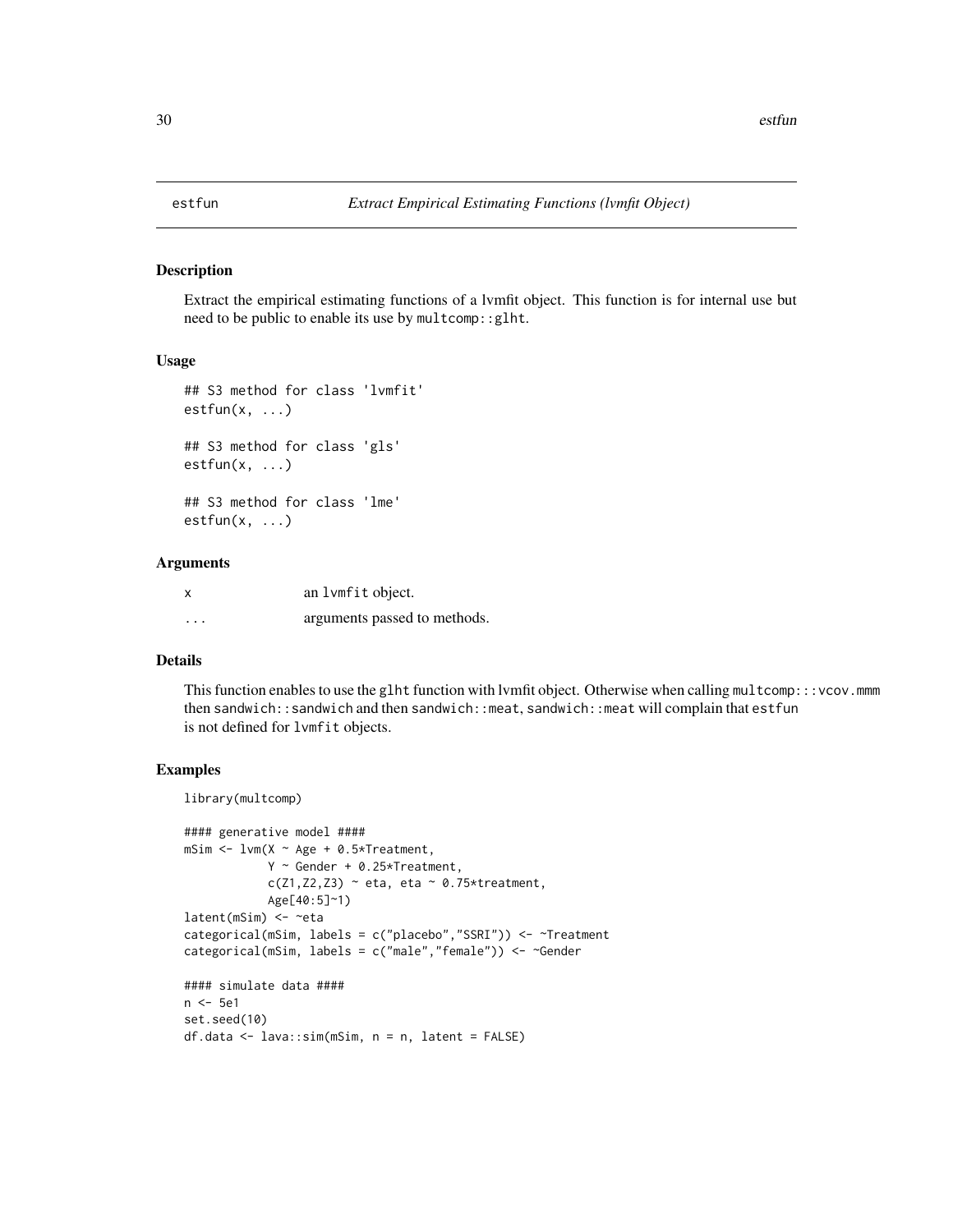<span id="page-29-0"></span>

Extract the empirical estimating functions of a lvmfit object. This function is for internal use but need to be public to enable its use by multcomp::glht.

#### Usage

```
## S3 method for class 'lvmfit'
estfun(x, \ldots)## S3 method for class 'gls'
estfun(x, ...)
## S3 method for class 'lme'
estfun(x, \ldots)
```
# Arguments

| X        | an 1 vm fit object.          |
|----------|------------------------------|
| $\cdots$ | arguments passed to methods. |

## Details

This function enables to use the glht function with lvmfit object. Otherwise when calling multcomp:::vcov.mmm then sandwich::sandwich and then sandwich::meat, sandwich::meat will complain that estfun is not defined for lvmfit objects.

## Examples

library(multcomp)

```
#### generative model ####
msim < -1vm(X ~ \sim Age ~ + 0.5 \times Treatment,Y \sim Gender + 0.25*Treatment,
            c(Z1, Z2, Z3) \sim eta, eta ~ 0.75*treatment,
            Age[40:5]~1)
latent(mSim) <- ~eta
categorical(mSim, labels = c("placebo","SSRI")) <- ~Treatment
categorical(mSim, labels = c("male","female")) <- ~Gender
#### simulate data ####
n <- 5e1
set.seed(10)
df.data <- lava::sim(mSim, n = n, latent = FALSE)
```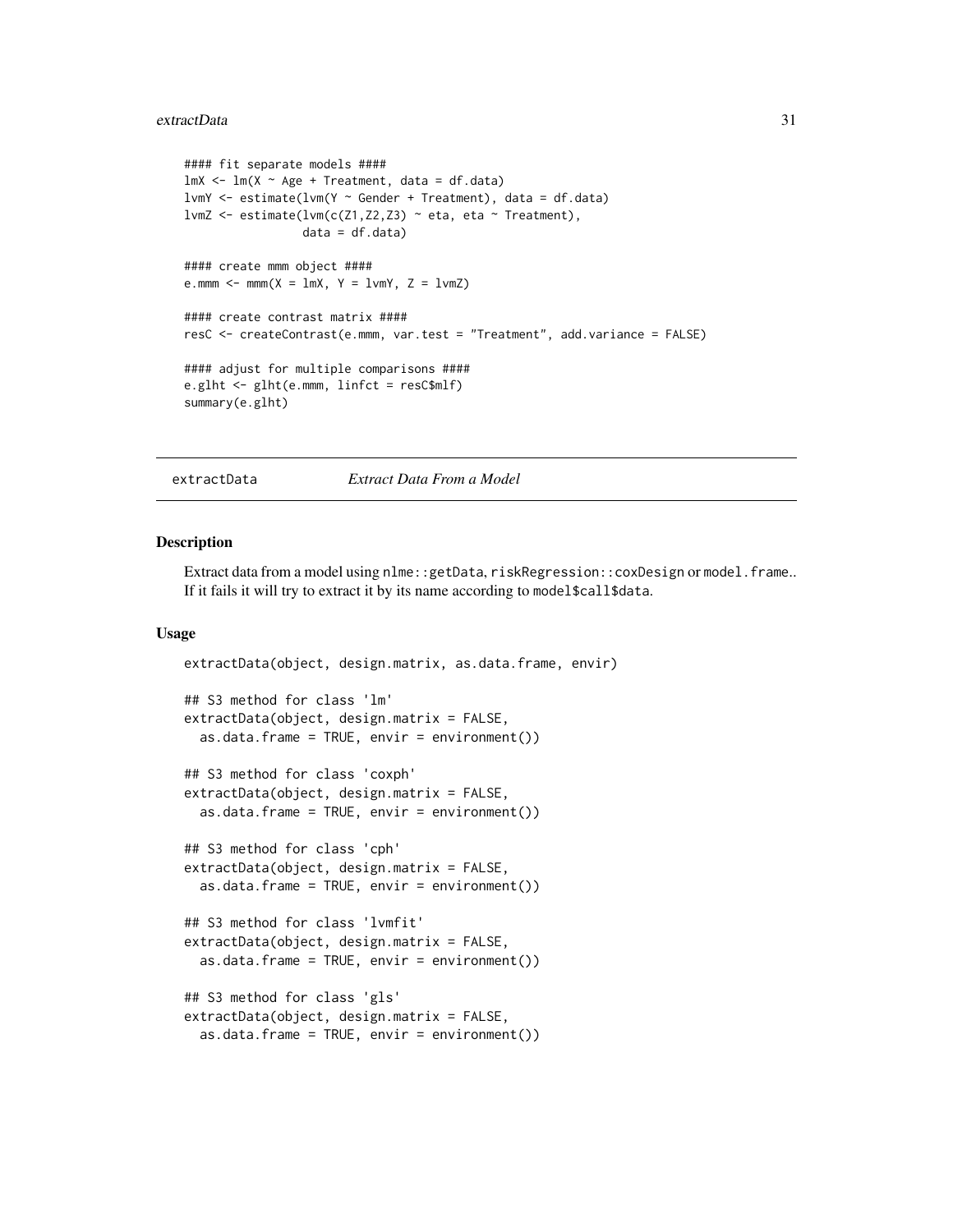#### <span id="page-30-0"></span>extractData 31

```
#### fit separate models ####
lmX < - lm(X ~ ~ Age ~ + Treatment, data = df.data)lvmY <- estimate(lvm(Y ~ Gender + Treatment), data = df.data)
lvmZ <- estimate(lvm(c(Z1,Z2,Z3) ~ eta, eta ~ Treatment),
                  data = df.data)#### create mmm object ####
e.mmm \le mmm(X = \text{lmX}, Y = \text{lmY}, Z = \text{lmZ})#### create contrast matrix ####
resC <- createContrast(e.mmm, var.test = "Treatment", add.variance = FALSE)
#### adjust for multiple comparisons ####
e.glht <- glht(e.mmm, linfct = resC$mlf)
summary(e.glht)
```
#### extractData *Extract Data From a Model*

#### Description

Extract data from a model using nlme::getData, riskRegression::coxDesign or model.frame.. If it fails it will try to extract it by its name according to model\$call\$data.

#### Usage

```
extractData(object, design.matrix, as.data.frame, envir)
## S3 method for class 'lm'
extractData(object, design.matrix = FALSE,
  as.data.frame = TRUE, envir = environment())
## S3 method for class 'coxph'
extractData(object, design.matrix = FALSE,
  as.data frame = TRUE, envir = environment()## S3 method for class 'cph'
extractData(object, design.matrix = FALSE,
  as.data.frame = TRUE, envir = environment())
## S3 method for class 'lvmfit'
extractData(object, design.matrix = FALSE,
  as.data. frame = TRUE, envir = environment())
## S3 method for class 'gls'
extractData(object, design.matrix = FALSE,
  as.data.frame = TRUE, envir = environment())
```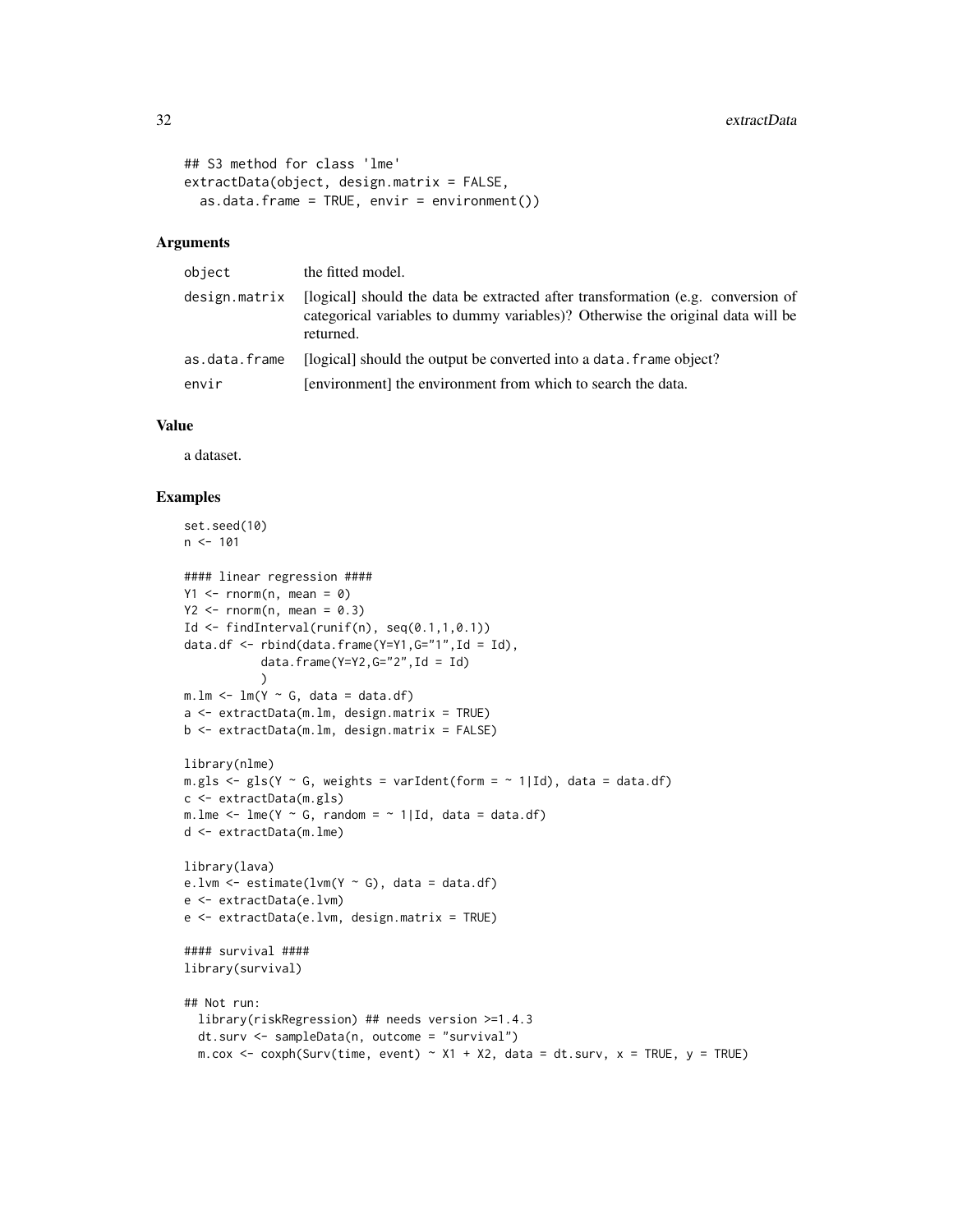```
## S3 method for class 'lme'
extractData(object, design.matrix = FALSE,
  as.data.frame = TRUE, envir = environment())
```
#### Arguments

| object        | the fitted model.                                                                                                                                                              |
|---------------|--------------------------------------------------------------------------------------------------------------------------------------------------------------------------------|
| design.matrix | [logical] should the data be extracted after transformation (e.g. conversion of<br>categorical variables to dummy variables)? Otherwise the original data will be<br>returned. |
| as.data.frame | [logical] should the output be converted into a data. frame object?                                                                                                            |
| envir         | [environment] the environment from which to search the data.                                                                                                                   |

#### Value

a dataset.

```
set.seed(10)
n < -101#### linear regression ####
Y1 \leq -\text{norm}(n, \text{mean} = 0)Y2 \leq -\text{norm}(n, \text{mean} = 0.3)Id \le findInterval(runif(n), seq(0.1,1,0.1))
data.df \le rbind(data.frame(Y=Y1,G="1",Id = Id),
           data.frame(Y=Y2,G="2",Id = Id)
           )
m.lm < -lm(Y ~ ~ G, data = data.df)a <- extractData(m.lm, design.matrix = TRUE)
b <- extractData(m.lm, design.matrix = FALSE)
library(nlme)
m.gls \leq gls(Y \leq G, weights = varIdent(form = \sim 1|Id), data = data.df)
c <- extractData(m.gls)
m.lme \leq lme(Y \sim G, random = \sim 1|Id, data = data.df)
d <- extractData(m.lme)
library(lava)
e.lvm \leq estimate(lvm(Y \sim G), data = data.df)
e <- extractData(e.lvm)
e <- extractData(e.lvm, design.matrix = TRUE)
#### survival ####
library(survival)
## Not run:
  library(riskRegression) ## needs version >=1.4.3
  dt.surv <- sampleData(n, outcome = "survival")
  m.cox <- coxph(Surv(time, event) \sim X1 + X2, data = dt.surv, x = TRUE, y = TRUE)
```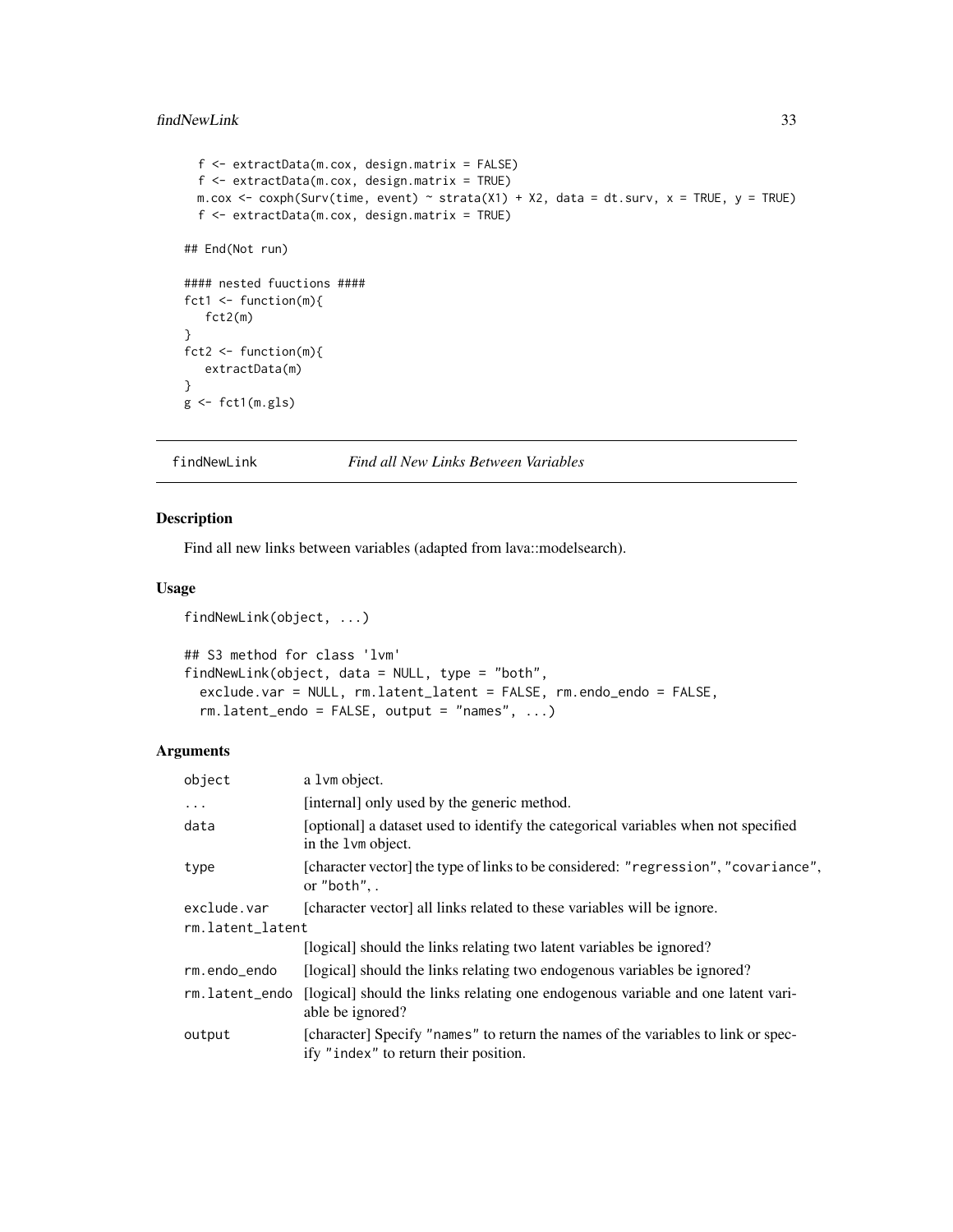#### <span id="page-32-0"></span>findNewLink 33

```
f <- extractData(m.cox, design.matrix = FALSE)
  f <- extractData(m.cox, design.matrix = TRUE)
 m.cox <- coxph(Surv(time, event) ~ strata(X1) + X2, data = dt.surv, x = TRUE, y = TRUE)
  f <- extractData(m.cox, design.matrix = TRUE)
## End(Not run)
#### nested fuuctions ####
fct1 \leq function(m){
   fct2(m)
}
fct2 <- function(m){
   extractData(m)
}
g <- fct1(m.gls)
```
findNewLink *Find all New Links Between Variables*

# Description

Find all new links between variables (adapted from lava::modelsearch).

# Usage

```
findNewLink(object, ...)
```

```
## S3 method for class 'lvm'
findNewLink(object, data = NULL, type = "both",
  exclude.var = NULL, rm.latent_latent = FALSE, rm.endo_endo = FALSE,
  rm.latent\_endo = FALSE, output = "names", ...
```

| object                          | a 1vm object.                                                                                                              |
|---------------------------------|----------------------------------------------------------------------------------------------------------------------------|
| $\ddots$                        | [internal] only used by the generic method.                                                                                |
| data                            | [optional] a dataset used to identify the categorical variables when not specified<br>in the 1 vm object.                  |
| type                            | [character vector] the type of links to be considered: "regression", "covariance",<br>or "both",.                          |
| exclude.var<br>rm.latent_latent | [character vector] all links related to these variables will be ignore.                                                    |
|                                 | [logical] should the links relating two latent variables be ignored?                                                       |
| rm.endo_endo                    | [logical] should the links relating two endogenous variables be ignored?                                                   |
| rm.latent_endo                  | [logical] should the links relating one endogenous variable and one latent vari-<br>able be ignored?                       |
| output                          | [character] Specify "names" to return the names of the variables to link or spec-<br>ify "index" to return their position. |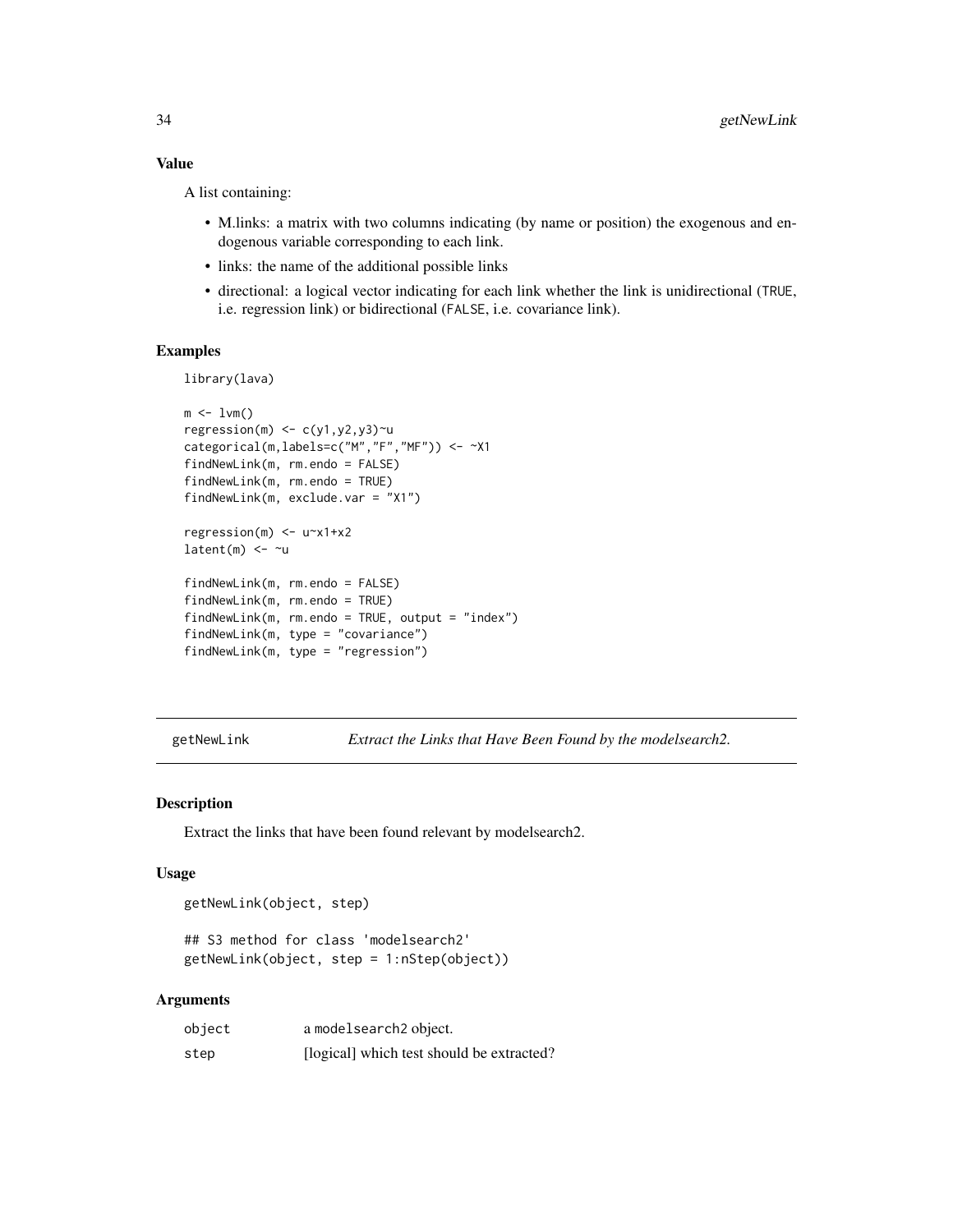## <span id="page-33-0"></span>Value

A list containing:

- M.links: a matrix with two columns indicating (by name or position) the exogenous and endogenous variable corresponding to each link.
- links: the name of the additional possible links
- directional: a logical vector indicating for each link whether the link is unidirectional (TRUE, i.e. regression link) or bidirectional (FALSE, i.e. covariance link).

## Examples

library(lava)

```
m \le -1vm()
regression(m) \leq c(y1,y2,y3)\simu
categorical(m,labels=c("M","F","MF")) <- ~X1
findNewLink(m, rm.endo = FALSE)
findNewLink(m, rm.endo = TRUE)
findNewLink(m, exclude.var = "X1")
regression(m) <- u~x1+x2
latent(m) <- ~u
findNewLink(m, rm.endo = FALSE)
findNewLink(m, rm.endo = TRUE)
findNewLink(m, rm.endo = TRUE, output = "index")
findNewLink(m, type = "covariance")
findNewLink(m, type = "regression")
```
getNewLink *Extract the Links that Have Been Found by the modelsearch2.*

## Description

Extract the links that have been found relevant by modelsearch2.

#### Usage

getNewLink(object, step)

## S3 method for class 'modelsearch2' getNewLink(object, step = 1:nStep(object))

| object | a modelsearch <sub>2</sub> object.        |
|--------|-------------------------------------------|
| step   | [logical] which test should be extracted? |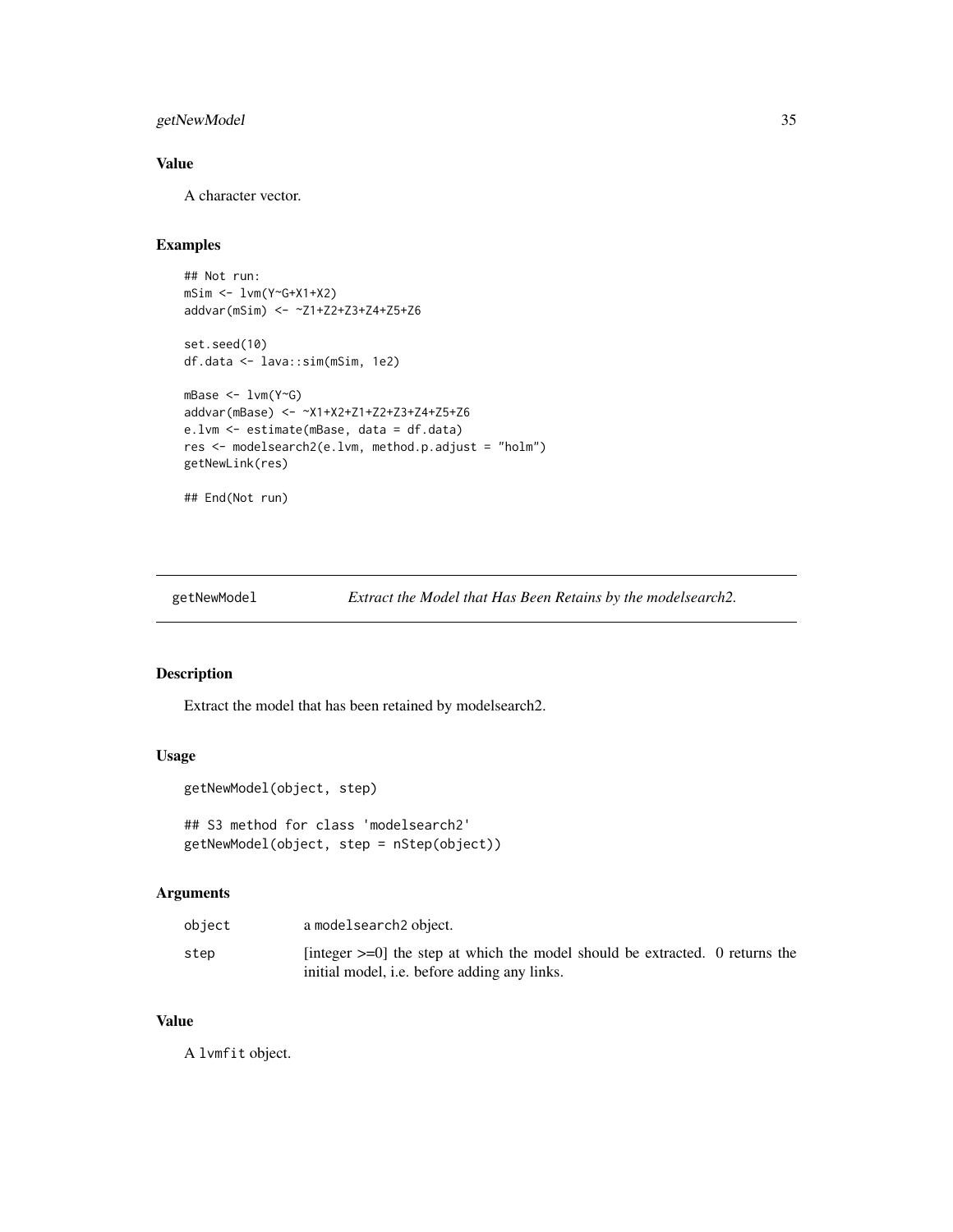# <span id="page-34-0"></span>getNewModel 35

# Value

A character vector.

## Examples

```
## Not run:
mSim <- lvm(Y~G+X1+X2)
addvar(mSim) <- ~Z1+Z2+Z3+Z4+Z5+Z6
set.seed(10)
df.data <- lava::sim(mSim, 1e2)
mBase <- lvm(Y~G)
addvar(mBase) <- ~X1+X2+Z1+Z2+Z3+Z4+Z5+Z6
e.lvm <- estimate(mBase, data = df.data)
res <- modelsearch2(e.lvm, method.p.adjust = "holm")
getNewLink(res)
```
## End(Not run)

getNewModel *Extract the Model that Has Been Retains by the modelsearch2.*

### Description

Extract the model that has been retained by modelsearch2.

#### Usage

```
getNewModel(object, step)
```
## S3 method for class 'modelsearch2' getNewModel(object, step = nStep(object))

## Arguments

| object | a modelsearch2 object.                                                                                                                    |  |
|--------|-------------------------------------------------------------------------------------------------------------------------------------------|--|
| step   | [integer $\geq=0$ ] the step at which the model should be extracted. 0 returns the<br>initial model, <i>i.e.</i> before adding any links. |  |

#### Value

A lvmfit object.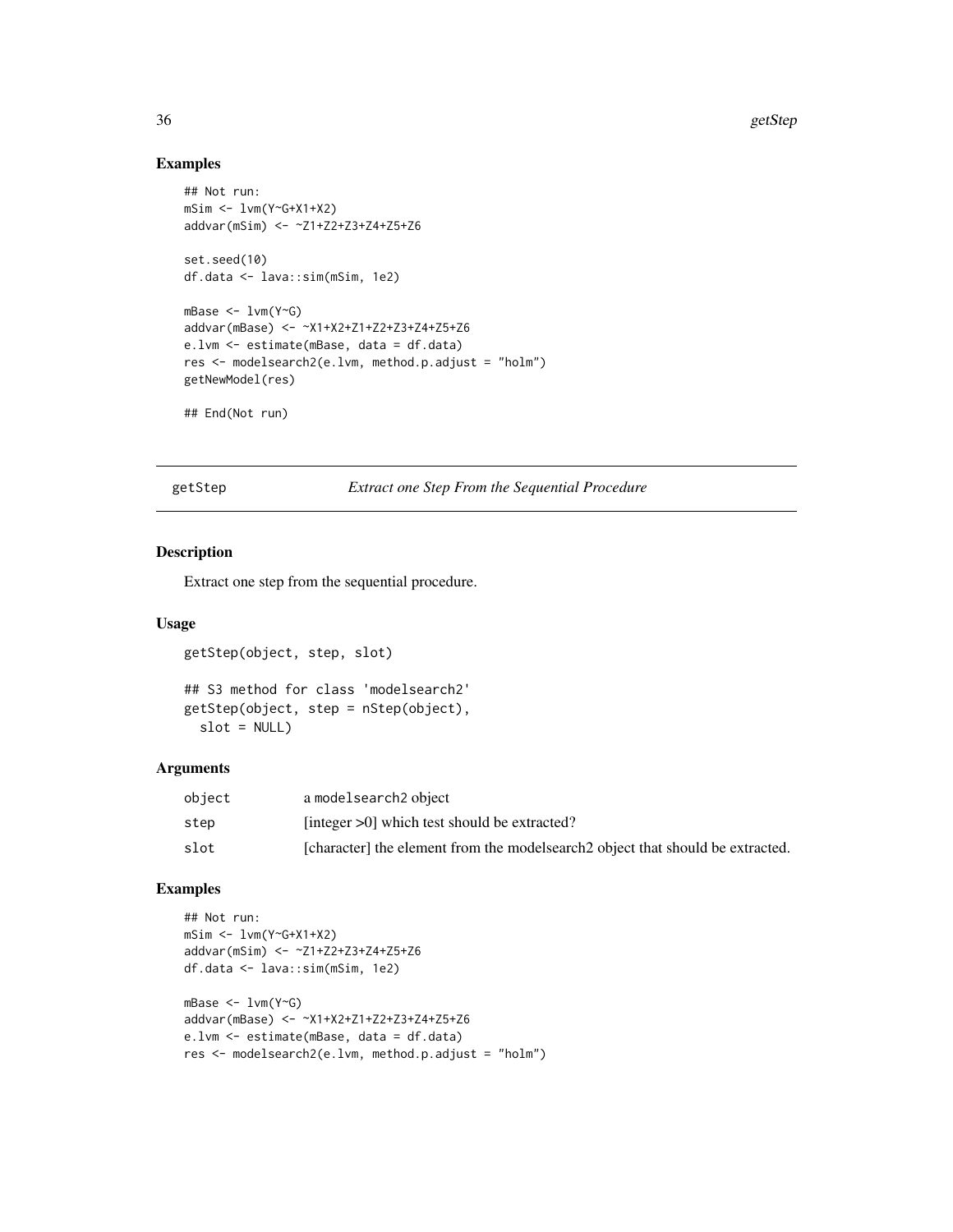# Examples

```
## Not run:
mSim <- lvm(Y~G+X1+X2)
addvar(mSim) <- ~Z1+Z2+Z3+Z4+Z5+Z6
set.seed(10)
df.data <- lava::sim(mSim, 1e2)
mBase <- lvm(Y~G)
addvar(mBase) <- ~X1+X2+Z1+Z2+Z3+Z4+Z5+Z6
e.lvm <- estimate(mBase, data = df.data)
res <- modelsearch2(e.lvm, method.p.adjust = "holm")
getNewModel(res)
## End(Not run)
```
getStep *Extract one Step From the Sequential Procedure*

## Description

Extract one step from the sequential procedure.

## Usage

```
getStep(object, step, slot)
```

```
## S3 method for class 'modelsearch2'
getStep(object, step = nStep(object),
  slot = NULL)
```
# Arguments

| object | a modelsearch <sub>2</sub> object                                               |
|--------|---------------------------------------------------------------------------------|
| step   | [integer $>0$ ] which test should be extracted?                                 |
| slot   | [character] the element from the modelsearch 2 object that should be extracted. |

```
## Not run:
mSim <- lvm(Y~G+X1+X2)
addvar(mSim) <- ~Z1+Z2+Z3+Z4+Z5+Z6
df.data <- lava::sim(mSim, 1e2)
mBase <- lvm(Y~G)
addvar(mBase) <- ~X1+X2+Z1+Z2+Z3+Z4+Z5+Z6
e.lvm <- estimate(mBase, data = df.data)
res <- modelsearch2(e.lvm, method.p.adjust = "holm")
```
<span id="page-35-0"></span>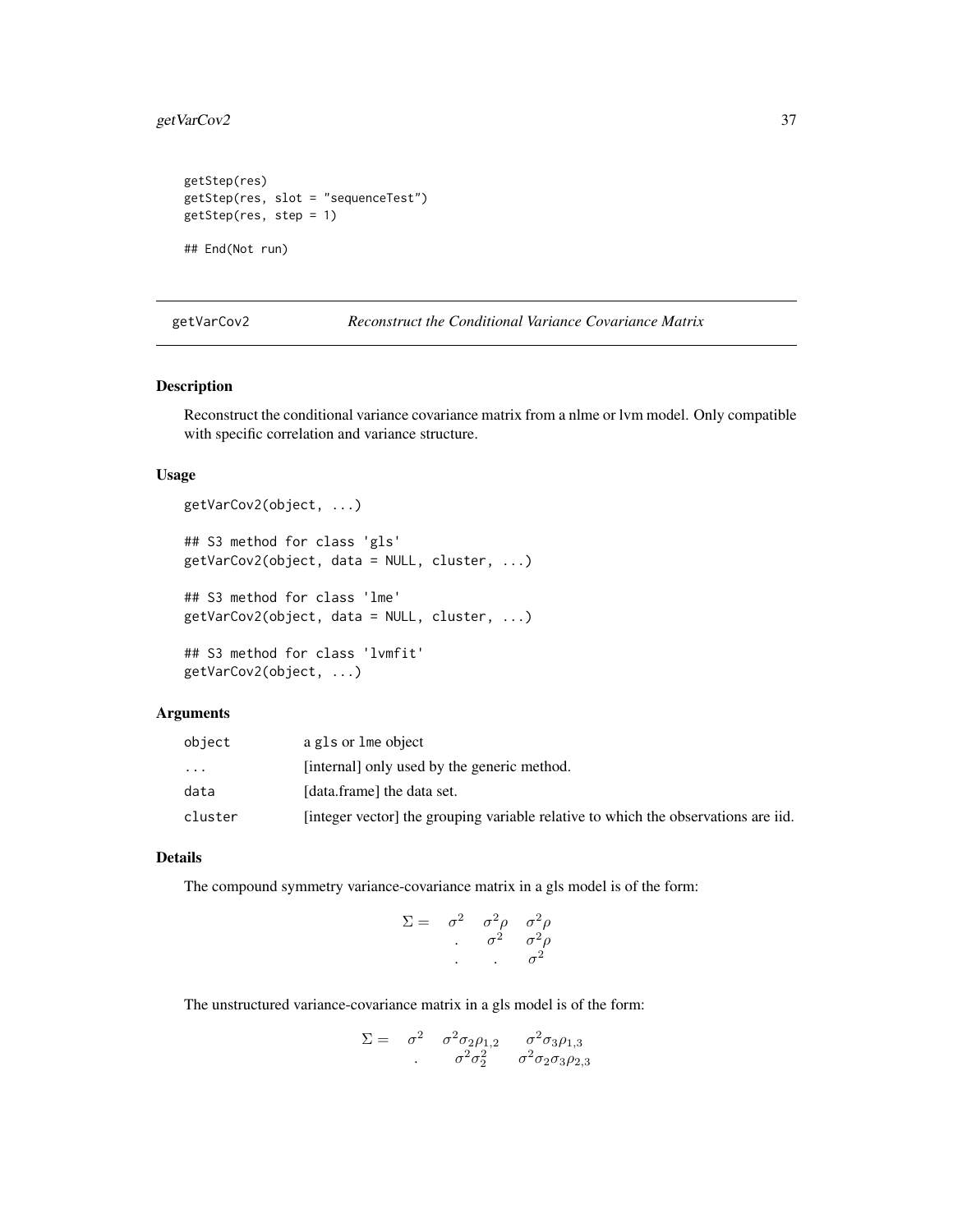# <span id="page-36-1"></span>getVarCov2 37

```
getStep(res)
getStep(res, slot = "sequenceTest")
getStep(res, step = 1)
```
## End(Not run)

#### <span id="page-36-0"></span>getVarCov2 *Reconstruct the Conditional Variance Covariance Matrix*

# Description

Reconstruct the conditional variance covariance matrix from a nlme or lvm model. Only compatible with specific correlation and variance structure.

## Usage

```
getVarCov2(object, ...)
## S3 method for class 'gls'
getVarCov2(object, data = NULL, cluster, ...)
## S3 method for class 'lme'
getVarCov2(object, data = NULL, cluster, ...)
## S3 method for class 'lvmfit'
getVarCov2(object, ...)
```
# Arguments

| object    | a gls or lme object                                                                |
|-----------|------------------------------------------------------------------------------------|
| $\ddotsc$ | [internal] only used by the generic method.                                        |
| data      | [data.frame] the data set.                                                         |
| cluster   | [integer vector] the grouping variable relative to which the observations are iid. |

# Details

The compound symmetry variance-covariance matrix in a gls model is of the form:

$$
\Sigma = \begin{array}{ccc} \sigma^2 & \sigma^2 \rho & \sigma^2 \rho \\ \sigma^2 & \sigma^2 \rho \\ \cdot & \cdot & \sigma^2 \end{array}
$$

The unstructured variance-covariance matrix in a gls model is of the form:

$$
\Sigma = \begin{array}{cc} \sigma^2 & \sigma^2 \sigma_2 \rho_{1,2} & \sigma^2 \sigma_3 \rho_{1,3} \\ \sigma^2 \sigma_2^2 & \sigma^2 \sigma_2 \sigma_3 \rho_{2,3} \end{array}
$$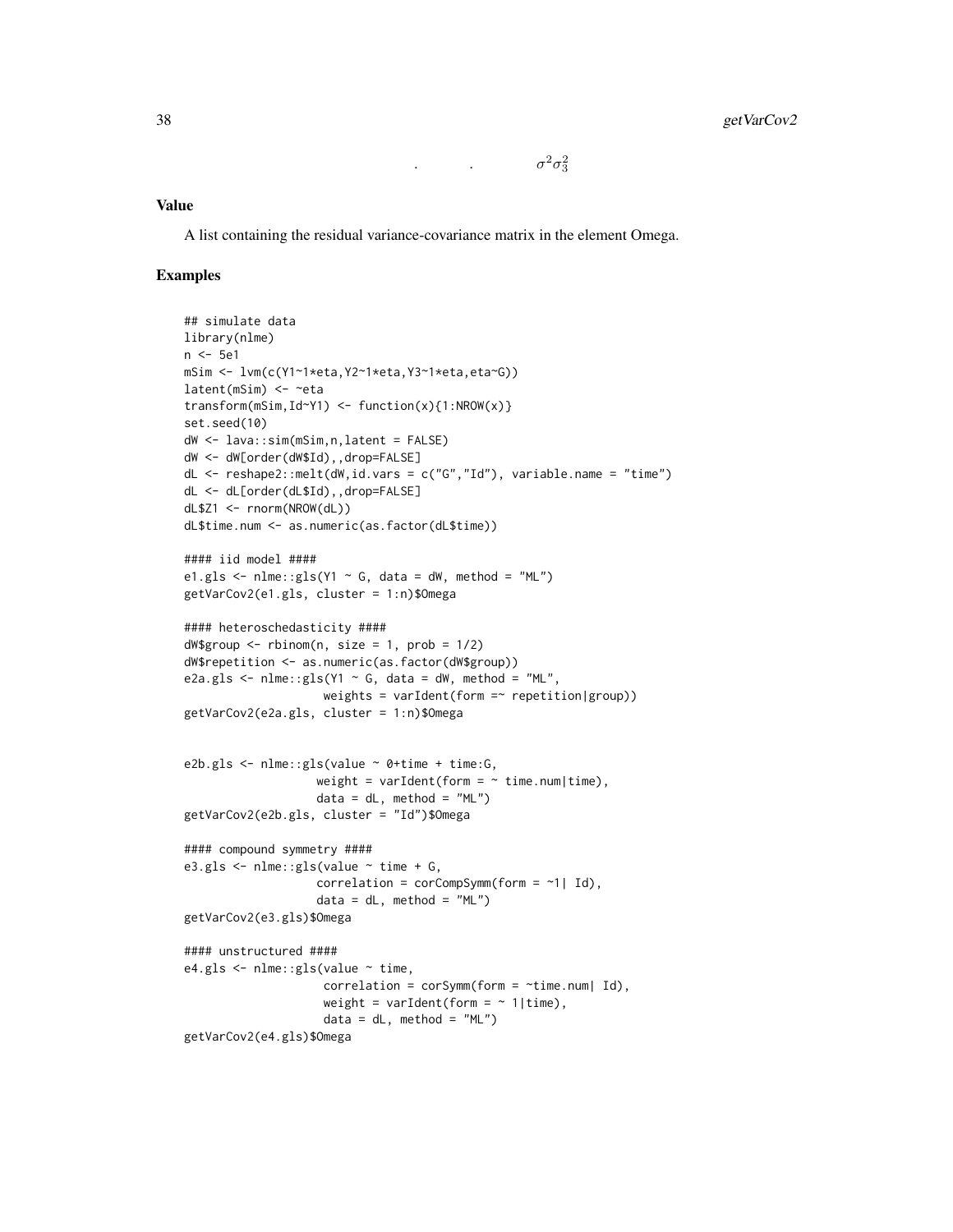.  $\sigma^2 \sigma_3^2$ 

# Value

A list containing the residual variance-covariance matrix in the element Omega.

```
## simulate data
library(nlme)
n <- 5e1
mSim <- lvm(c(Y1~1*eta,Y2~1*eta,Y3~1*eta,eta~G))
latent(mSim) <- ~eta
transform(mSim,Id~Y1) <- function(x){1:NROW(x)}
set.seed(10)
dW <- lava::sim(mSim,n,latent = FALSE)
dW <- dW[order(dW$Id),,drop=FALSE]
dL <- reshape2::melt(dW,id.vars = c("G","Id"), variable.name = "time")
dL <- dL[order(dL$Id),,drop=FALSE]
dL$Z1 <- rnorm(NROW(dL))
dL$time.num <- as.numeric(as.factor(dL$time))
#### iid model ####
e1.gls \le nlme::gls(Y1 \sim G, data = dW, method = "ML")
getVarCov2(e1.gls, cluster = 1:n)$Omega
#### heteroschedasticity ####
dW$group \leq- rbinom(n, size = 1, prob = 1/2)
dW$repetition <- as.numeric(as.factor(dW$group))
e2a.gls <- nlme::gls(Y1 ~ ~ G, data = dW, method = "ML",weights = varIdent(form =\sim repetition|group))
getVarCov2(e2a.gls, cluster = 1:n)$Omega
e2b.gls <- nlme::gls(value ~ 0+time + time:G,
                   weight = varIdent(form = \sim time.num|time),
                   data = dL, method = "ML")
getVarCov2(e2b.gls, cluster = "Id")$Omega
#### compound symmetry ####
e3.gls \le nlme::gls(value \sim time + G,
                   correlation = corCompSymm (form = ~1 | Id),
                   data = dL, method = "ML")
getVarCov2(e3.gls)$Omega
#### unstructured ####
e4.gls <- nlme::gls(value ~ time,
                    correlation = corSymm (form = ~time.num | Id),weight = varIdent(form = \sim 1|time),
                    data = dL, method = "ML")
getVarCov2(e4.gls)$Omega
```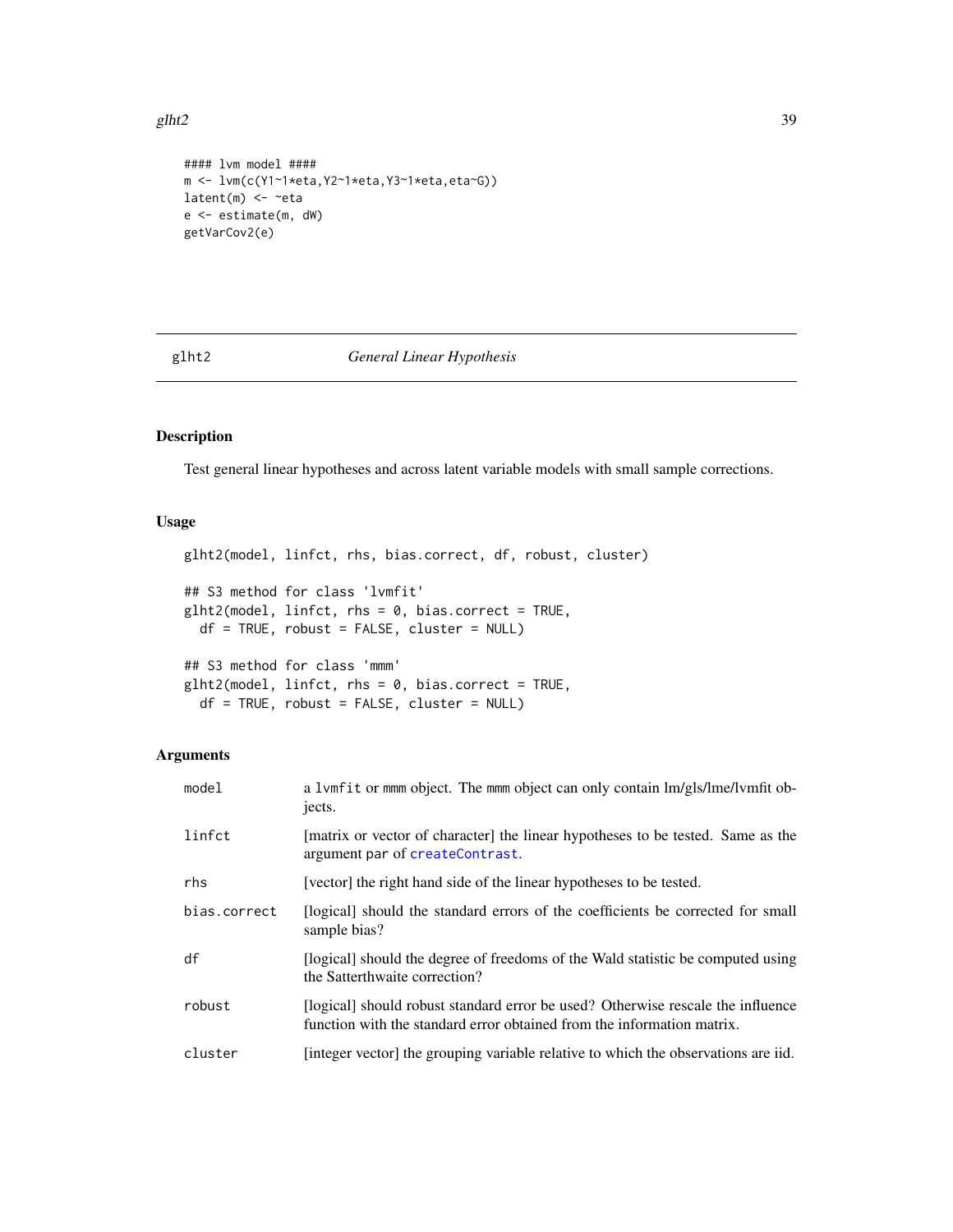#### <span id="page-38-1"></span>glht2  $39$

```
#### lvm model ####
m <- lvm(c(Y1~1*eta,Y2~1*eta,Y3~1*eta,eta~G))
latent(m) <- ~eta
e <- estimate(m, dW)
getVarCov2(e)
```
## <span id="page-38-0"></span>glht2 *General Linear Hypothesis*

# Description

Test general linear hypotheses and across latent variable models with small sample corrections.

# Usage

```
glht2(model, linfct, rhs, bias.correct, df, robust, cluster)
## S3 method for class 'lvmfit'
glht2(model, linfct, rhs = 0, bias.correct = TRUE,
 df = TRUE, robust = FALSE, cluster = NULL)
## S3 method for class 'mmm'
glht2(model, linfct, rhs = 0, bias.correct = TRUE,
 df = TRUE, robust = FALSE, cluster = NULL)
```
# Arguments

| model        | a 1vmfit or mmm object. The mmm object can only contain lm/gls/lme/lvmfit ob-<br>jects.                                                                   |
|--------------|-----------------------------------------------------------------------------------------------------------------------------------------------------------|
| linfct       | [matrix or vector of character] the linear hypotheses to be tested. Same as the<br>argument par of createContrast.                                        |
| rhs          | [vector] the right hand side of the linear hypotheses to be tested.                                                                                       |
| bias.correct | [logical] should the standard errors of the coefficients be corrected for small<br>sample bias?                                                           |
| df           | [logical] should the degree of freedoms of the Wald statistic be computed using<br>the Satterthwaite correction?                                          |
| robust       | [logical] should robust standard error be used? Otherwise rescale the influence<br>function with the standard error obtained from the information matrix. |
| cluster      | [integer vector] the grouping variable relative to which the observations are iid.                                                                        |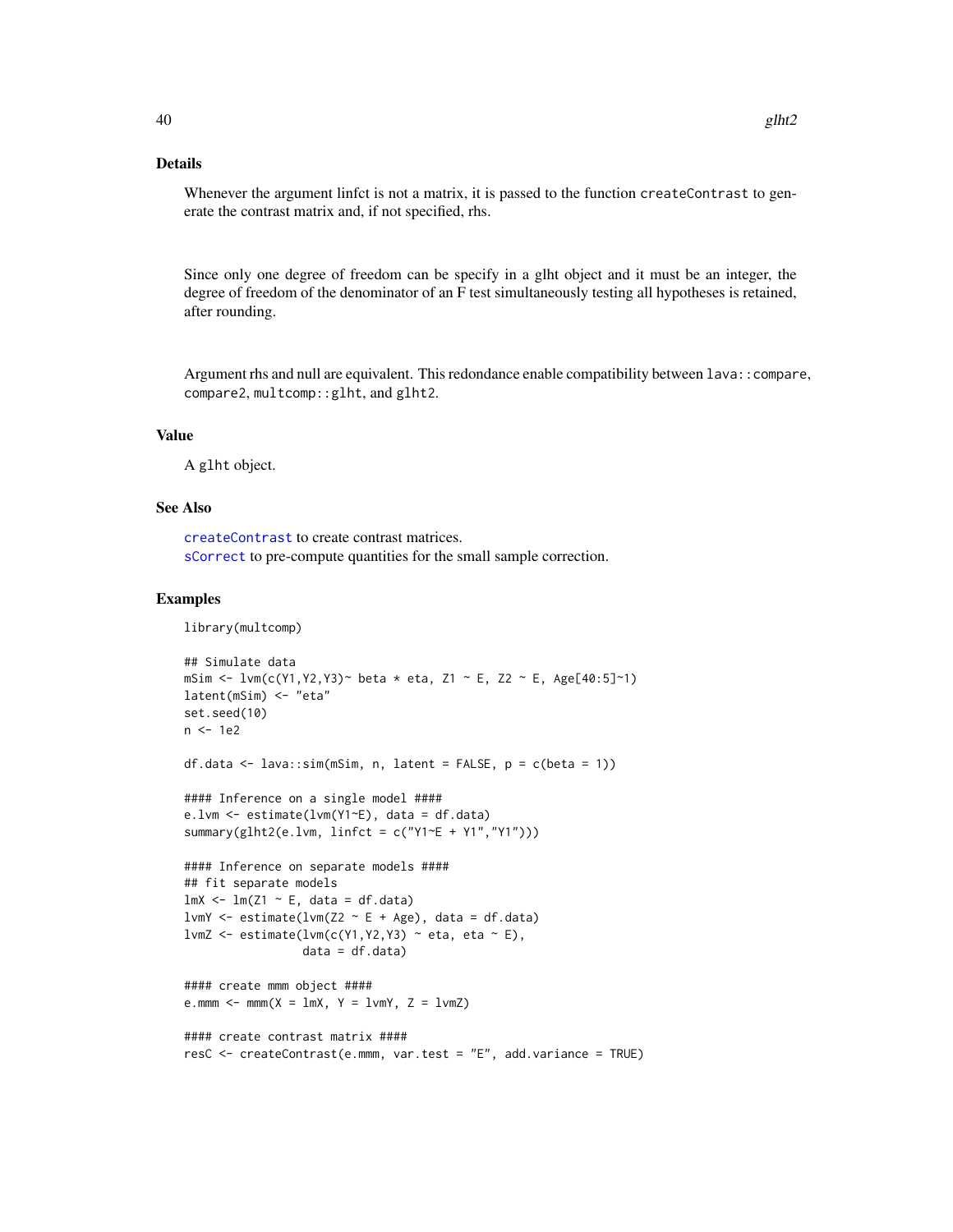# <span id="page-39-0"></span>Details

Whenever the argument linfct is not a matrix, it is passed to the function createContrast to generate the contrast matrix and, if not specified, rhs.

Since only one degree of freedom can be specify in a glht object and it must be an integer, the degree of freedom of the denominator of an F test simultaneously testing all hypotheses is retained, after rounding.

Argument rhs and null are equivalent. This redondance enable compatibility between lava::compare, compare2, multcomp::glht, and glht2.

# Value

A glht object.

## See Also

[createContrast](#page-24-0) to create contrast matrices. [sCorrect](#page-60-0) to pre-compute quantities for the small sample correction.

```
library(multcomp)
## Simulate data
mSim <- lvm(c(Y1,Y2,Y3)~ beta * eta, Z1 ~ E, Z2 ~ E, Age[40:5]~1)
latent(mSim) <- "eta"
set.seed(10)
n <- 1e2
df.data <- lava::sim(mSim, n, latent = FALSE, p = c(beta = 1))
#### Inference on a single model ####
e.lvm <- estimate(lvm(Y1~E), data = df.data)
summary(glht2(e.lvm, linfct = c("Y1~E + Y1","Y1")))
#### Inference on separate models ####
## fit separate models
lmX \leftarrow lm(Z1 \sim E, data = df.data)lvmY <- estimate(lvm(Z2 \sim E + Age), data = df.data)
lvmZ <- estimate(lvm(c(Y1, Y2, Y3) ~ eta, eta ~ E),
                 data = df.data)
#### create mmm object ####
e.mmm \le - mmm(X = \text{lmX}, Y = \text{lmY}, Z = \text{lmZ})#### create contrast matrix ####
resC <- createContrast(e.mmm, var.test = "E", add.variance = TRUE)
```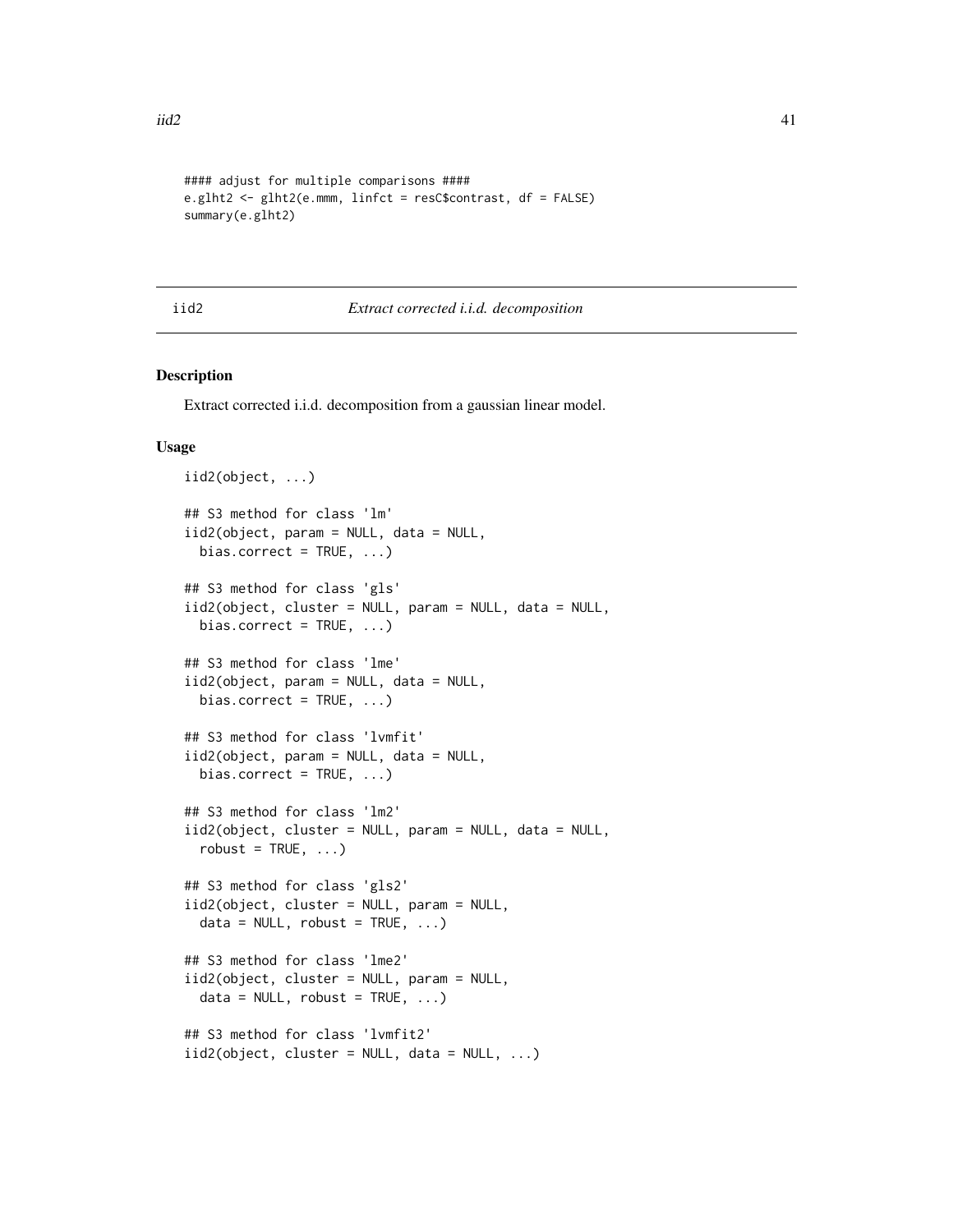```
#### adjust for multiple comparisons ####
e.glht2 <- glht2(e.mmm, linfct = resC$contrast, df = FALSE)
summary(e.glht2)
```
# iid2 *Extract corrected i.i.d. decomposition*

# Description

Extract corrected i.i.d. decomposition from a gaussian linear model.

#### Usage

```
iid2(object, ...)
## S3 method for class 'lm'
iid2(object, param = NULL, data = NULL,
 bias.correct = TRUE, ...)
## S3 method for class 'gls'
iid2(object, cluster = NULL, param = NULL, data = NULL,
 bias.correct = TRUE, ...)
## S3 method for class 'lme'
iid2(object, param = NULL, data = NULL,
 bias.correct = TRUE, ...)
## S3 method for class 'lvmfit'
iid2(object, param = NULL, data = NULL,
 bias.correct = TRUE, ...)
## S3 method for class 'lm2'
iid2(object, cluster = NULL, param = NULL, data = NULL,
  robust = TRUE, ...)
## S3 method for class 'gls2'
iid2(object, cluster = NULL, param = NULL,
 data = NULL, robust = TRUE, ...)## S3 method for class 'lme2'
iid2(object, cluster = NULL, param = NULL,
 data = NULL, robust = TRUE, ...)## S3 method for class 'lvmfit2'
iid2(object, cluster = NULL, data = NULL, ...)
```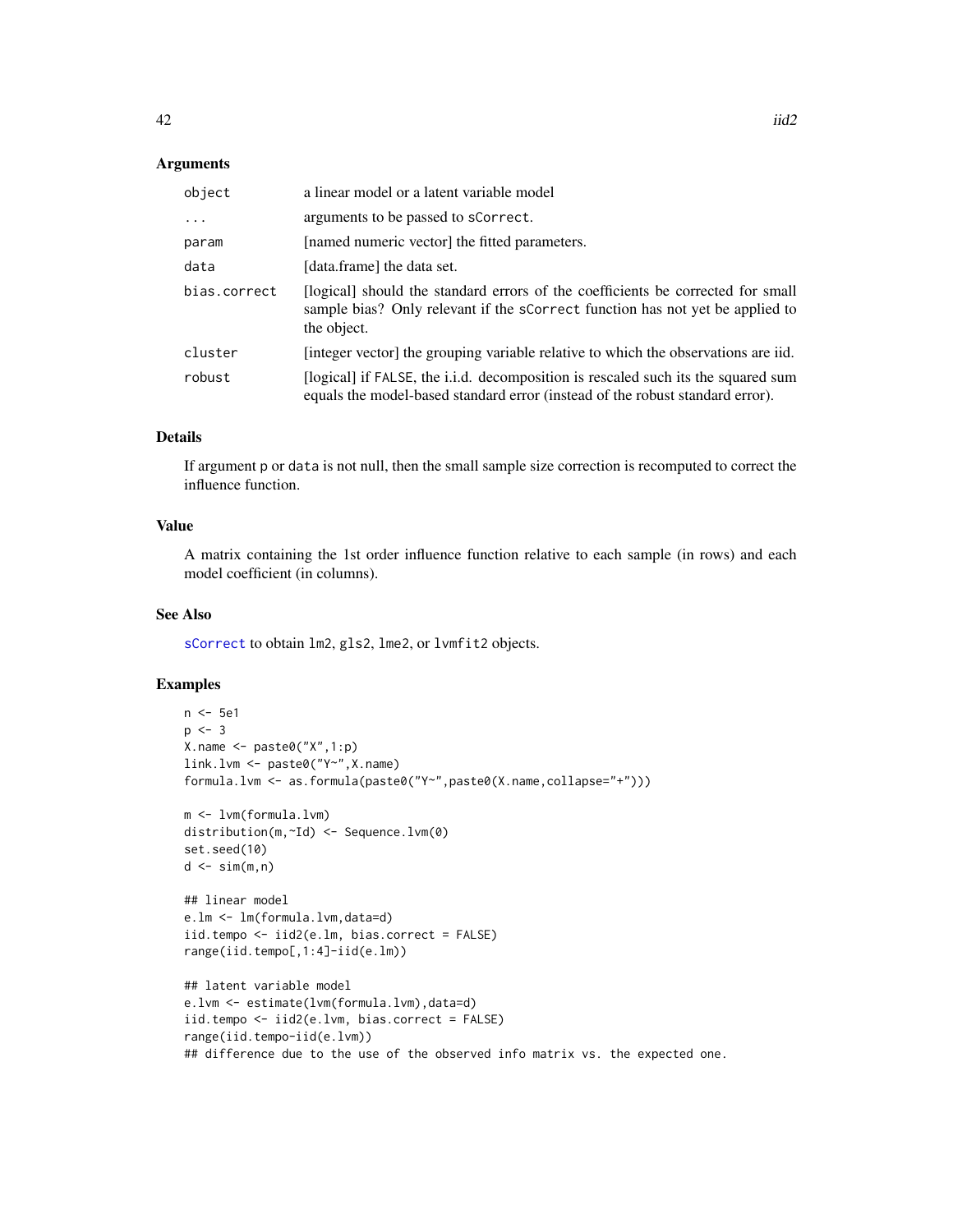## <span id="page-41-0"></span>**Arguments**

| object       | a linear model or a latent variable model                                                                                                                                       |
|--------------|---------------------------------------------------------------------------------------------------------------------------------------------------------------------------------|
| $\ddotsc$    | arguments to be passed to sCorrect.                                                                                                                                             |
| param        | [named numeric vector] the fitted parameters.                                                                                                                                   |
| data         | [data.frame] the data set.                                                                                                                                                      |
| bias.correct | [logical] should the standard errors of the coefficients be corrected for small<br>sample bias? Only relevant if the scorrect function has not yet be applied to<br>the object. |
| cluster      | [integer vector] the grouping variable relative to which the observations are iid.                                                                                              |
| robust       | [logical] if FALSE, the i.i.d. decomposition is rescaled such its the squared sum<br>equals the model-based standard error (instead of the robust standard error).              |

# Details

If argument p or data is not null, then the small sample size correction is recomputed to correct the influence function.

## Value

A matrix containing the 1st order influence function relative to each sample (in rows) and each model coefficient (in columns).

# See Also

[sCorrect](#page-60-0) to obtain lm2, gls2, lme2, or lvmfit2 objects.

```
n <- 5e1
p \le -3X.name \leftarrow paste@('X", 1:p)link.lvm <- paste0("Y~",X.name)
formula.lvm <- as.formula(paste0("Y~",paste0(X.name,collapse="+")))
m <- lvm(formula.lvm)
distribution(m,~Id) <- Sequence.lvm(0)
set.seed(10)
d \leq -\sin(m, n)## linear model
e.lm <- lm(formula.lvm,data=d)
iid.tempo <- iid2(e.lm, bias.correct = FALSE)
range(iid.tempo[,1:4]-iid(e.lm))
## latent variable model
e.lvm <- estimate(lvm(formula.lvm),data=d)
iid.tempo <- iid2(e.lvm, bias.correct = FALSE)
range(iid.tempo-iid(e.lvm))
## difference due to the use of the observed info matrix vs. the expected one.
```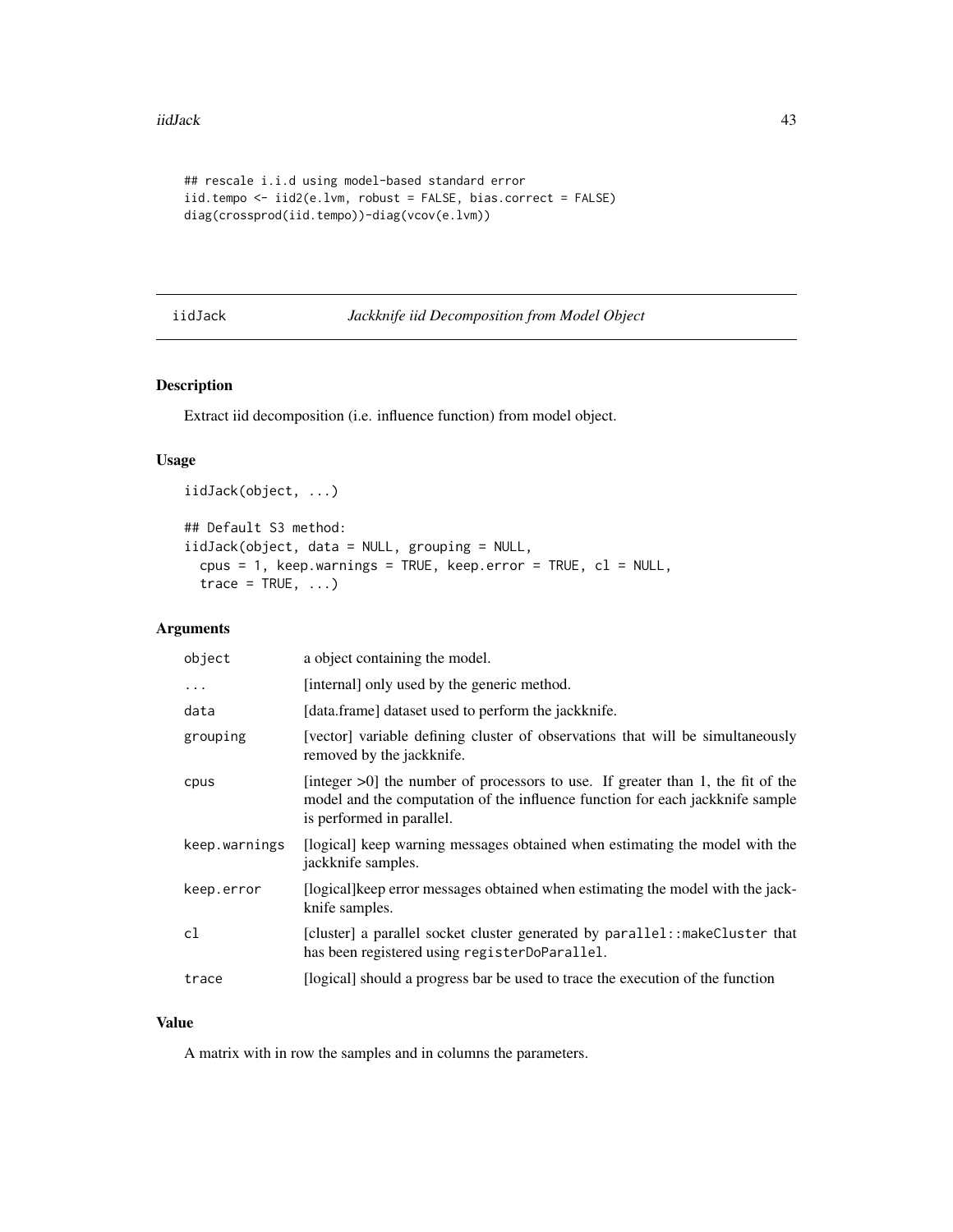```
## rescale i.i.d using model-based standard error
iid.tempo <- iid2(e.lvm, robust = FALSE, bias.correct = FALSE)
diag(crossprod(iid.tempo))-diag(vcov(e.lvm))
```
# <span id="page-42-0"></span>iidJack *Jackknife iid Decomposition from Model Object*

# Description

iidJack(object, ...)

Extract iid decomposition (i.e. influence function) from model object.

# Usage

```
## Default S3 method:
iidJack(object, data = NULL, grouping = NULL,
 cpus = 1, keep.warnings = TRUE, keep.error = TRUE, cl = NULL,
 trace = TRUE, ...
```
# Arguments

| object        | a object containing the model.                                                                                                                                                                   |
|---------------|--------------------------------------------------------------------------------------------------------------------------------------------------------------------------------------------------|
| $\cdots$      | [internal] only used by the generic method.                                                                                                                                                      |
| data          | [data.frame] dataset used to perform the jackknife.                                                                                                                                              |
| grouping      | [vector] variable defining cluster of observations that will be simultaneously<br>removed by the jackknife.                                                                                      |
| cpus          | [integer $>0$ ] the number of processors to use. If greater than 1, the fit of the<br>model and the computation of the influence function for each jackknife sample<br>is performed in parallel. |
| keep.warnings | [logical] keep warning messages obtained when estimating the model with the<br>jackknife samples.                                                                                                |
| keep.error    | [logical] keep error messages obtained when estimating the model with the jack-<br>knife samples.                                                                                                |
| cl            | [cluster] a parallel socket cluster generated by parallel:: makeCluster that<br>has been registered using registerDoParallel.                                                                    |
| trace         | [logical] should a progress bar be used to trace the execution of the function                                                                                                                   |
|               |                                                                                                                                                                                                  |

#### Value

A matrix with in row the samples and in columns the parameters.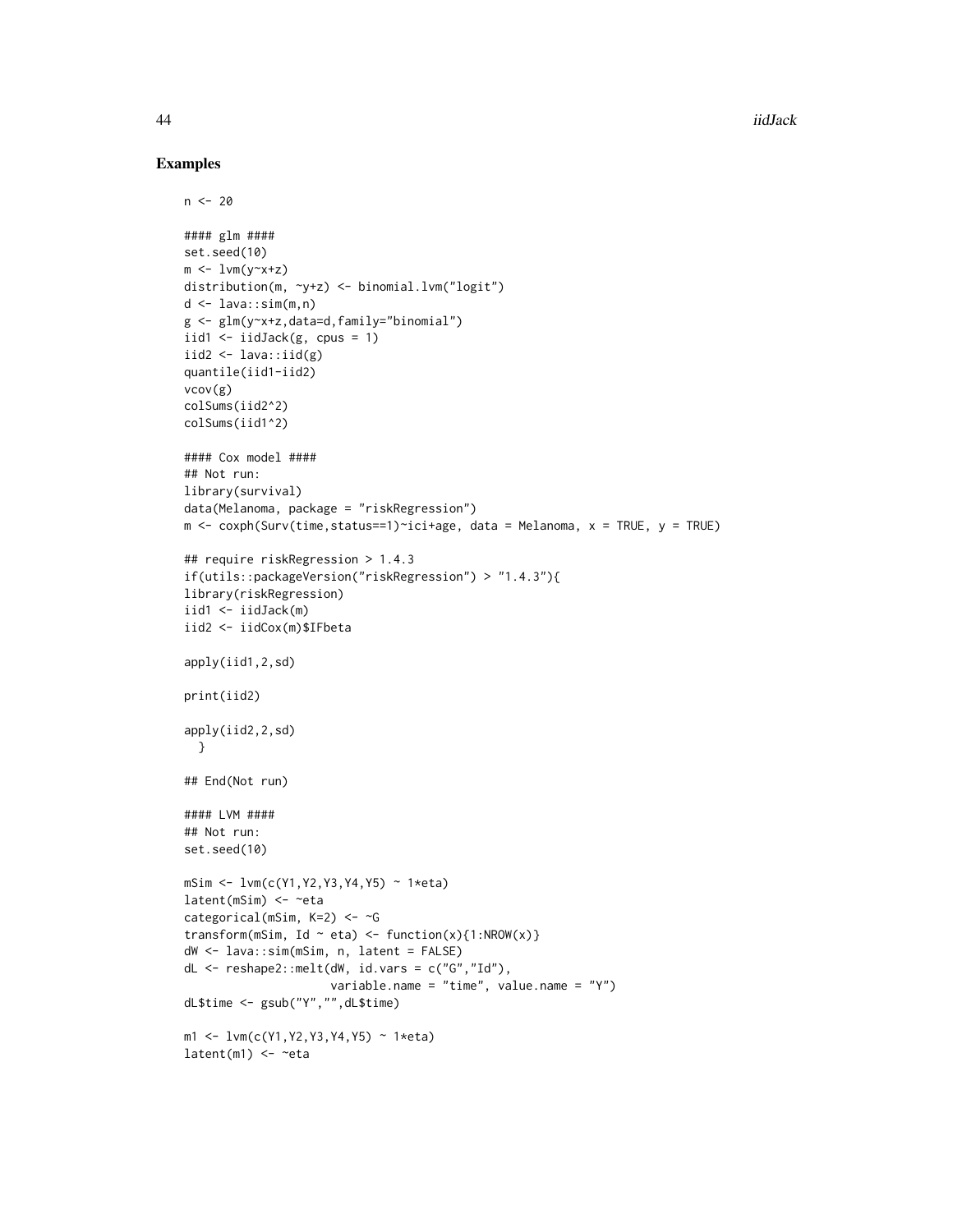44 iidJack sources and the set of the set of the set of the set of the set of the set of the set of the set of the set of the set of the set of the set of the set of the set of the set of the set of the set of the set of t

```
n < -20#### glm ####
set.seed(10)
m \leftarrow \text{lvm}(y \sim x + z)distribution(m, ~y+z) <- binomial.lvm("logit")
d \leq -\text{lava:isim}(m,n)g <- glm(y~x+z,data=d,family="binomial")
iid1 \leftarrow iidJack(g, cpus = 1)
iid2 \leftarrow lava::iid(g)
quantile(iid1-iid2)
vcov(g)
colSums(iid2^2)
colSums(iid1^2)
#### Cox model ####
## Not run:
library(survival)
data(Melanoma, package = "riskRegression")
m \le -\cosh(Surv(time, status==1)^{-1}c1+age, data = Melanoma, x = TRUE, y = TRUE)## require riskRegression > 1.4.3
if(utils::packageVersion("riskRegression") > "1.4.3"){
library(riskRegression)
iid1 <- iidJack(m)
iid2 <- iidCox(m)$IFbeta
apply(iid1,2,sd)
print(iid2)
apply(iid2,2,sd)
 }
## End(Not run)
#### LVM ####
## Not run:
set.seed(10)
mSim <- lvm(c(Y1,Y2,Y3,Y4,Y5) ~ 1*eta)
latent(mSim) <- ~eta
categorical(mSim, K=2) <- ~G
transform(mSim, Id ~ eta) <- function(x){1:NROW(x)}
dW <- lava::sim(mSim, n, latent = FALSE)
dL <- reshape2::melt(dW, id.vars = c("G","Id"),
                      variable.name = "time", value.name = "Y")
dL$time <- gsub("Y","",dL$time)
m1 <- lvm(c(Y1,Y2,Y3,Y4,Y5) ~ 1*eta)
latent(m1) < - ~eta
```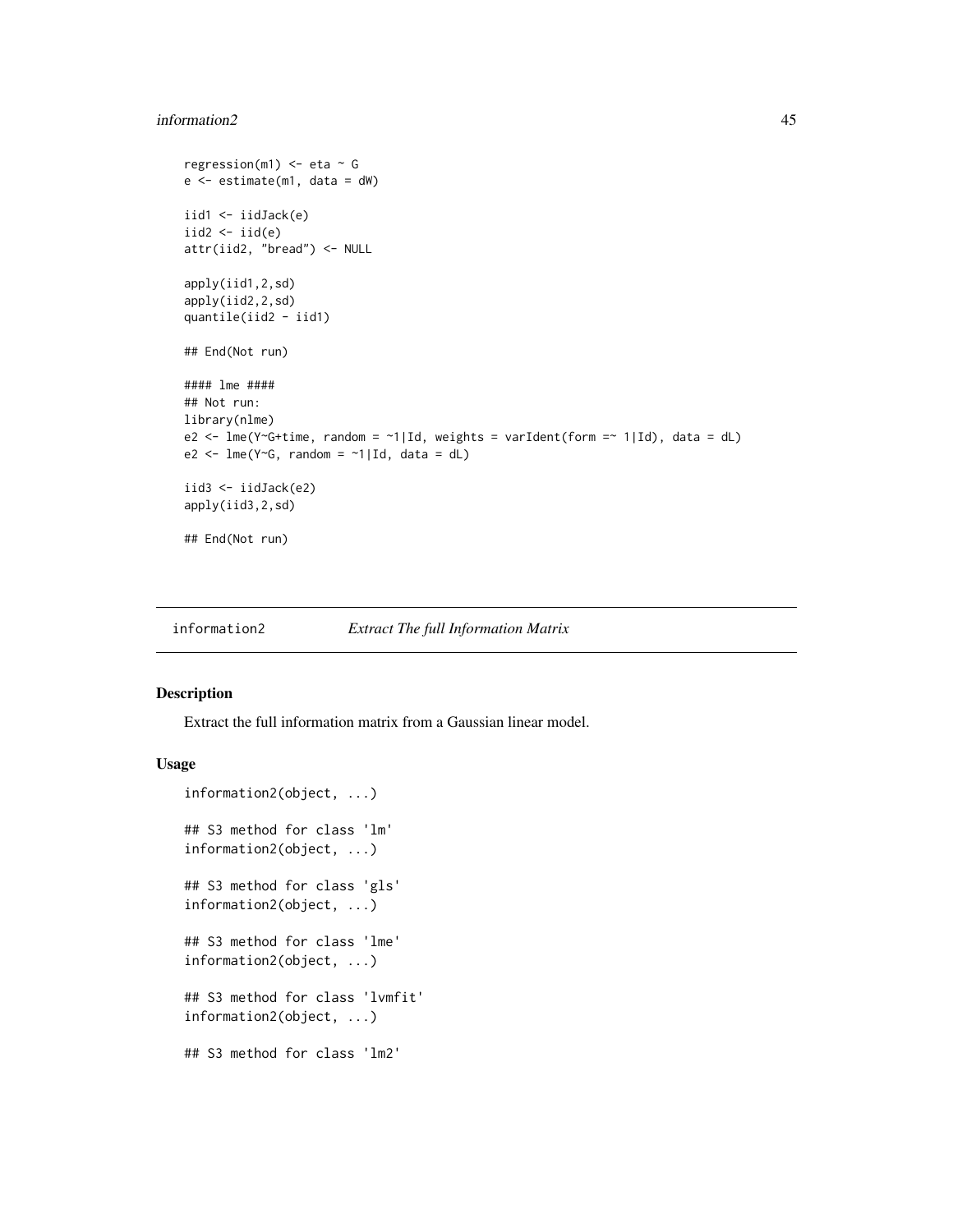#### <span id="page-44-0"></span>information2 45

```
regression(m1) \leq eta \sim G
e \leftarrow estimate(m1, data = dW)
iid1 <- iidJack(e)
iid2 < - iid(e)attr(iid2, "bread") <- NULL
apply(iid1,2,sd)
apply(iid2,2,sd)
quantile(iid2 - iid1)
## End(Not run)
#### lme ####
## Not run:
library(nlme)
e2 <- lme(Y~G+time, random = ~1|Id, weights = varIdent(form =~ 1|Id), data = dL)
e2 <- lmc(Y<sup>o</sup>G, random = ~1|Id, data = dL)iid3 <- iidJack(e2)
apply(iid3,2,sd)
## End(Not run)
```
information2 *Extract The full Information Matrix*

## Description

Extract the full information matrix from a Gaussian linear model.

## Usage

```
information2(object, ...)
## S3 method for class 'lm'
information2(object, ...)
## S3 method for class 'gls'
information2(object, ...)
## S3 method for class 'lme'
information2(object, ...)
## S3 method for class 'lvmfit'
information2(object, ...)
## S3 method for class 'lm2'
```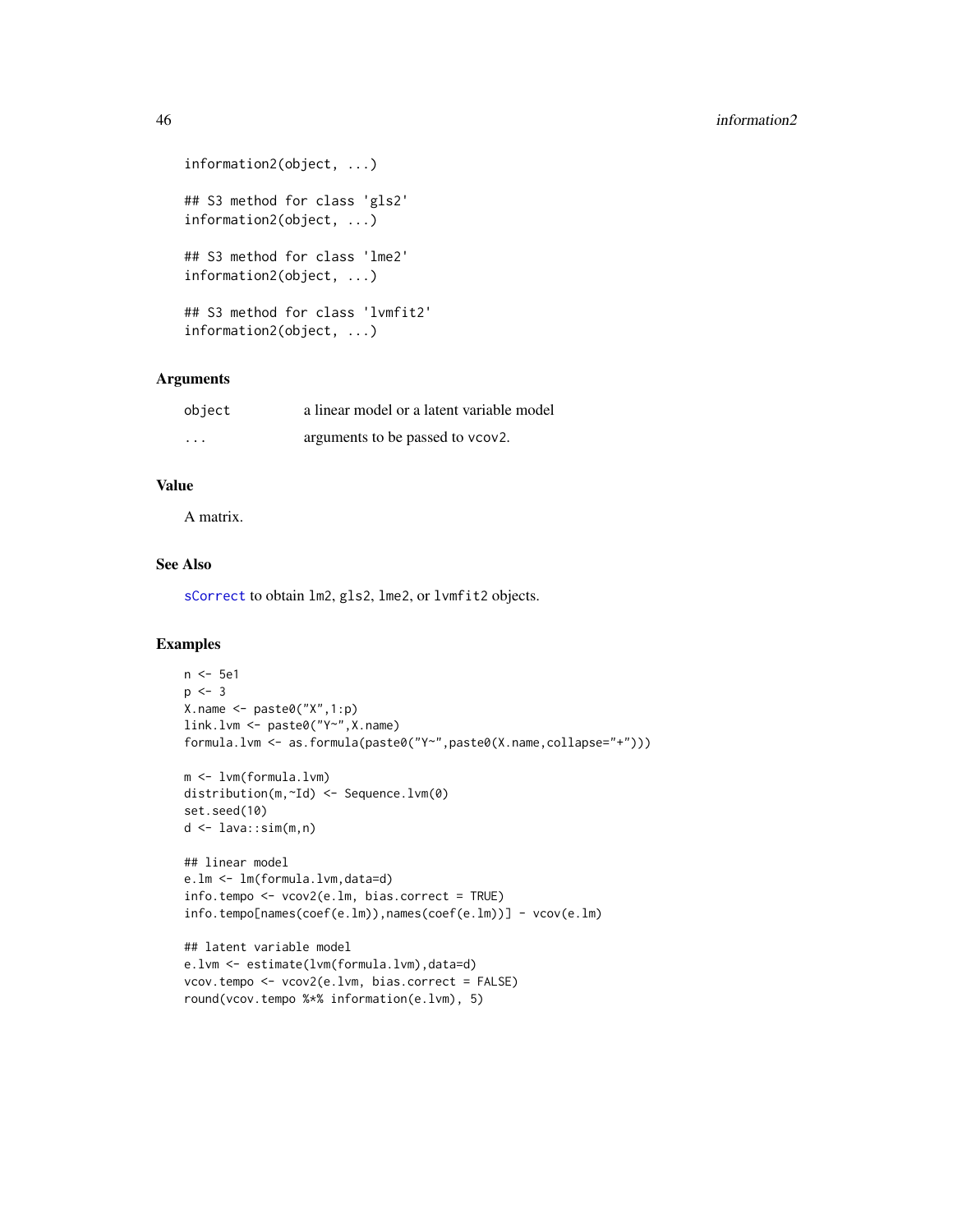```
information2(object, ...)
## S3 method for class 'gls2'
information2(object, ...)
## S3 method for class 'lme2'
information2(object, ...)
## S3 method for class 'lvmfit2'
information2(object, ...)
```
# Arguments

| object                  | a linear model or a latent variable model |
|-------------------------|-------------------------------------------|
| $\cdot$ $\cdot$ $\cdot$ | arguments to be passed to vcov2.          |

## Value

A matrix.

# See Also

[sCorrect](#page-60-0) to obtain lm2, gls2, lme2, or lvmfit2 objects.

```
n <- 5e1
p \le -3X.name <- paste0("X",1:p)
link.lvm <- paste0("Y~",X.name)
formula.lvm <- as.formula(paste0("Y~",paste0(X.name,collapse="+")))
m <- lvm(formula.lvm)
distribution(m,~Id) <- Sequence.lvm(0)
set.seed(10)
d <- lava::sim(m,n)
## linear model
e.lm <- lm(formula.lvm,data=d)
info.tempo <- vcov2(e.lm, bias.correct = TRUE)
info.tempo[names(coef(e.lm)),names(coef(e.lm))] - vcov(e.lm)
## latent variable model
e.lvm <- estimate(lvm(formula.lvm),data=d)
vcov.tempo <- vcov2(e.lvm, bias.correct = FALSE)
round(vcov.tempo %*% information(e.lvm), 5)
```
<span id="page-45-0"></span>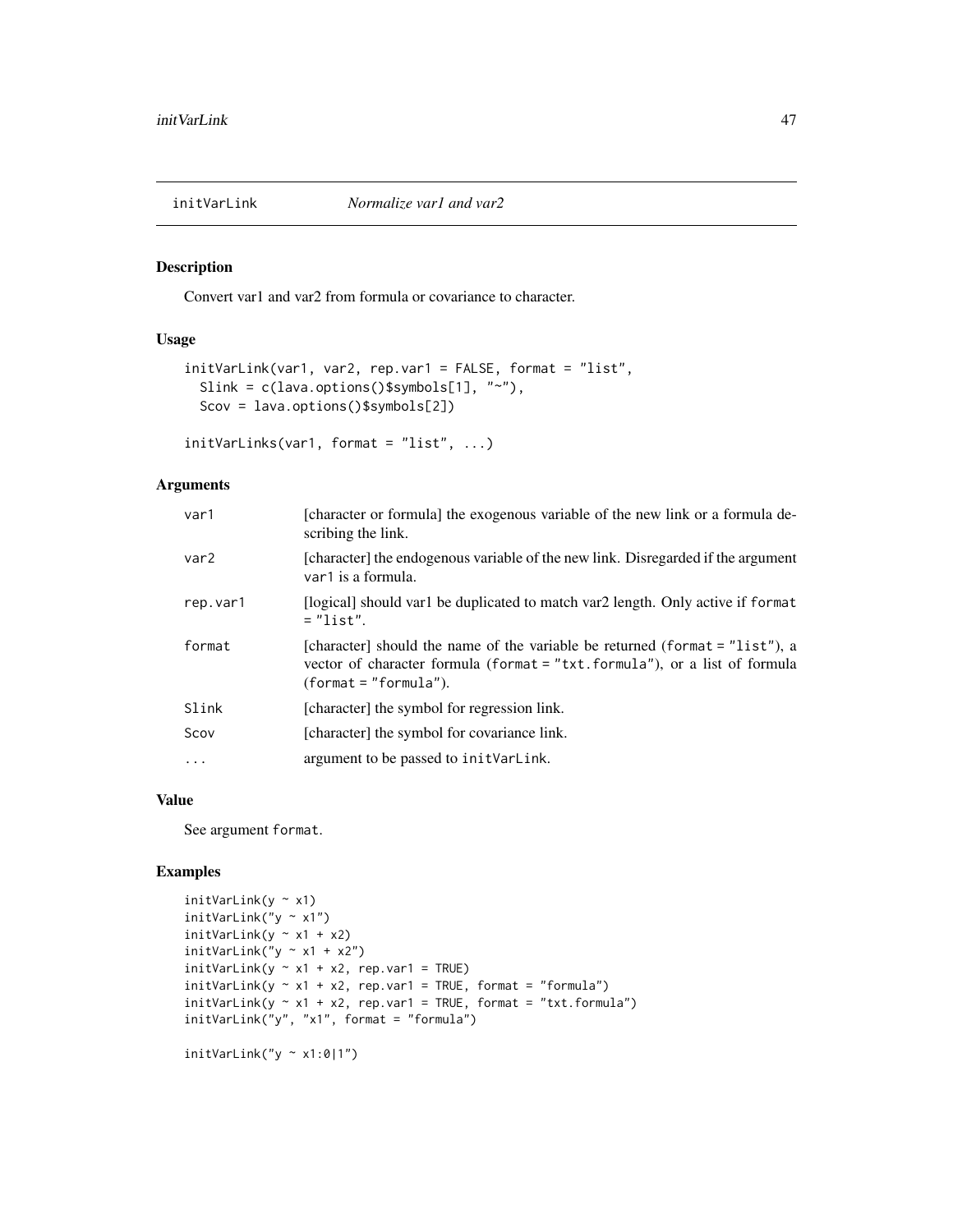<span id="page-46-0"></span>

## Description

Convert var1 and var2 from formula or covariance to character.

# Usage

```
initVarLink(var1, var2, rep.var1 = FALSE, format = "list",
 Slink = c(lava.options()$symbols[1], "~"),
 Scov = lava.options()$symbols[2])
```
initVarLinks(var1, format = "list", ...)

## Arguments

| var1     | [character or formula] the exogenous variable of the new link or a formula de-<br>scribing the link.                                                                                    |
|----------|-----------------------------------------------------------------------------------------------------------------------------------------------------------------------------------------|
| var2     | [character] the endogenous variable of the new link. Disregarded if the argument<br>var1 is a formula.                                                                                  |
| rep.var1 | [logical] should var1 be duplicated to match var2 length. Only active if format<br>$=$ "list".                                                                                          |
| format   | [character] should the name of the variable be returned (format $=$ "list"), a<br>vector of character formula (format = "txt.formula"), or a list of formula<br>$(format = "formula").$ |
| Slink    | [character] the symbol for regression link.                                                                                                                                             |
| Scov     | [character] the symbol for covariance link.                                                                                                                                             |
| $\cdots$ | argument to be passed to init VarLink.                                                                                                                                                  |
|          |                                                                                                                                                                                         |

# Value

See argument format.

```
initVarLink(y \sim x1)initVarLink("y ~ x1")
initVarLink(y \sim x1 + x2)initVarLink("y ~ x1 + x2")initVarLink(y \sim x1 + x2, rep.var1 = TRUE)initVarLink(y \sim x1 + x2, rep.var1 = TRUE, format = "formula")initVariable(y \sim x1 + x2, rep.var1 = TRUE, format = "txt.format")initVarLink("y", "x1", format = "formula")
initVarLink("y \sim x1:0|1")
```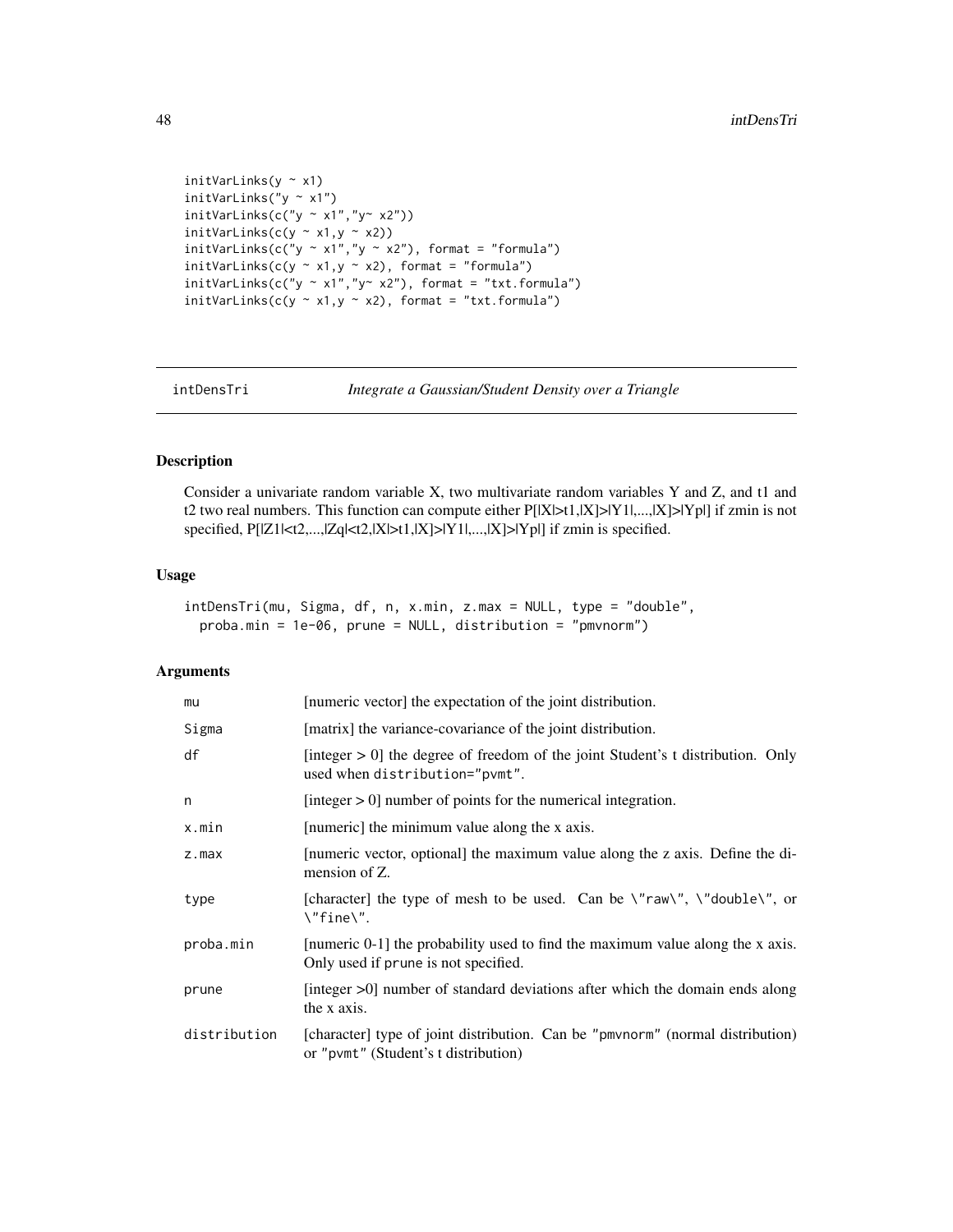```
initVarLinks(y ~ x1)
initVarLinks("y ~ x1")
initVarLinks(c("y ~ x1", "y~ x2"))initVarLinks(c(y \sim x1,y \sim x2))
initVarLinks(c("y ~ x1", "y ~ x2"), format = "formula")
initVarLinks(c(y \sim x1, y \sim x2), format = "formula")
initVarLinks(c("y ~ x1", "y~ x2"), format = "txt.formula")
initVarLinks(c(y \sim x1, y \sim x2), format = "txt.formula")
```
intDensTri *Integrate a Gaussian/Student Density over a Triangle*

# Description

Consider a univariate random variable X, two multivariate random variables Y and Z, and t1 and t2 two real numbers. This function can compute either  $P[|X|>t1,|X|>|Y1|, ..., |X|>|Yp|]$  if zmin is not specified, P[|Z1|<t2,...,|Zq|<t2,|X|>t1,|X]>|Y1|,...,|X]>|Yp|] if zmin is specified.

## Usage

```
intDensTri(mu, Sigma, df, n, x.min, z.max = NULL, type = "double",
 proba.min = 1e-06, prune = NULL, distribution = "pmvnorm")
```
# Arguments

| mu           | [numeric vector] the expectation of the joint distribution.                                                            |
|--------------|------------------------------------------------------------------------------------------------------------------------|
| Sigma        | [matrix] the variance-covariance of the joint distribution.                                                            |
| df           | [integer $> 0$ ] the degree of freedom of the joint Student's t distribution. Only<br>used when distribution="pvmt".   |
| n            | [integer $> 0$ ] number of points for the numerical integration.                                                       |
| x.min        | [numeric] the minimum value along the x axis.                                                                          |
| z.max        | [numeric vector, optional] the maximum value along the z axis. Define the di-<br>mension of Z.                         |
| type         | [character] the type of mesh to be used. Can be $\gamma$ raw $\gamma$ , $\gamma$ double $\gamma$ , or<br>\"fine\".     |
| proba.min    | [numeric 0-1] the probability used to find the maximum value along the x axis.<br>Only used if prune is not specified. |
| prune        | [integer $>0$ ] number of standard deviations after which the domain ends along<br>the x axis.                         |
| distribution | [character] type of joint distribution. Can be "pmvnorm" (normal distribution)<br>or "pvmt" (Student's t distribution) |

<span id="page-47-0"></span>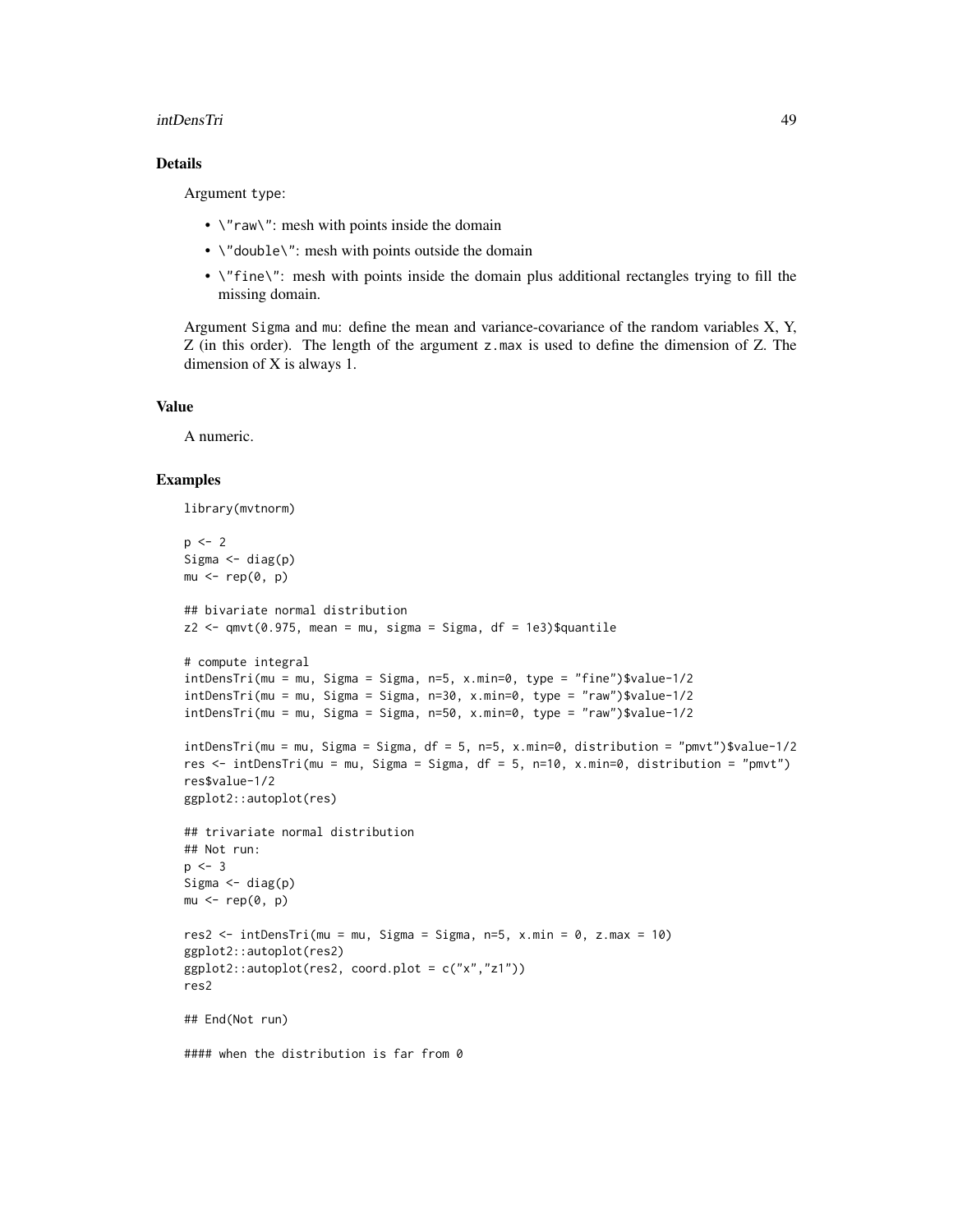## intDensTri 49

# Details

Argument type:

- $\sqrt{n}$  raw $\sqrt{n}$ : mesh with points inside the domain
- \"double\": mesh with points outside the domain
- \"fine\": mesh with points inside the domain plus additional rectangles trying to fill the missing domain.

Argument Sigma and mu: define the mean and variance-covariance of the random variables X, Y, Z (in this order). The length of the argument z.max is used to define the dimension of Z. The dimension of X is always 1.

## Value

A numeric.

```
library(mvtnorm)
p \le -2Sigma \leq diag(p)
mu < - rep(0, p)## bivariate normal distribution
z2 \leq \text{qmvt}(0.975, \text{mean} = \text{mu}, \text{sigma} = \text{Sigma}, \text{df} = 1e3)$quantile
# compute integral
intDensTri(mu = mu, Sigma = Sigma, n=5, x.min=0, type = "fine")$value-1/2
intDensTri(mu = mu, Sigma = Sigma, n=30, x.min=0, type = "raw")$value-1/2
intDensity(mu = mu, Sigma = Sigma, n=50, x.min=0, type = "raw")\$value-1/2intDensTri(mu = mu, Sigma = Sigma, df = 5, n=5, x.min=0, distribution = "pmvt")$value-1/2
res <- intDensTri(mu = mu, Sigma = Sigma, df = 5, n=10, x.min=0, distribution = "pmvt")
res$value-1/2
ggplot2::autoplot(res)
## trivariate normal distribution
## Not run:
p \le -3Sigma \leftarrow diag(p)
mu < - rep(0, p)res2 \le intDensTri(mu = mu, Sigma = Sigma, n=5, x.min = 0, z.max = 10)
ggplot2::autoplot(res2)
ggplot2::autoplot(res2, coord.plot = c("x","z1"))
res2
## End(Not run)
#### when the distribution is far from 0
```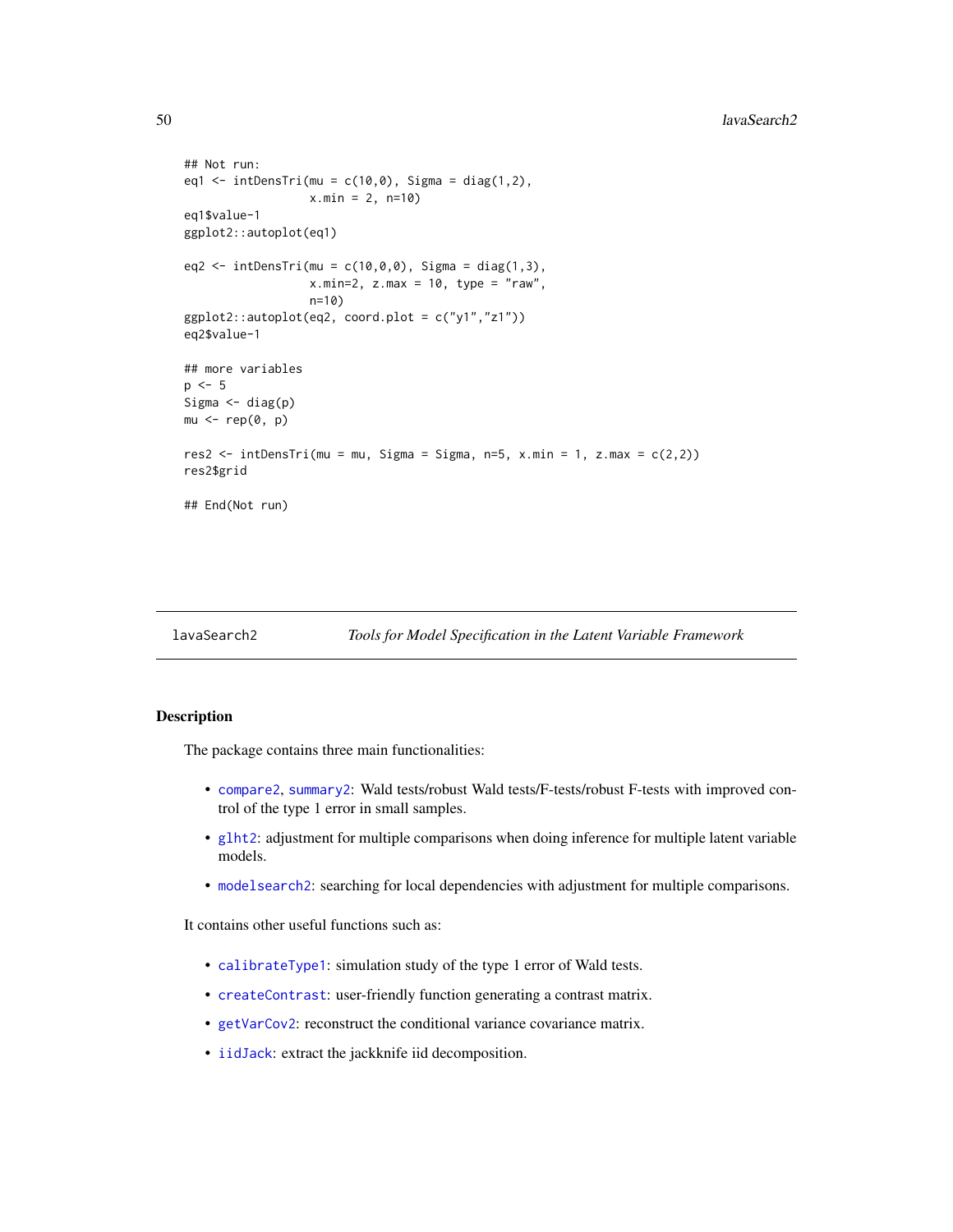```
## Not run:
eq1 <- intDensTri(mu = c(10, 0), Sigma = diag(1,2),
                   x.min = 2, n=10)
eq1$value-1
ggplot2::autoplot(eq1)
eq2 \le - \text{ intDensTri}(\text{mu} = c(10, 0, 0), \text{ Sigma} = \text{diag}(1, 3),x.min=2, z.max = 10, type = "raw",n=10)
ggplot2::author[eq2, coord.plot = c("y1", "z1"))eq2$value-1
## more variables
p \le -5Sigma \leftarrow diag(p)
mu < - rep(0, p)res2 <- intDensTri(mu = mu, Sigma = Sigma, n=5, x.min = 1, z.max = c(2,2))
res2$grid
## End(Not run)
```
lavaSearch2 *Tools for Model Specification in the Latent Variable Framework*

# Description

The package contains three main functionalities:

- [compare2](#page-21-0), [summary2](#page-65-0): Wald tests/robust Wald tests/F-tests/robust F-tests with improved control of the type 1 error in small samples.
- [glht2](#page-38-0): adjustment for multiple comparisons when doing inference for multiple latent variable models.
- [modelsearch2](#page-53-0): searching for local dependencies with adjustment for multiple comparisons.

It contains other useful functions such as:

- [calibrateType1](#page-10-0): simulation study of the type 1 error of Wald tests.
- [createContrast](#page-24-0): user-friendly function generating a contrast matrix.
- [getVarCov2](#page-36-0): reconstruct the conditional variance covariance matrix.
- [iidJack](#page-42-0): extract the jackknife iid decomposition.

<span id="page-49-0"></span>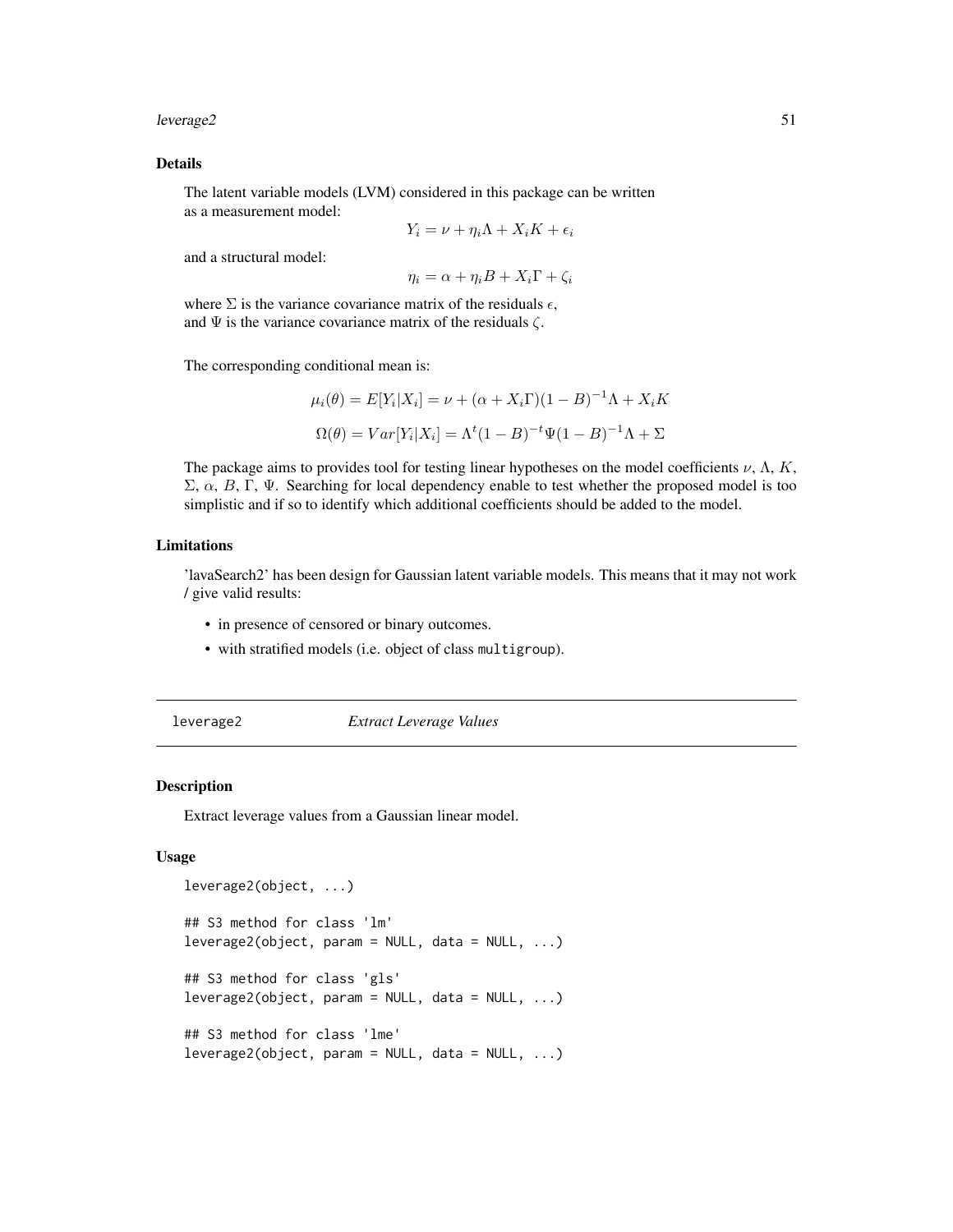## <span id="page-50-0"></span>leverage2 51

## Details

The latent variable models (LVM) considered in this package can be written as a measurement model:

$$
Y_i = \nu + \eta_i \Lambda + X_i K + \epsilon_i
$$

and a structural model:

$$
\eta_i = \alpha + \eta_i B + X_i \Gamma + \zeta_i
$$

where  $\Sigma$  is the variance covariance matrix of the residuals  $\epsilon$ , and  $\Psi$  is the variance covariance matrix of the residuals  $\zeta$ .

The corresponding conditional mean is:

$$
\mu_i(\theta) = E[Y_i|X_i] = \nu + (\alpha + X_i\Gamma)(1 - B)^{-1}\Lambda + X_iK
$$

$$
\Omega(\theta) = Var[Y_i|X_i] = \Lambda^t(1 - B)^{-t}\Psi(1 - B)^{-1}\Lambda + \Sigma
$$

The package aims to provides tool for testing linear hypotheses on the model coefficients  $\nu$ ,  $\Lambda$ ,  $K$ , Σ,  $\alpha$ , B, Γ, Ψ. Searching for local dependency enable to test whether the proposed model is too simplistic and if so to identify which additional coefficients should be added to the model.

## Limitations

'lavaSearch2' has been design for Gaussian latent variable models. This means that it may not work / give valid results:

- in presence of censored or binary outcomes.
- with stratified models (i.e. object of class multigroup).

leverage2 *Extract Leverage Values*

## Description

Extract leverage values from a Gaussian linear model.

## Usage

```
leverage2(object, ...)
## S3 method for class 'lm'
leverage2(object, param = NULL, data = NULL, ...)## S3 method for class 'gls'
leverage2(object, param = NULL, data = NULL, ...)
## S3 method for class 'lme'
leverage2(object, param = NULL, data = NULL, ...)
```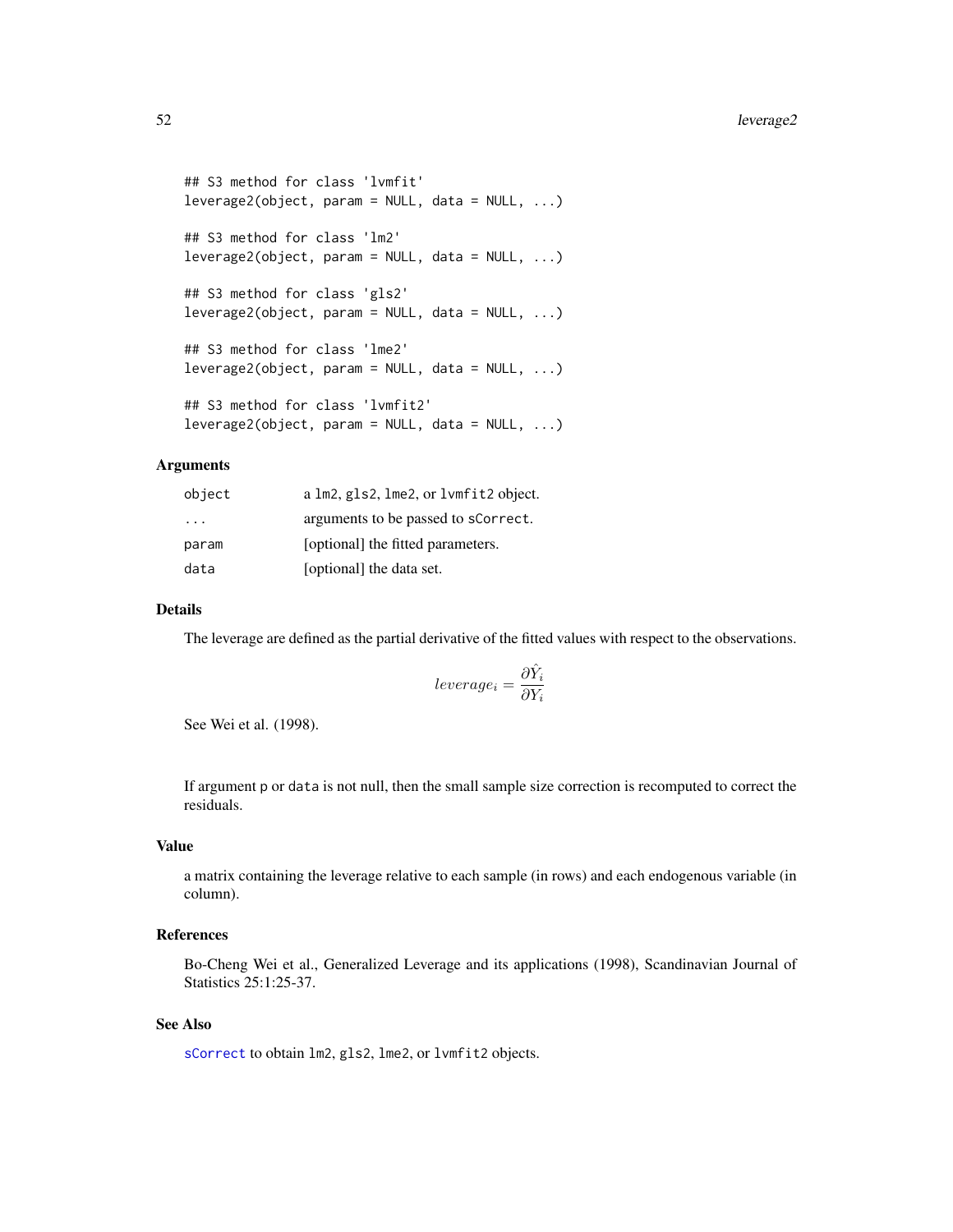```
## S3 method for class 'lvmfit'
leverage2(object, param = NULL, data = NULL, ...)## S3 method for class 'lm2'
leverage2(object, param = NULL, data = NULL, ...)
## S3 method for class 'gls2'
leverage2(object, param = NULL, data = NULL, ...)## S3 method for class 'lme2'
leverage2(object, param = NULL, data = NULL, ...)
## S3 method for class 'lvmfit2'
leverage2(object, param = NULL, data = NULL, ...)
```
## Arguments

| object   | a lm2, gls2, lme2, or lvmfit2 object. |
|----------|---------------------------------------|
| $\cdots$ | arguments to be passed to scorrect.   |
| param    | [optional] the fitted parameters.     |
| data     | [optional] the data set.              |

## Details

The leverage are defined as the partial derivative of the fitted values with respect to the observations.

$$
leverage_i = \frac{\partial \hat{Y}_i}{\partial Y_i}
$$

See Wei et al. (1998).

If argument p or data is not null, then the small sample size correction is recomputed to correct the residuals.

# Value

a matrix containing the leverage relative to each sample (in rows) and each endogenous variable (in column).

## References

Bo-Cheng Wei et al., Generalized Leverage and its applications (1998), Scandinavian Journal of Statistics 25:1:25-37.

## See Also

[sCorrect](#page-60-0) to obtain lm2, gls2, lme2, or lvmfit2 objects.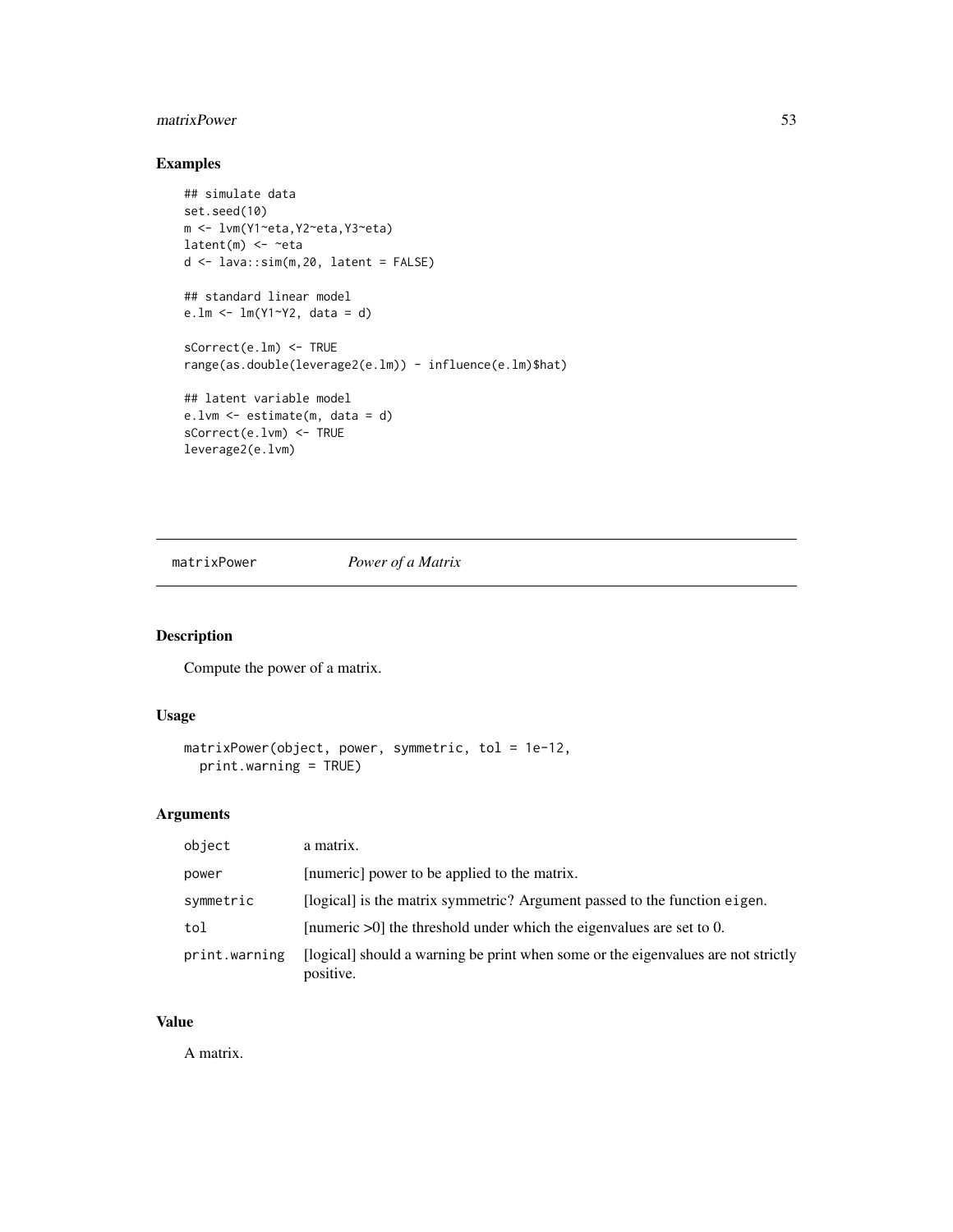# <span id="page-52-0"></span>matrixPower 53

# Examples

```
## simulate data
set.seed(10)
m <- lvm(Y1~eta,Y2~eta,Y3~eta)
latent(m) \leftarrow \text{~}etad <- lava::sim(m,20, latent = FALSE)
## standard linear model
e.lm <- lm(Y1~Y2, data = d)
sCorrect(e.lm) <- TRUE
range(as.double(leverage2(e.lm)) - influence(e.lm)$hat)
## latent variable model
e.lvm <- estimate(m, data = d)
sCorrect(e.lvm) <- TRUE
leverage2(e.lvm)
```
matrixPower *Power of a Matrix*

# Description

Compute the power of a matrix.

## Usage

```
matrixPower(object, power, symmetric, tol = 1e-12,
 print.warning = TRUE)
```
## Arguments

| object        | a matrix.                                                                                      |
|---------------|------------------------------------------------------------------------------------------------|
| power         | [numeric] power to be applied to the matrix.                                                   |
| symmetric     | [logical] is the matrix symmetric? Argument passed to the function eigen.                      |
| tol           | [numeric $>0$ ] the threshold under which the eigenvalues are set to 0.                        |
| print.warning | [logical] should a warning be print when some or the eigenvalues are not strictly<br>positive. |

# Value

A matrix.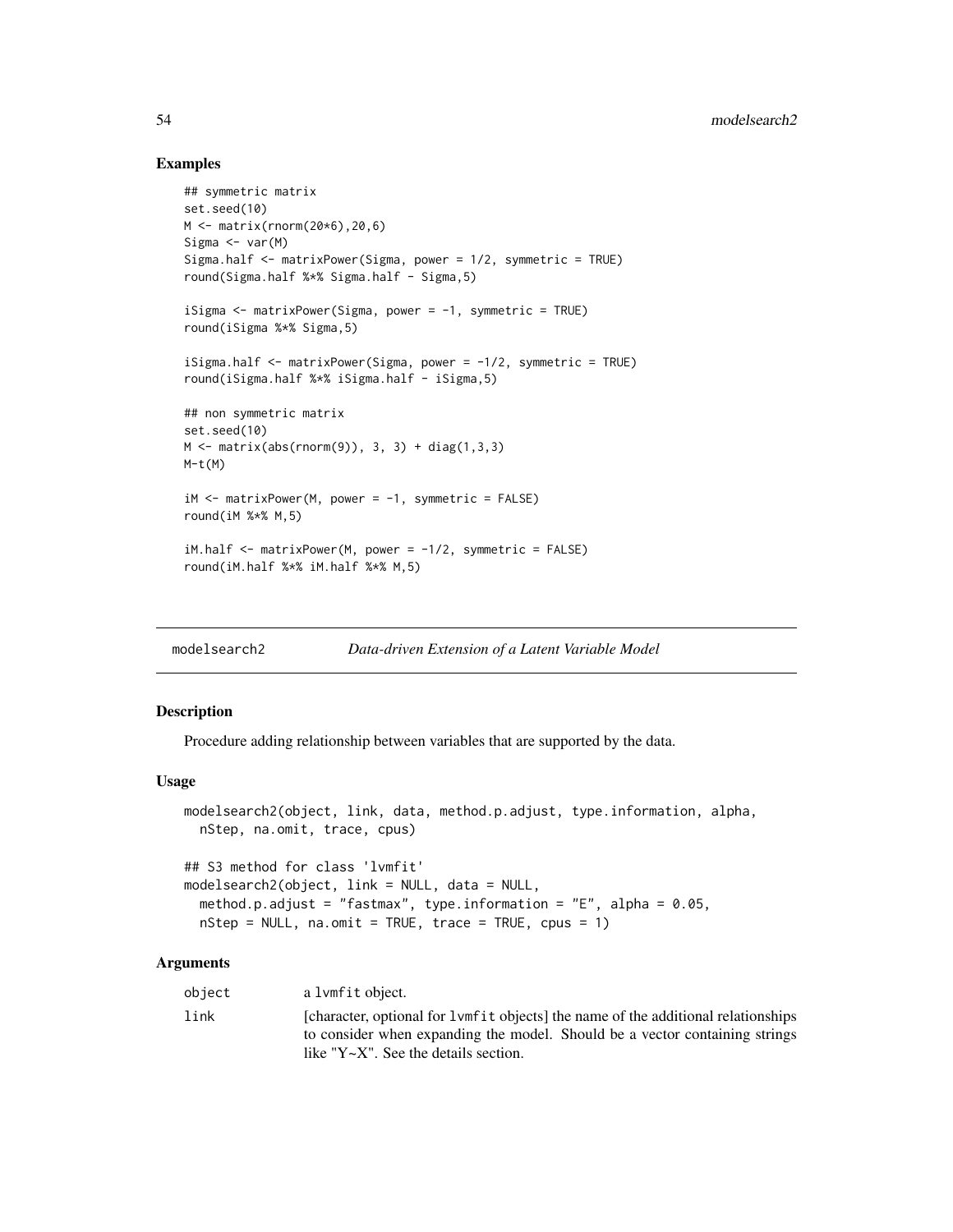## Examples

```
## symmetric matrix
set.seed(10)
M <- matrix(rnorm(20*6),20,6)
Sigma <- var(M)
Sigma.half <- matrixPower(Sigma, power = 1/2, symmetric = TRUE)
round(Sigma.half %*% Sigma.half - Sigma,5)
iSigma <- matrixPower(Sigma, power = -1, symmetric = TRUE)
round(iSigma %*% Sigma,5)
iSigma.half <- matrixPower(Sigma, power = -1/2, symmetric = TRUE)
round(iSigma.half %*% iSigma.half - iSigma,5)
## non symmetric matrix
set.seed(10)
M \leq - matrix(abs(rnorm(9)), 3, 3) + diag(1,3,3)
M-t(M)iM <- matrixPower(M, power = -1, symmetric = FALSE)
round(iM %*% M,5)
iM.half \le- matrixPower(M, power = -1/2, symmetric = FALSE)
round(iM.half %*% iM.half %*% M,5)
```
<span id="page-53-0"></span>

| modelsearch2 | Data-driven Extension of a Latent Variable Model |
|--------------|--------------------------------------------------|
|--------------|--------------------------------------------------|

## Description

Procedure adding relationship between variables that are supported by the data.

#### Usage

```
modelsearch2(object, link, data, method.p.adjust, type.information, alpha,
  nStep, na.omit, trace, cpus)
## S3 method for class 'lvmfit'
```

```
modelsearch2(object, link = NULL, data = NULL,
 method.p.adjust = "fastmax", type.information = "E", alpha = 0.05,
 nStep = NULL, na.omit = TRUE, trace = TRUE, cpus = 1)
```
## Arguments

| object | a lvmfit object.                                                                                                                                                                                                    |
|--------|---------------------------------------------------------------------------------------------------------------------------------------------------------------------------------------------------------------------|
| link   | [character, optional for 1 vmf it objects] the name of the additional relationships<br>to consider when expanding the model. Should be a vector containing strings<br>like " $Y \sim X$ ". See the details section. |
|        |                                                                                                                                                                                                                     |

<span id="page-53-1"></span>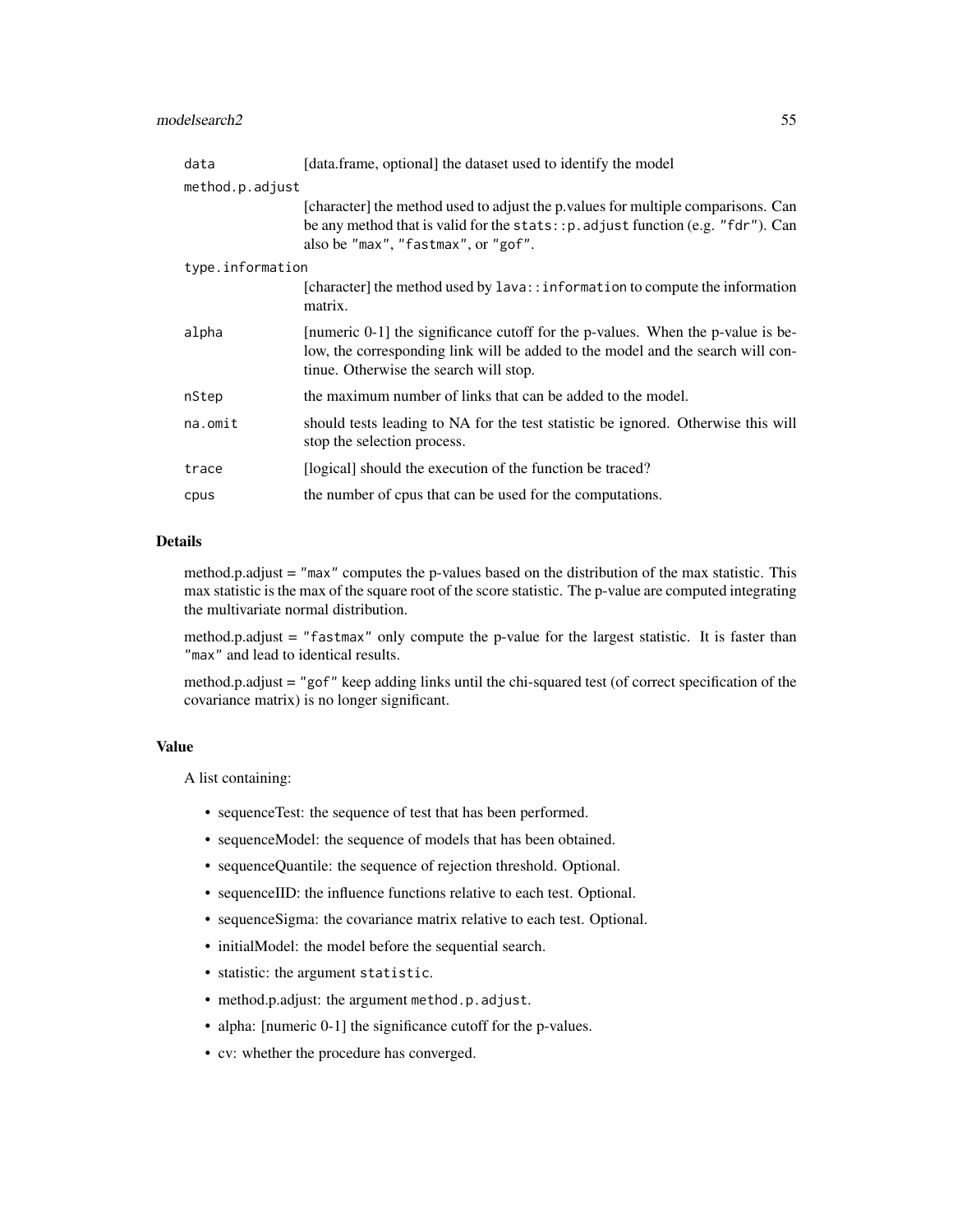## modelsearch2 55

| data             | [data.frame, optional] the dataset used to identify the model                                                                                                                                                 |  |  |
|------------------|---------------------------------------------------------------------------------------------------------------------------------------------------------------------------------------------------------------|--|--|
| method.p.adjust  |                                                                                                                                                                                                               |  |  |
|                  | [character] the method used to adjust the p. values for multiple comparisons. Can<br>be any method that is valid for the stats: : p. adjust function (e.g. "fdr"). Can<br>also be "max", "fastmax", or "gof". |  |  |
| type.information |                                                                                                                                                                                                               |  |  |
|                  | [character] the method used by $l$ ava:: information to compute the information<br>matrix.                                                                                                                    |  |  |
| alpha            | [numeric 0-1] the significance cutoff for the p-values. When the p-value is be-<br>low, the corresponding link will be added to the model and the search will con-<br>tinue. Otherwise the search will stop.  |  |  |
| nStep            | the maximum number of links that can be added to the model.                                                                                                                                                   |  |  |
| $na.$ omit       | should tests leading to NA for the test statistic be ignored. Otherwise this will<br>stop the selection process.                                                                                              |  |  |
| trace            | [logical] should the execution of the function be traced?                                                                                                                                                     |  |  |
| cpus             | the number of cpus that can be used for the computations.                                                                                                                                                     |  |  |

## Details

method.p.adjust = "max" computes the p-values based on the distribution of the max statistic. This max statistic is the max of the square root of the score statistic. The p-value are computed integrating the multivariate normal distribution.

method.p.adjust = "fastmax" only compute the p-value for the largest statistic. It is faster than "max" and lead to identical results.

method.p.adjust = "gof" keep adding links until the chi-squared test (of correct specification of the covariance matrix) is no longer significant.

## Value

A list containing:

- sequenceTest: the sequence of test that has been performed.
- sequenceModel: the sequence of models that has been obtained.
- sequenceQuantile: the sequence of rejection threshold. Optional.
- sequenceIID: the influence functions relative to each test. Optional.
- sequenceSigma: the covariance matrix relative to each test. Optional.
- initialModel: the model before the sequential search.
- statistic: the argument statistic.
- method.p.adjust: the argument method.p.adjust.
- alpha: [numeric 0-1] the significance cutoff for the p-values.
- cv: whether the procedure has converged.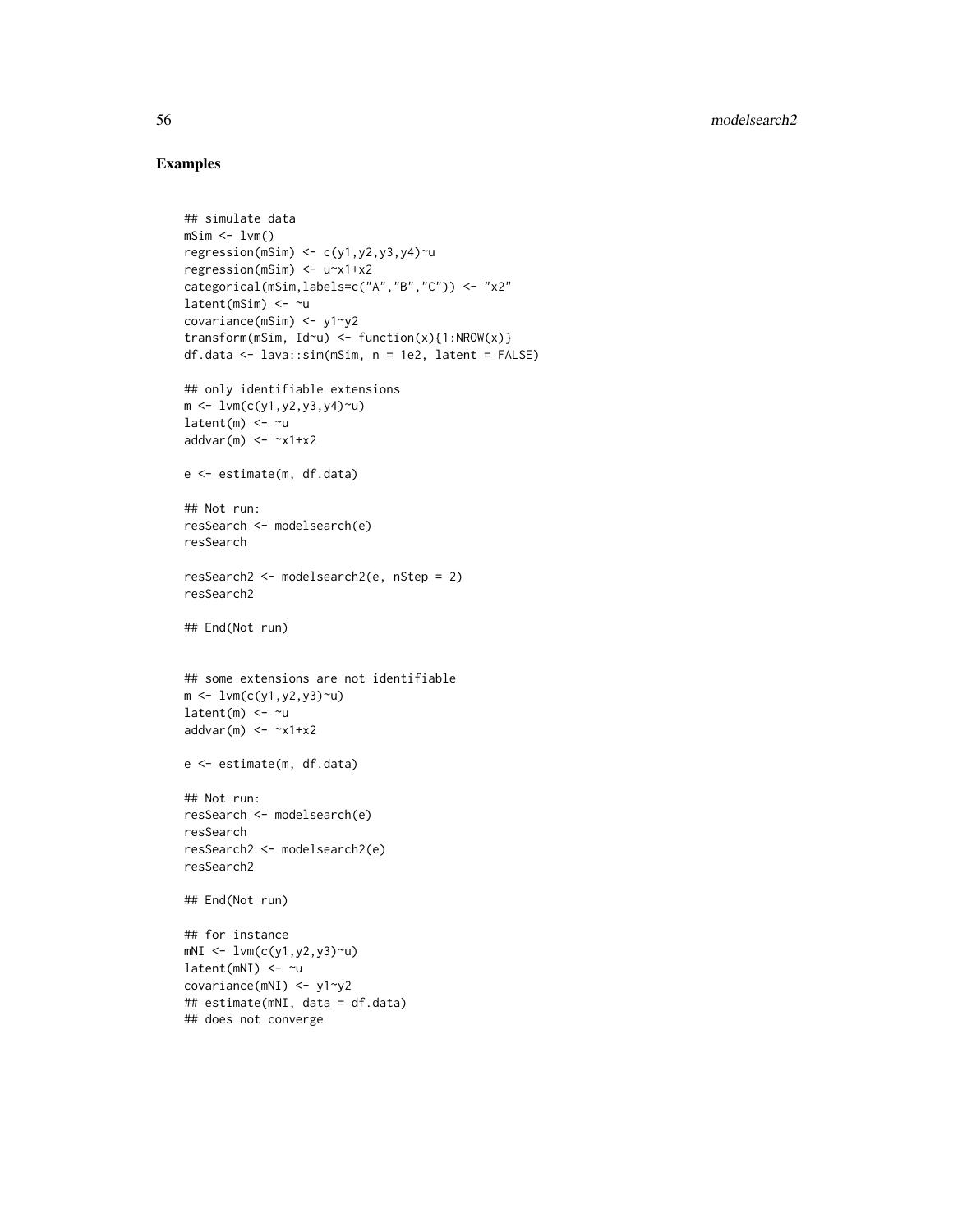```
## simulate data
mSim < 1vm()regression(mSim) \leftarrow c(y1, y2, y3, y4)~u
regression(mSim) <- u~x1+x2
categorical(mSim,labels=c("A","B","C")) <- "x2"
latent(mSim) < -\sim ucovariance(mSim) <- y1~y2
transform(mSim, Id\sim u) <- function(x){1:NROW(x)}
df.data <- lava::sim(mSim, n = 1e2, latent = FALSE)
## only identifiable extensions
m \leftarrow \text{lvm}(c(y1, y2, y3, y4)~u)
latent(m) \leftarrow \sim uaddvar(m) < -x1+x2e <- estimate(m, df.data)
## Not run:
resSearch <- modelsearch(e)
resSearch
resSearch2 <- modelsearch2(e, nStep = 2)
resSearch2
## End(Not run)
## some extensions are not identifiable
m < -1vm(c(y1,y2,y3)~u)
latent(m) <- ~u
addvar(m) \le -x1+x2e <- estimate(m, df.data)
## Not run:
resSearch <- modelsearch(e)
resSearch
resSearch2 <- modelsearch2(e)
resSearch2
## End(Not run)
## for instance
mNI <- lvm(c(y1,y2,y3)~u)
latent(mNI) < -\sim ucovariance(mNI) <- y1~y2
## estimate(mNI, data = df.data)
## does not converge
```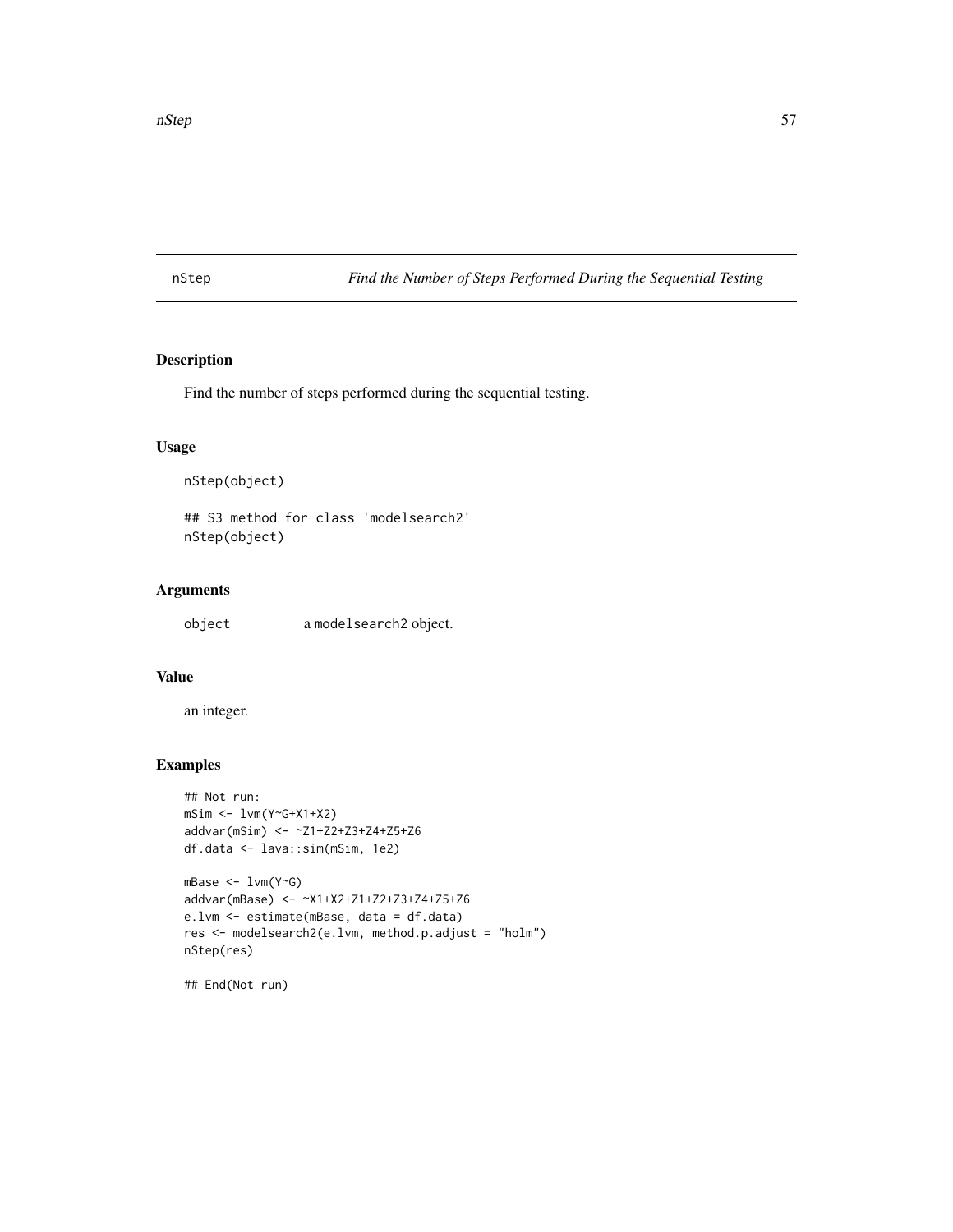<span id="page-56-0"></span>nStep *Find the Number of Steps Performed During the Sequential Testing*

# Description

Find the number of steps performed during the sequential testing.

# Usage

nStep(object)

## S3 method for class 'modelsearch2' nStep(object)

# Arguments

object a modelsearch2 object.

## Value

an integer.

# Examples

```
## Not run:
mSim <- lvm(Y~G+X1+X2)
addvar(mSim) <- ~Z1+Z2+Z3+Z4+Z5+Z6
df.data <- lava::sim(mSim, 1e2)
mBase <- lvm(Y~G)
addvar(mBase) <- ~X1+X2+Z1+Z2+Z3+Z4+Z5+Z6
e.lvm <- estimate(mBase, data = df.data)
res <- modelsearch2(e.lvm, method.p.adjust = "holm")
nStep(res)
```
## End(Not run)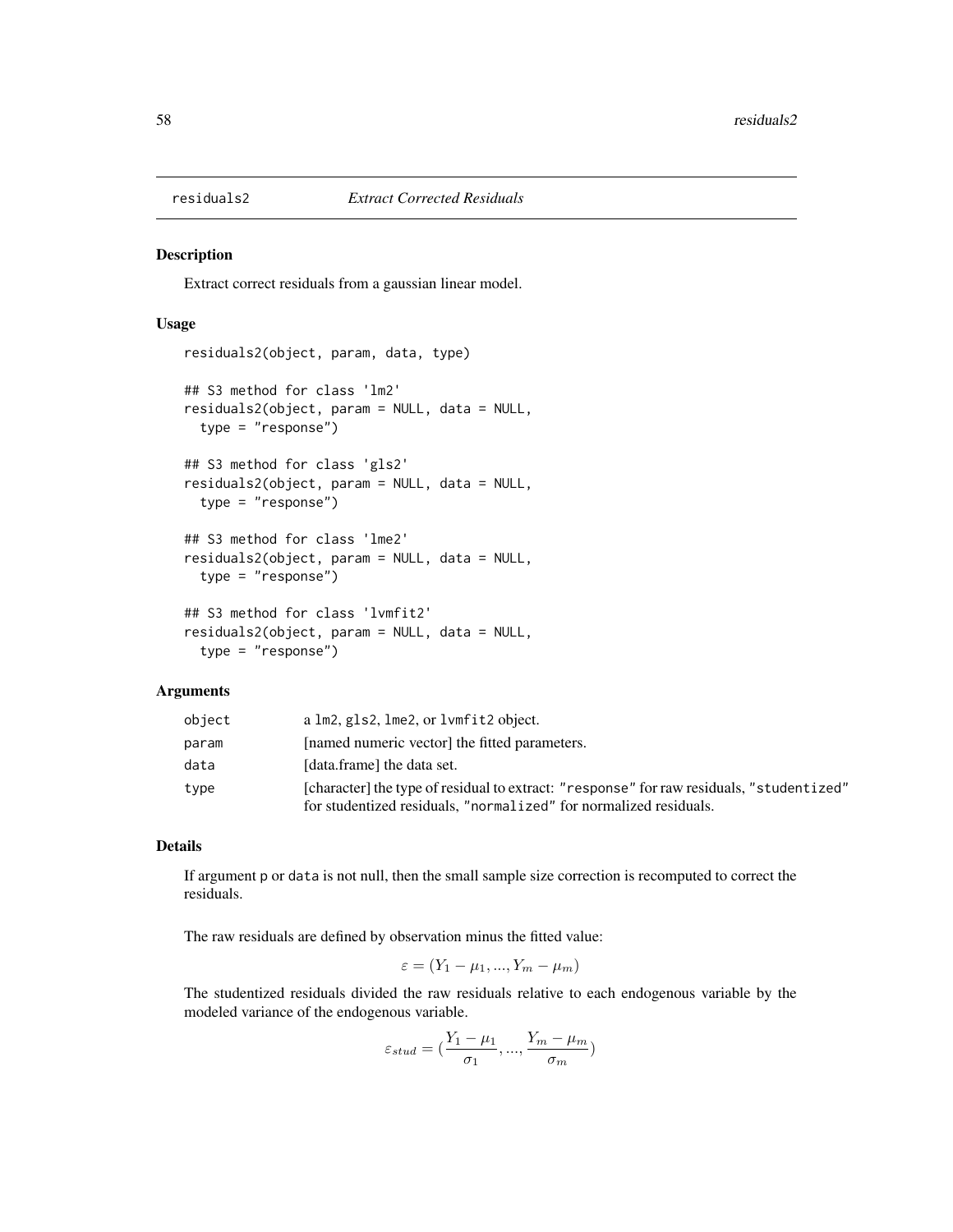<span id="page-57-0"></span>

## Description

Extract correct residuals from a gaussian linear model.

## Usage

```
residuals2(object, param, data, type)
## S3 method for class 'lm2'
residuals2(object, param = NULL, data = NULL,
  type = "response")
## S3 method for class 'gls2'
residuals2(object, param = NULL, data = NULL,
  type = "response")
## S3 method for class 'lme2'
residuals2(object, param = NULL, data = NULL,
  type = "response")
## S3 method for class 'lvmfit2'
residuals2(object, param = NULL, data = NULL,
  type = "response")
```
## **Arguments**

| object | a lm2, gls2, lme2, or lvmfit2 object.                                                                                                                         |
|--------|---------------------------------------------------------------------------------------------------------------------------------------------------------------|
| param  | [named numeric vector] the fitted parameters.                                                                                                                 |
| data   | [data.frame] the data set.                                                                                                                                    |
| type   | [character] the type of residual to extract: "response" for raw residuals, "studentized"<br>for studentized residuals, "normalized" for normalized residuals. |

## Details

If argument p or data is not null, then the small sample size correction is recomputed to correct the residuals.

The raw residuals are defined by observation minus the fitted value:

$$
\varepsilon = (Y_1 - \mu_1, ..., Y_m - \mu_m)
$$

The studentized residuals divided the raw residuals relative to each endogenous variable by the modeled variance of the endogenous variable.

$$
\varepsilon_{stud} = (\frac{Y_1 - \mu_1}{\sigma_1}, ..., \frac{Y_m - \mu_m}{\sigma_m})
$$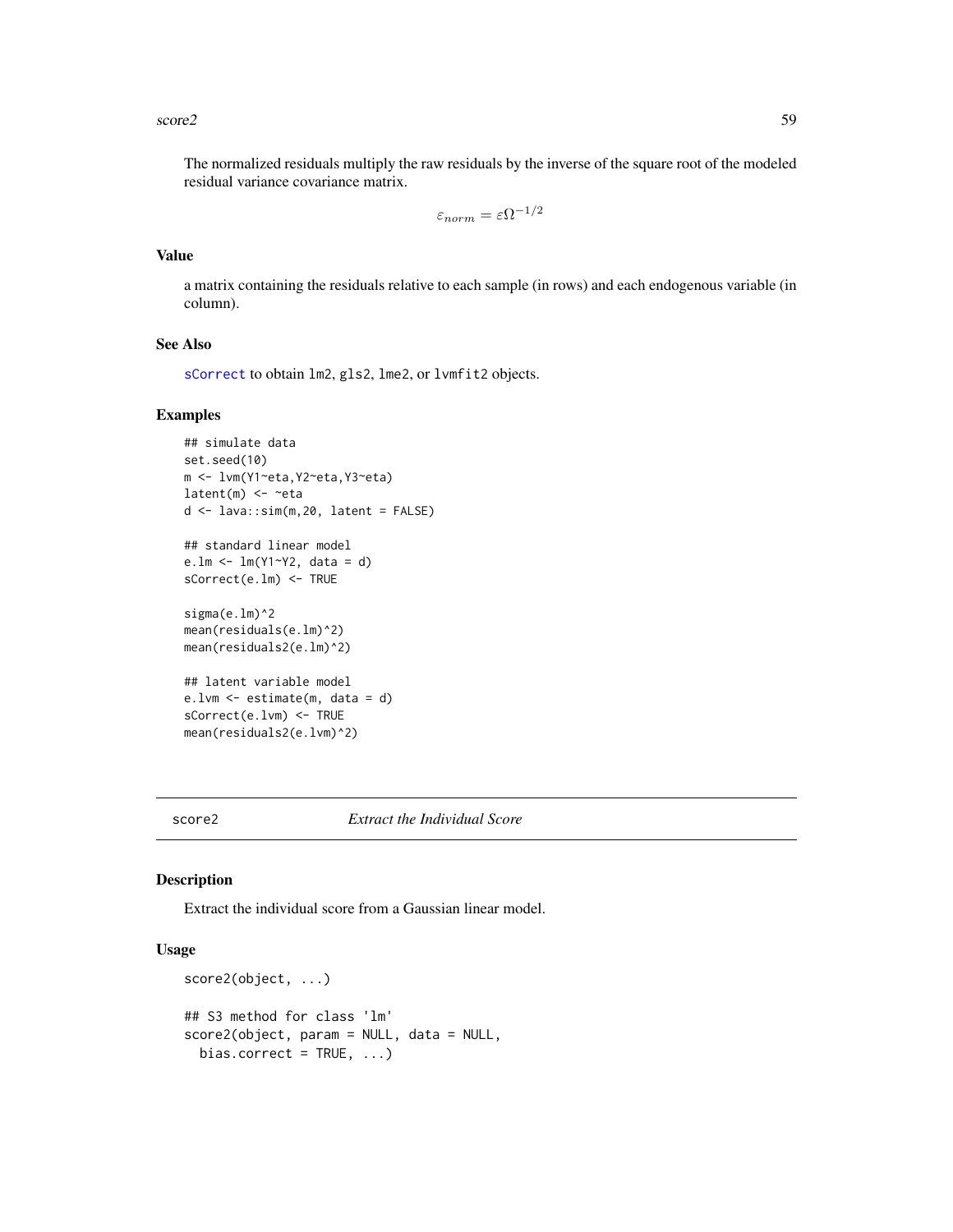#### <span id="page-58-0"></span> $\sec 2$  59

The normalized residuals multiply the raw residuals by the inverse of the square root of the modeled residual variance covariance matrix.

$$
\varepsilon_{norm}=\varepsilon \Omega^{-1/2}
$$

## Value

a matrix containing the residuals relative to each sample (in rows) and each endogenous variable (in column).

## See Also

[sCorrect](#page-60-0) to obtain lm2, gls2, lme2, or lvmfit2 objects.

#### Examples

```
## simulate data
set.seed(10)
m <- lvm(Y1~eta,Y2~eta,Y3~eta)
latent(m) \leftarrow \neg etad <- lava::sim(m,20, latent = FALSE)
## standard linear model
e.lm <- lm(Y1~Y2, data = d)
sCorrect(e.lm) <- TRUE
sigma(e.lm)^2
mean(residuals(e.lm)^2)
mean(residuals2(e.lm)^2)
## latent variable model
e.lvm <- estimate(m, data = d)
sCorrect(e.lvm) <- TRUE
mean(residuals2(e.lvm)^2)
```
## score2 *Extract the Individual Score*

#### Description

Extract the individual score from a Gaussian linear model.

# Usage

```
score2(object, ...)
## S3 method for class 'lm'
score2(object, param = NULL, data = NULL,
 bias.correct = TRUE, ...)
```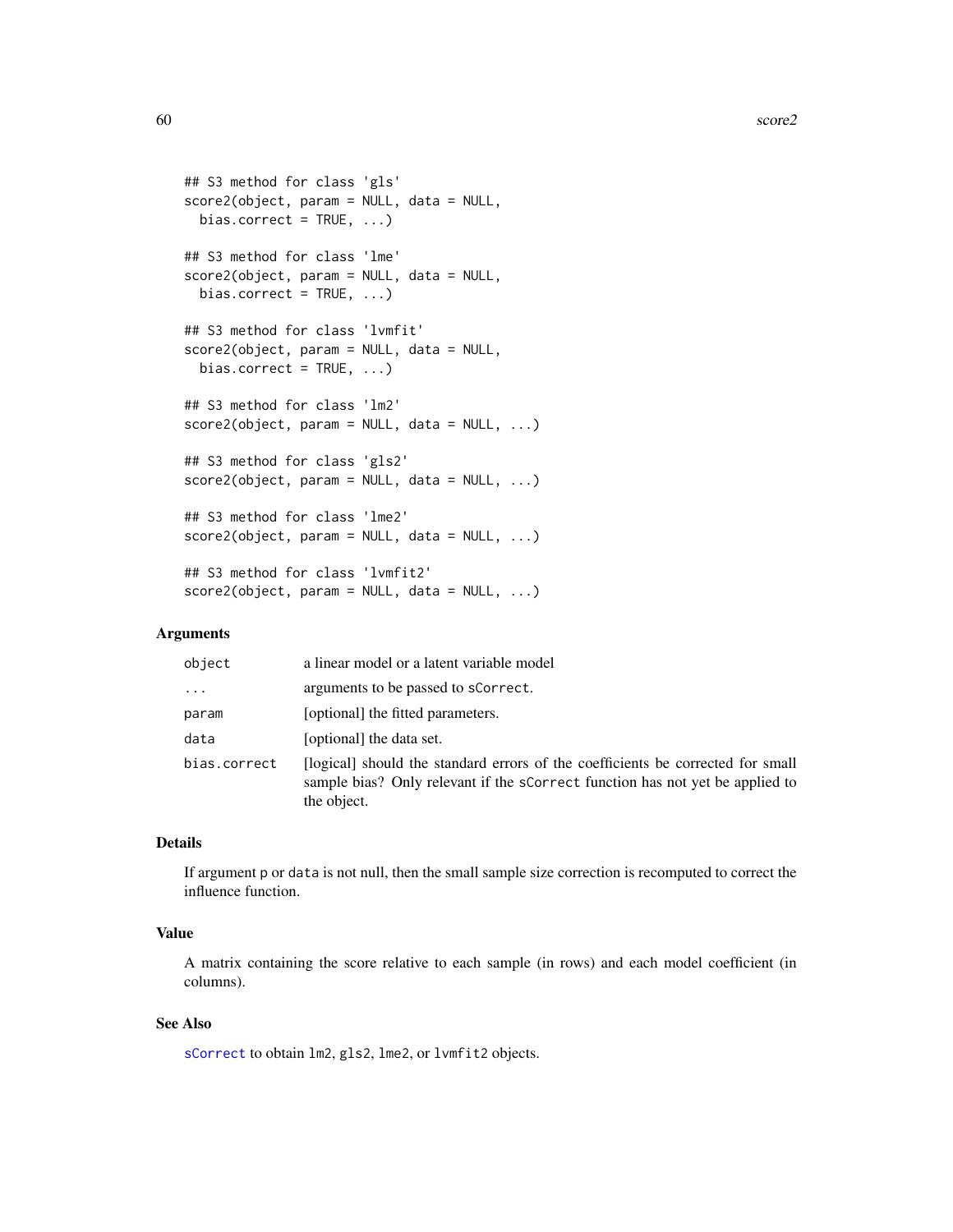```
## S3 method for class 'gls'
score2(object, param = NULL, data = NULL,
 bias.correct = TRUE, ...)
## S3 method for class 'lme'
score2(object, param = NULL, data = NULL,
 bias.correct = TRUE, ...)
## S3 method for class 'lvmfit'
score2(object, param = NULL, data = NULL,
 bias.correct = TRUE, ...)
## S3 method for class 'lm2'
score2(object, param = NULL, data = NULL, ...)## S3 method for class 'gls2'
score2(object, param = NULL, data = NULL, ...)## S3 method for class 'lme2'
score2(object, param = NULL, data = NULL, ...)## S3 method for class 'lvmfit2'
score2(object, param = NULL, data = NULL, ...)
```
# Arguments

| object       | a linear model or a latent variable model                                                                                                                                       |
|--------------|---------------------------------------------------------------------------------------------------------------------------------------------------------------------------------|
| $\cdots$     | arguments to be passed to scorrect.                                                                                                                                             |
| param        | [optional] the fitted parameters.                                                                                                                                               |
| data         | [optional] the data set.                                                                                                                                                        |
| bias.correct | [logical] should the standard errors of the coefficients be corrected for small<br>sample bias? Only relevant if the scorrect function has not yet be applied to<br>the object. |

## Details

If argument p or data is not null, then the small sample size correction is recomputed to correct the influence function.

# Value

A matrix containing the score relative to each sample (in rows) and each model coefficient (in columns).

## See Also

[sCorrect](#page-60-0) to obtain lm2, gls2, lme2, or lvmfit2 objects.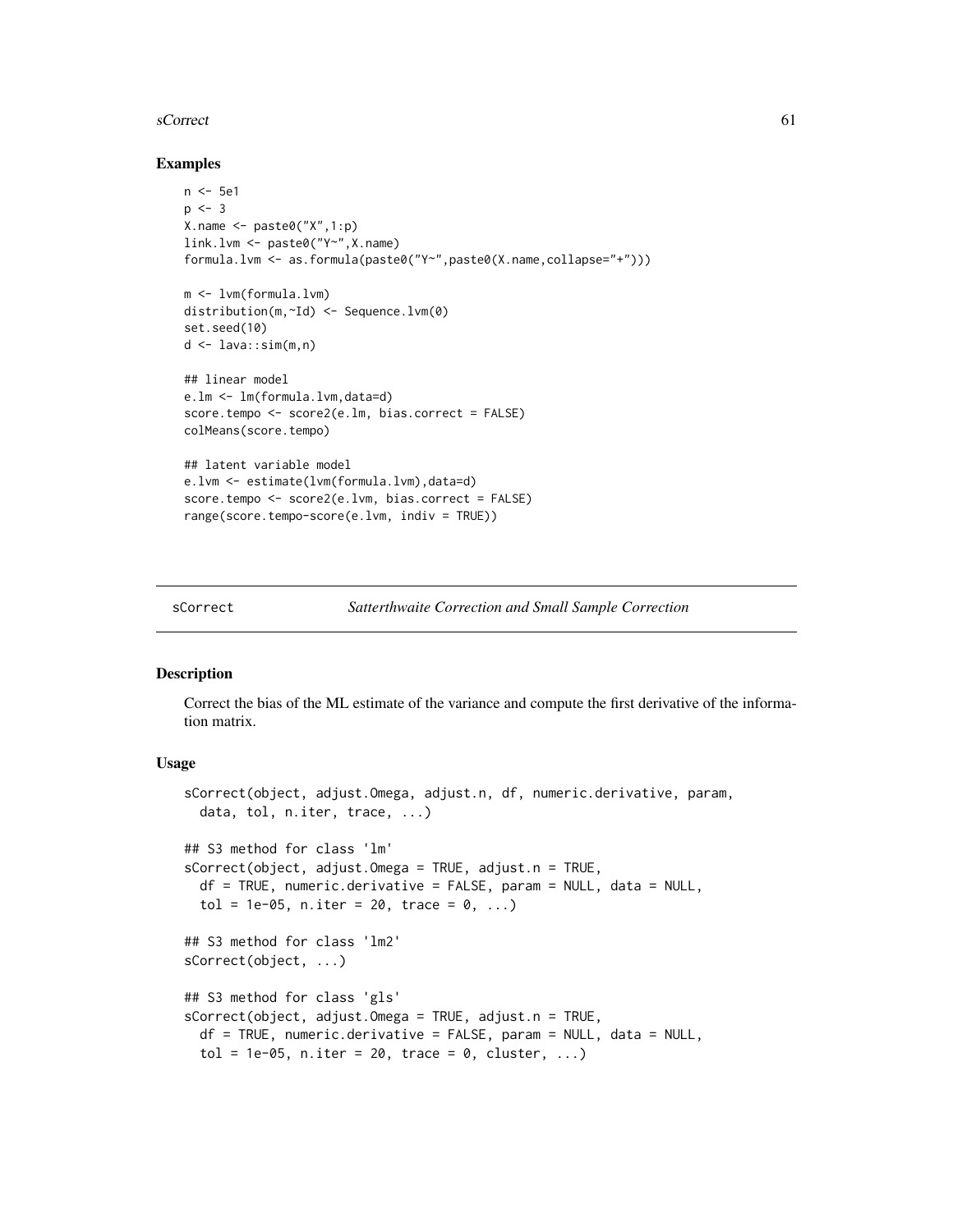### <span id="page-60-1"></span>sCorrect 61

## Examples

```
n <- 5e1
p \le -3X.name \leftarrow paste@(''X'', 1:p)link.lvm <- paste0("Y~",X.name)
formula.lvm <- as.formula(paste0("Y~",paste0(X.name,collapse="+")))
m <- lvm(formula.lvm)
distribution(m,~Id) <- Sequence.lvm(0)
set.seed(10)
d <- lava::sim(m,n)
## linear model
e.lm <- lm(formula.lvm,data=d)
score.tempo <- score2(e.lm, bias.correct = FALSE)
colMeans(score.tempo)
## latent variable model
e.lvm <- estimate(lvm(formula.lvm),data=d)
score.tempo <- score2(e.lvm, bias.correct = FALSE)
range(score.tempo-score(e.lvm, indiv = TRUE))
```
<span id="page-60-0"></span>

```
sCorrect Satterthwaite Correction and Small Sample Correction
```
## Description

Correct the bias of the ML estimate of the variance and compute the first derivative of the information matrix.

## Usage

```
sCorrect(object, adjust.Omega, adjust.n, df, numeric.derivative, param,
  data, tol, n.iter, trace, ...)
## S3 method for class 'lm'
sCorrect(object, adjust.Omega = TRUE, adjust.n = TRUE,
  df = TRUE, numeric.derivative = FALSE, param = NULL, data = NULL,
  tol = 1e-05, n.iter = 20, trace = 0, ...)
## S3 method for class 'lm2'
sCorrect(object, ...)
## S3 method for class 'gls'
sCorrect(object, adjust.Omega = TRUE, adjust.n = TRUE,
 df = TRUE, numeric.derivative = FALSE, param = NULL, data = NULL,
  tol = 1e-05, n.iter = 20, trace = 0, cluster, ...)
```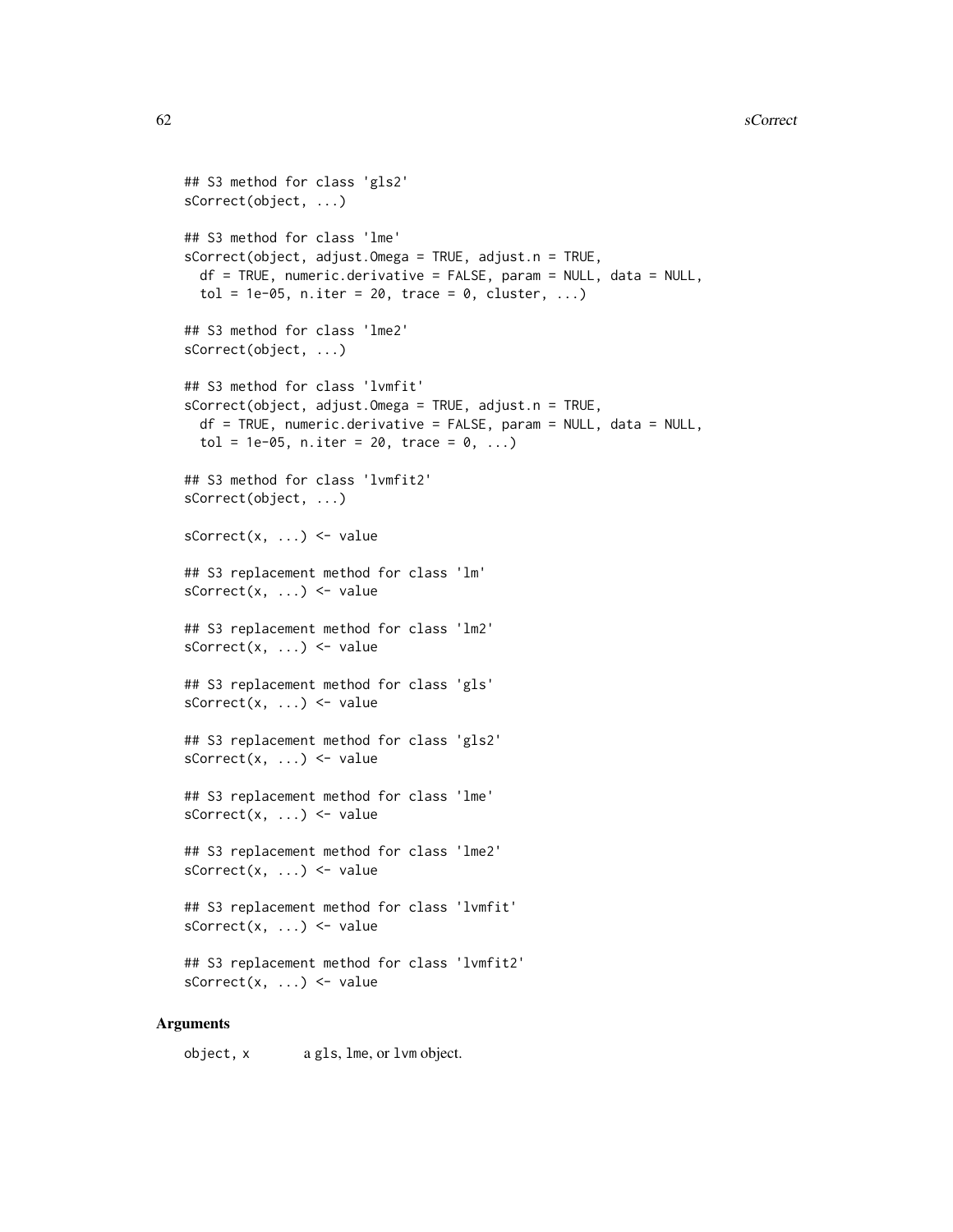```
## S3 method for class 'gls2'
sCorrect(object, ...)
## S3 method for class 'lme'
sCorrect(object, adjust.Omega = TRUE, adjust.n = TRUE,
  df = TRUE, numeric.derivative = FALSE, param = NULL, data = NULL,
  tol = 1e-05, n.iter = 20, trace = 0, cluster, ...)
## S3 method for class 'lme2'
sCorrect(object, ...)
## S3 method for class 'lvmfit'
sCorrect(object, adjust.Omega = TRUE, adjust.n = TRUE,
  df = TRUE, numeric.derivative = FALSE, param = NULL, data = NULL,
  tol = 1e-05, n.iter = 20, trace = 0, ...)
## S3 method for class 'lvmfit2'
sCorrect(object, ...)
sCorrect(x, ...) \leftarrow value## S3 replacement method for class 'lm'
sCorrect(x, ...) \leftarrow value## S3 replacement method for class 'lm2'
sCorrect(x, ...) \leftarrow value## S3 replacement method for class 'gls'
sCorrect(x, ...) \leftarrow value## S3 replacement method for class 'gls2'
sCorrect(x, ...) \leftarrow value## S3 replacement method for class 'lme'
sCorrect(x, ...) <- value
## S3 replacement method for class 'lme2'
sCorrect(x, ...) \leftarrow value## S3 replacement method for class 'lvmfit'
sCorrect(x, ...) \leftarrow value## S3 replacement method for class 'lvmfit2'
sCorrect(x, ...) \leftarrow value
```
## Arguments

object, x a gls, lme, or lvm object.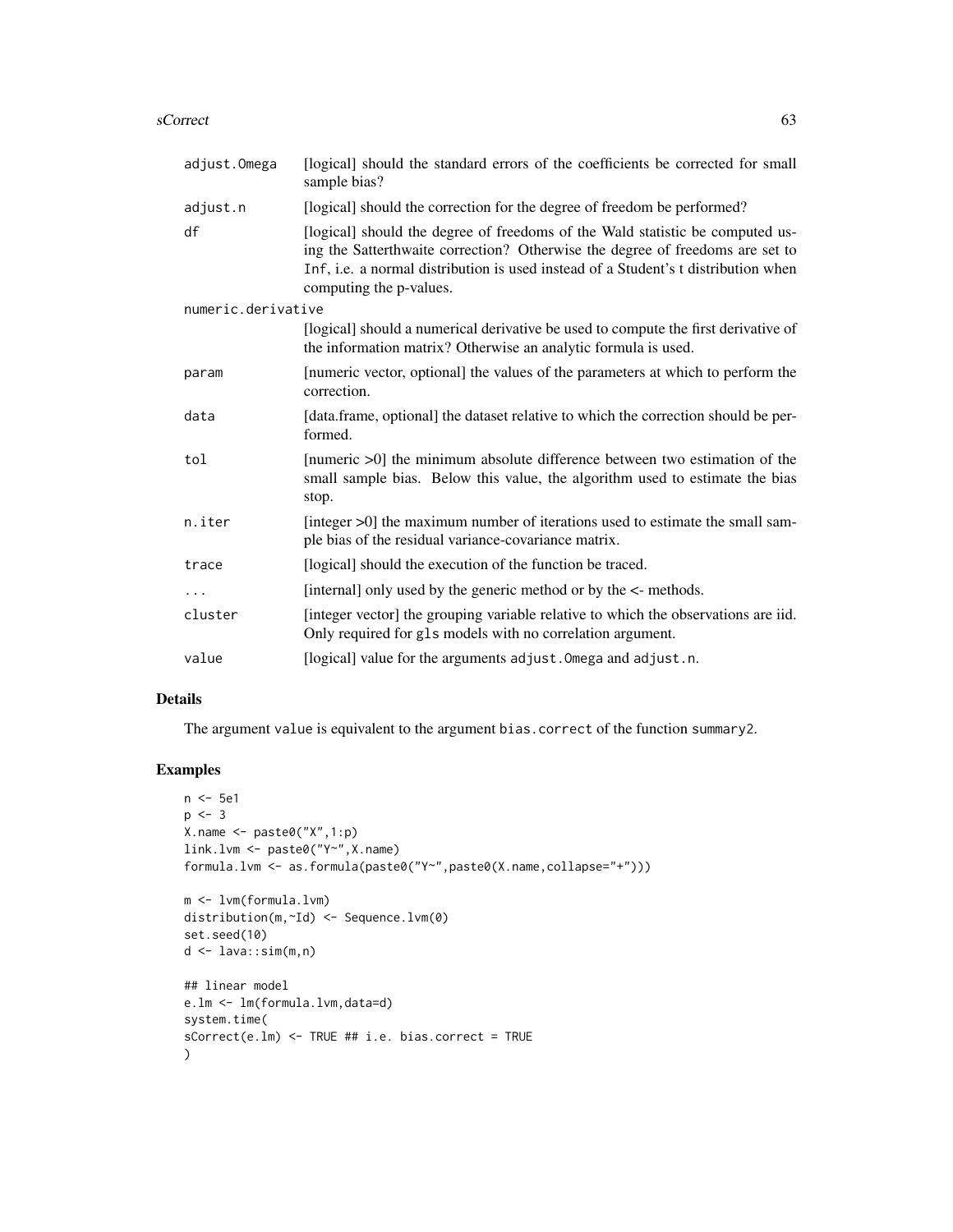#### sCorrect 63

| adjust.Omega       | [logical] should the standard errors of the coefficients be corrected for small<br>sample bias?                                                                                                                                                                                 |
|--------------------|---------------------------------------------------------------------------------------------------------------------------------------------------------------------------------------------------------------------------------------------------------------------------------|
| adjust.n           | [logical] should the correction for the degree of freedom be performed?                                                                                                                                                                                                         |
| df                 | [logical] should the degree of freedoms of the Wald statistic be computed us-<br>ing the Satterthwaite correction? Otherwise the degree of freedoms are set to<br>Inf, i.e. a normal distribution is used instead of a Student's t distribution when<br>computing the p-values. |
| numeric.derivative |                                                                                                                                                                                                                                                                                 |
|                    | [logical] should a numerical derivative be used to compute the first derivative of<br>the information matrix? Otherwise an analytic formula is used.                                                                                                                            |
| param              | [numeric vector, optional] the values of the parameters at which to perform the<br>correction.                                                                                                                                                                                  |
| data               | [data.frame, optional] the dataset relative to which the correction should be per-<br>formed.                                                                                                                                                                                   |
| tol                | [numeric >0] the minimum absolute difference between two estimation of the<br>small sample bias. Below this value, the algorithm used to estimate the bias<br>stop.                                                                                                             |
| n.iter             | [integer >0] the maximum number of iterations used to estimate the small sam-<br>ple bias of the residual variance-covariance matrix.                                                                                                                                           |
| trace              | [logical] should the execution of the function be traced.                                                                                                                                                                                                                       |
| $\ddots$ .         | [internal] only used by the generic method or by the <- methods.                                                                                                                                                                                                                |
| cluster            | [integer vector] the grouping variable relative to which the observations are iid.<br>Only required for gls models with no correlation argument.                                                                                                                                |
| value              | [logical] value for the arguments adjust. Omega and adjust. n.                                                                                                                                                                                                                  |

# Details

The argument value is equivalent to the argument bias.correct of the function summary2.

```
n <- 5e1
p \le -3X.name <- paste0("X",1:p)
link.lvm <- paste0("Y~",X.name)
formula.lvm <- as.formula(paste0("Y~",paste0(X.name,collapse="+")))
m <- lvm(formula.lvm)
distribution(m,~Id) <- Sequence.lvm(0)
set.seed(10)
d \leftarrow \text{lava::sim(m,n)}## linear model
e.lm <- lm(formula.lvm,data=d)
system.time(
sCorrect(e.lm) <- TRUE ## i.e. bias.correct = TRUE
)
```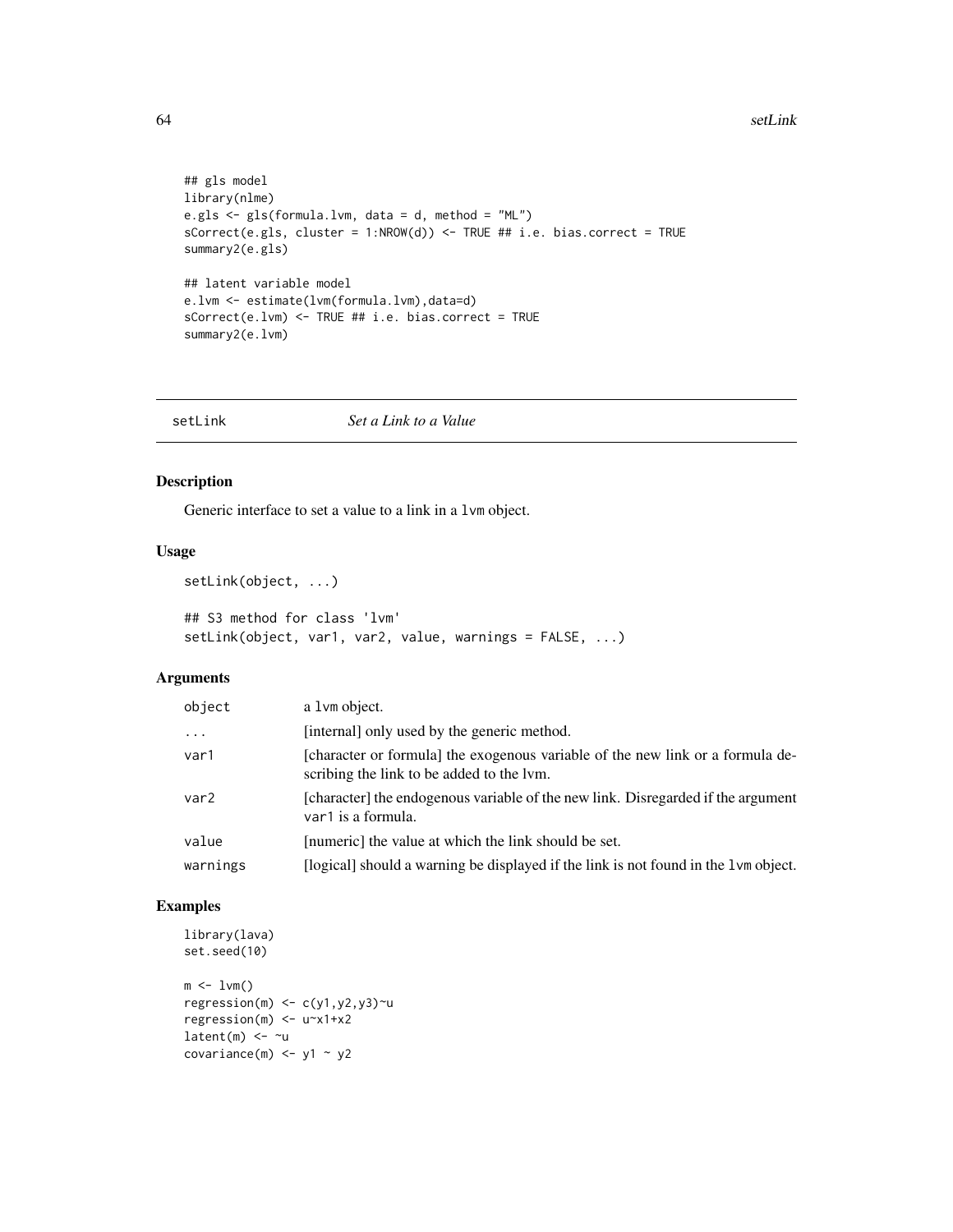```
## gls model
library(nlme)
e.gls <- gls(formula.lvm, data = d, method = "ML")
sCorrect(e.gls, cluster = 1:NROW(d)) \leq TRUE # i.e. bias.correct = TRUEsummary2(e.gls)
## latent variable model
e.lvm <- estimate(lvm(formula.lvm),data=d)
sCorrect(e.lvm) <- TRUE ## i.e. bias.correct = TRUE
summary2(e.lvm)
```
setLink *Set a Link to a Value*

# Description

Generic interface to set a value to a link in a lvm object.

## Usage

```
setLink(object, ...)
```

```
## S3 method for class 'lvm'
setLink(object, var1, var2, value, warnings = FALSE, ...)
```
## Arguments

| object           | a 1 vm object.                                                                                                              |
|------------------|-----------------------------------------------------------------------------------------------------------------------------|
| $\ddots$         | [internal] only used by the generic method.                                                                                 |
| var1             | [character or formula] the exogenous variable of the new link or a formula de-<br>scribing the link to be added to the lym. |
| var <sub>2</sub> | [character] the endogenous variable of the new link. Disregarded if the argument<br>var1 is a formula.                      |
| value            | [numeric] the value at which the link should be set.                                                                        |
| warnings         | [logical] should a warning be displayed if the link is not found in the 1vm object.                                         |

```
library(lava)
set.seed(10)
m \leq -1vm()
regression(m) \leq c(y1,y2,y3)\simu
regression(m) <- u~x1+x2
latent(m) \leftarrow \sim ucovariance(m) \le- y1 \sim y2
```
<span id="page-63-0"></span>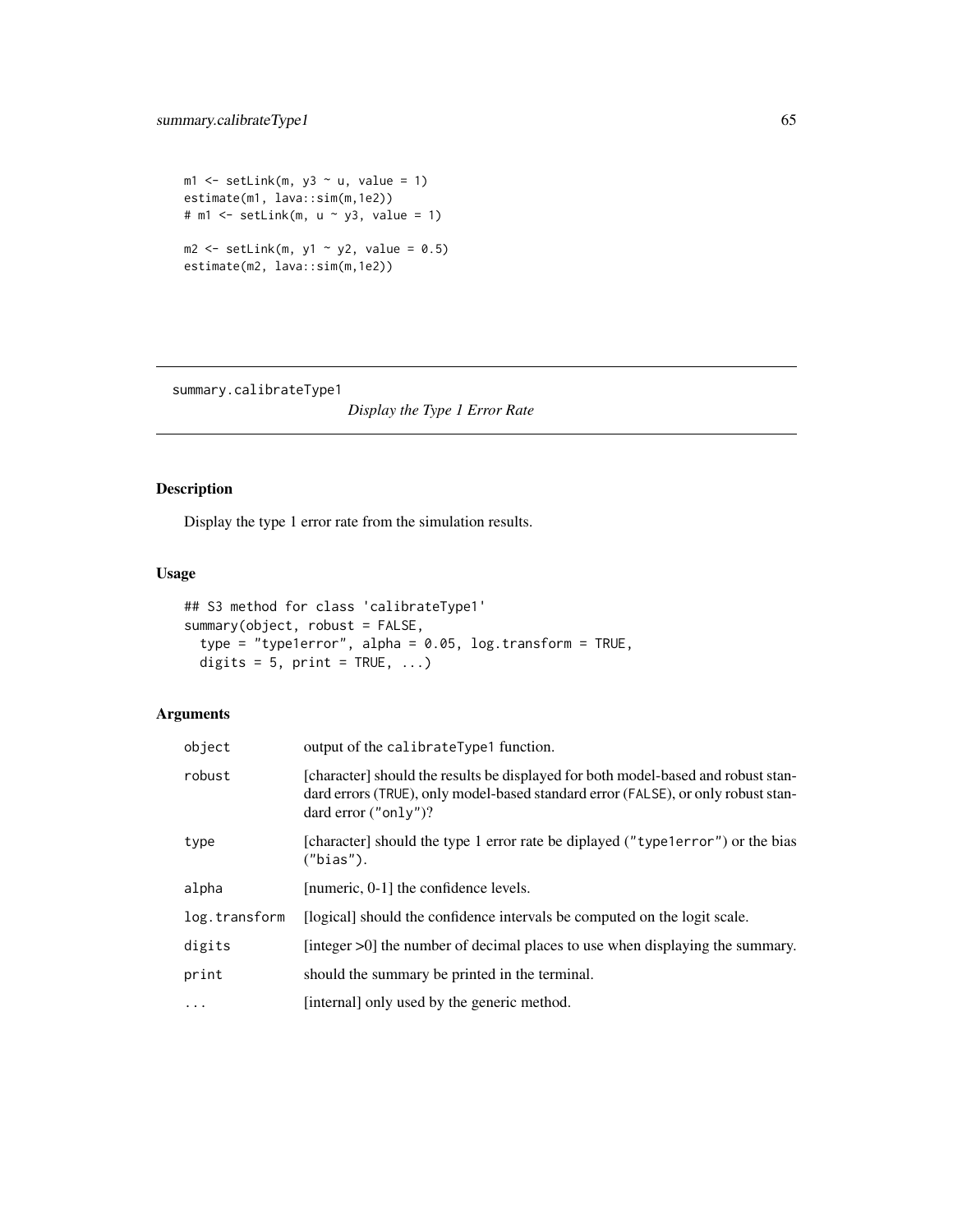```
ml \leq setLink(m, y3 \sim u, value = 1)
estimate(m1, lava::sim(m,1e2))
# m1 \leftarrow setLink(m, u \sim y3, value = 1)
m2 \le -setLink(m, y1 - y2, value = 0.5)estimate(m2, lava::sim(m,1e2))
```
summary.calibrateType1

*Display the Type 1 Error Rate*

# Description

Display the type 1 error rate from the simulation results.

# Usage

```
## S3 method for class 'calibrateType1'
summary(object, robust = FALSE,
 type = "type1error", alpha = 0.05, log.transform = TRUE,
 digits = 5, print = TRUE, ...)
```
# Arguments

| object        | output of the calibrateType1 function.                                                                                                                                                            |
|---------------|---------------------------------------------------------------------------------------------------------------------------------------------------------------------------------------------------|
| robust        | [character] should the results be displayed for both model-based and robust stan-<br>dard errors (TRUE), only model-based standard error (FALSE), or only robust stan-<br>dard error $("only")$ ? |
| type          | [character] should the type 1 error rate be diplayed ("type1error") or the bias<br>("bias").                                                                                                      |
| alpha         | [numeric, 0-1] the confidence levels.                                                                                                                                                             |
| log.transform | [logical] should the confidence intervals be computed on the logit scale.                                                                                                                         |
| digits        | [integer >0] the number of decimal places to use when displaying the summary.                                                                                                                     |
| print         | should the summary be printed in the terminal.                                                                                                                                                    |
| $\ddots$ .    | [internal] only used by the generic method.                                                                                                                                                       |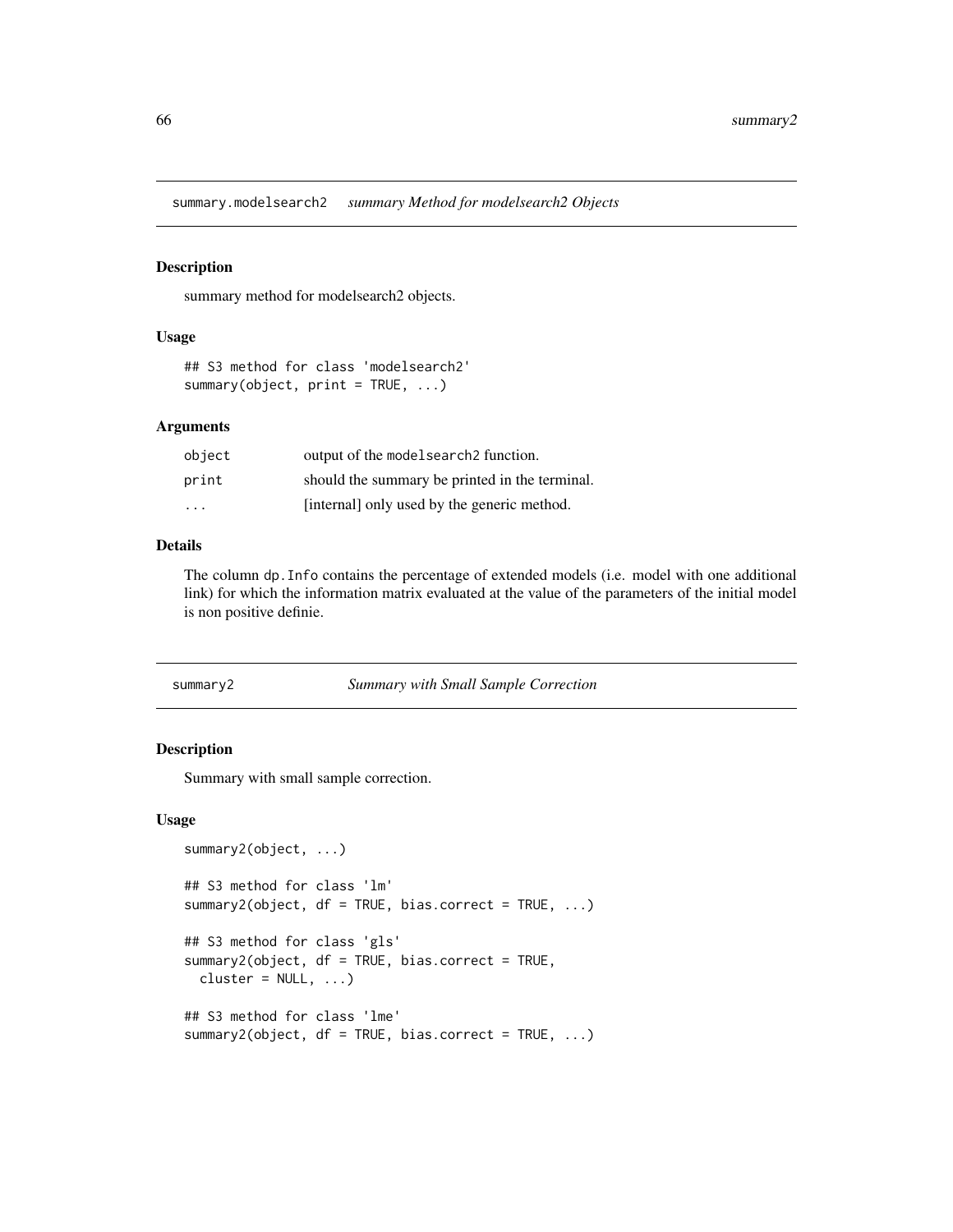<span id="page-65-1"></span>summary.modelsearch2 *summary Method for modelsearch2 Objects*

#### Description

summary method for modelsearch2 objects.

## Usage

```
## S3 method for class 'modelsearch2'
summary(object, print = TRUE, ...)
```
# Arguments

| object | output of the model search 2 function.         |
|--------|------------------------------------------------|
| print  | should the summary be printed in the terminal. |
| .      | [internal] only used by the generic method.    |

## Details

The column dp.Info contains the percentage of extended models (i.e. model with one additional link) for which the information matrix evaluated at the value of the parameters of the initial model is non positive definie.

#### <span id="page-65-0"></span>summary2 *Summary with Small Sample Correction*

## Description

Summary with small sample correction.

#### Usage

```
summary2(object, ...)
## S3 method for class 'lm'
summary2(object, df = TRUE, bias.correct = TRUE, ...)
## S3 method for class 'gls'
summary2(object, df = TRUE, bias.correct = TRUE,
 cluster = NULL, ...)## S3 method for class 'lme'
summary2(object, df = TRUE, bias.correct = TRUE, ...)
```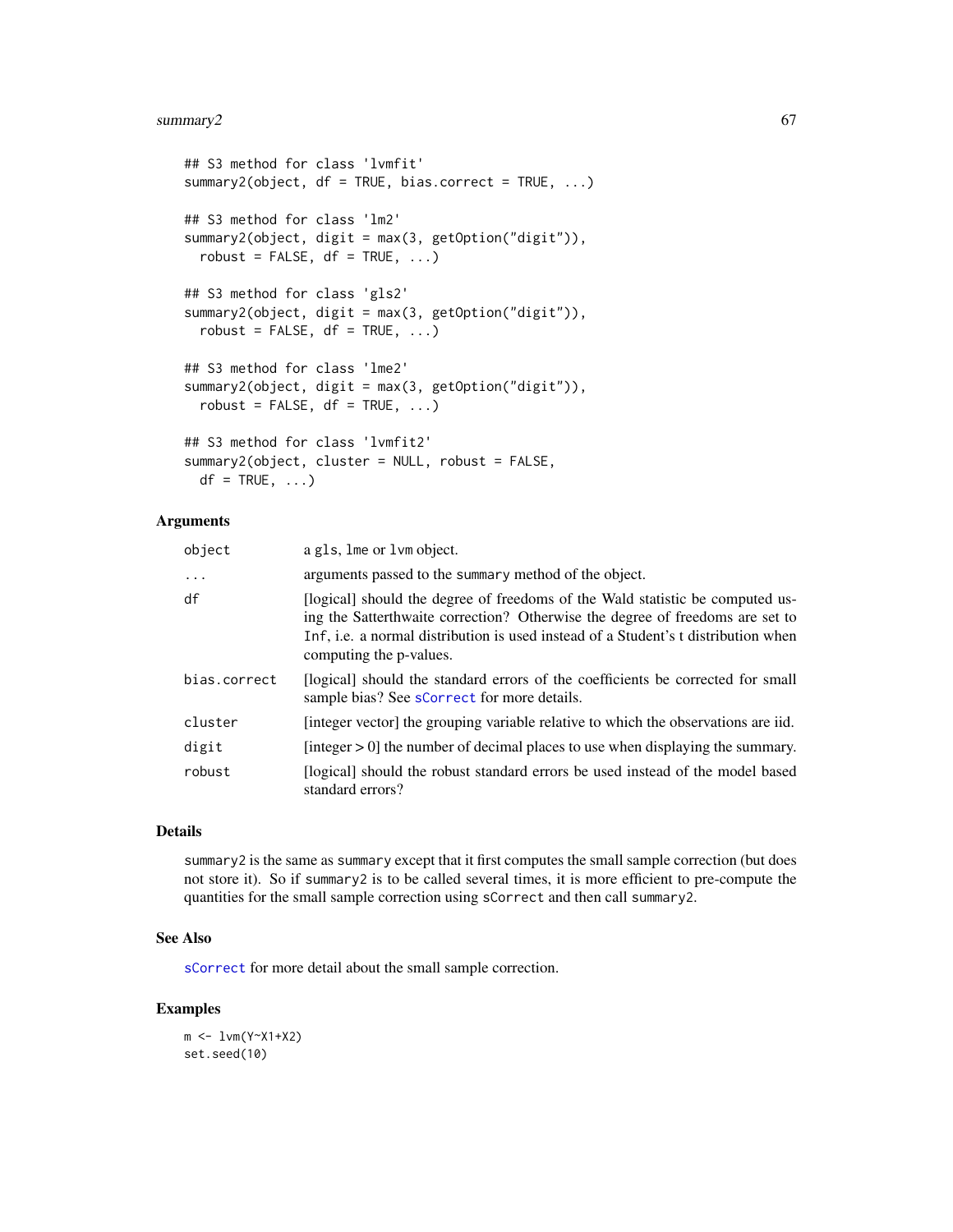# <span id="page-66-0"></span>summary2 67

```
## S3 method for class 'lvmfit'
summary2(object, df = TRUE, bias.correct = TRUE, ...)
## S3 method for class 'lm2'
summary2(object, digit = max(3, getOption("digit")),
  robust = FALSE, df = TRUE, ...## S3 method for class 'gls2'
summary2(object, digit = max(3, getOption("digit")),
 robust = FALSE, df = TRUE, ...## S3 method for class 'lme2'
summary2(object, digit = max(3, getOption("digit")),
 robust = FALSE, df = TRUE, ...## S3 method for class 'lvmfit2'
summary2(object, cluster = NULL, robust = FALSE,
 df = TRUE, ...
```
# Arguments

| object       | a gls, lme or lvm object.                                                                                                                                                                                                                                                       |
|--------------|---------------------------------------------------------------------------------------------------------------------------------------------------------------------------------------------------------------------------------------------------------------------------------|
| $\ddots$     | arguments passed to the summary method of the object.                                                                                                                                                                                                                           |
| df           | [logical] should the degree of freedoms of the Wald statistic be computed us-<br>ing the Satterthwaite correction? Otherwise the degree of freedoms are set to<br>Inf, i.e. a normal distribution is used instead of a Student's t distribution when<br>computing the p-values. |
| bias.correct | [logical] should the standard errors of the coefficients be corrected for small<br>sample bias? See sCorrect for more details.                                                                                                                                                  |
| cluster      | [integer vector] the grouping variable relative to which the observations are iid.                                                                                                                                                                                              |
| digit        | [integer $> 0$ ] the number of decimal places to use when displaying the summary.                                                                                                                                                                                               |
| robust       | [logical] should the robust standard errors be used instead of the model based<br>standard errors?                                                                                                                                                                              |

# Details

summary2 is the same as summary except that it first computes the small sample correction (but does not store it). So if summary2 is to be called several times, it is more efficient to pre-compute the quantities for the small sample correction using sCorrect and then call summary2.

## See Also

[sCorrect](#page-60-0) for more detail about the small sample correction.

```
m <- lvm(Y~X1+X2)
set.seed(10)
```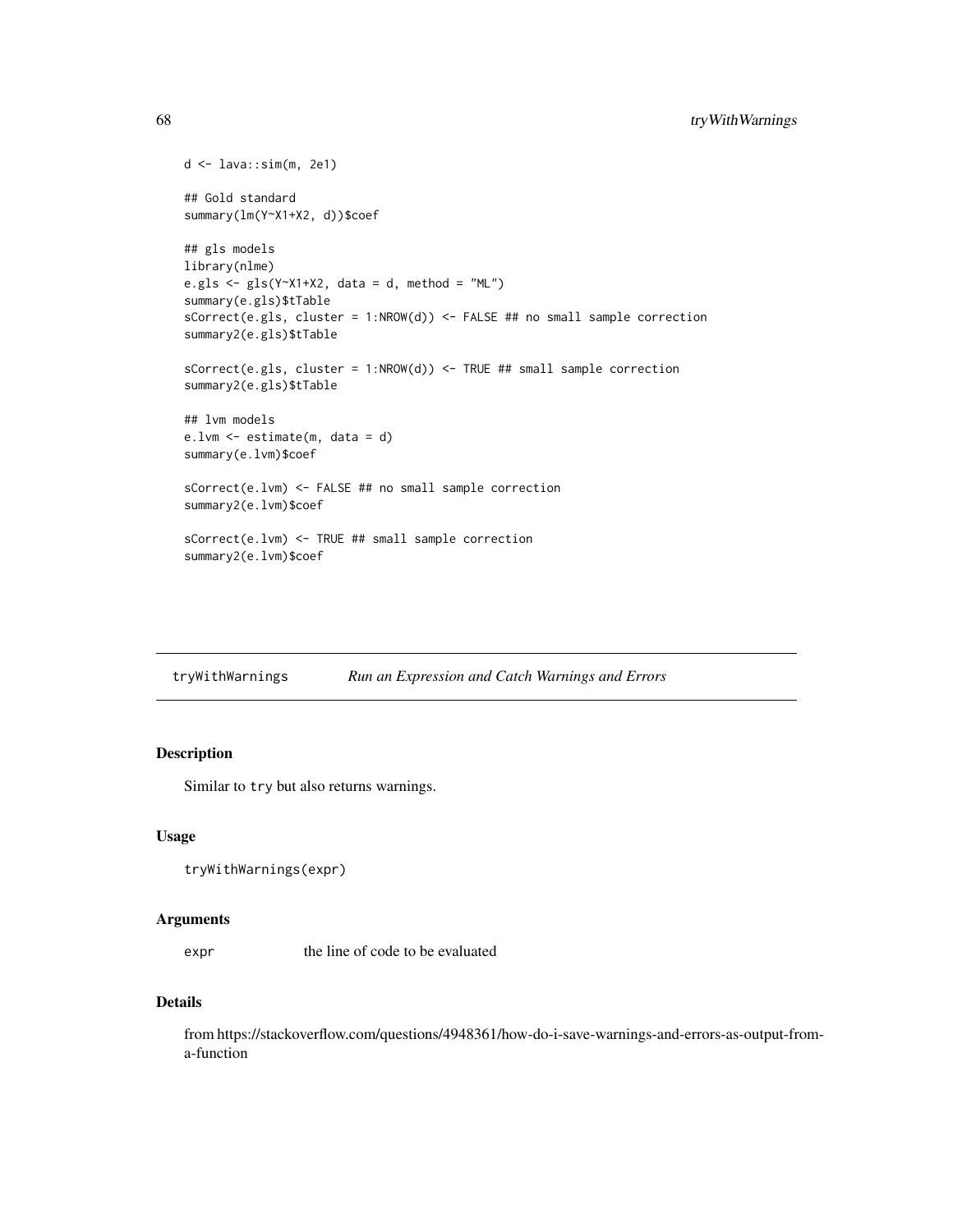```
d <- lava::sim(m, 2e1)
## Gold standard
summary(lm(Y~X1+X2, d))$coef
## gls models
library(nlme)
e.gls <- gls(Y^*X1+X2, data = d, method = "ML")summary(e.gls)$tTable
sCorrect(e.gls, cluster = 1:NROW(d)) \leq FALSE ## no small sample correctionsummary2(e.gls)$tTable
sCorrect(e.gls, cluster = 1:NROW(d)) <- TRUE ## small sample correction
summary2(e.gls)$tTable
## lvm models
e.lvm <- estimate(m, data = d)
summary(e.lvm)$coef
sCorrect(e.lvm) <- FALSE ## no small sample correction
summary2(e.lvm)$coef
sCorrect(e.lvm) <- TRUE ## small sample correction
summary2(e.lvm)$coef
```
tryWithWarnings *Run an Expression and Catch Warnings and Errors*

# Description

Similar to try but also returns warnings.

## Usage

```
tryWithWarnings(expr)
```
#### Arguments

expr the line of code to be evaluated

## Details

from https://stackoverflow.com/questions/4948361/how-do-i-save-warnings-and-errors-as-output-froma-function

<span id="page-67-0"></span>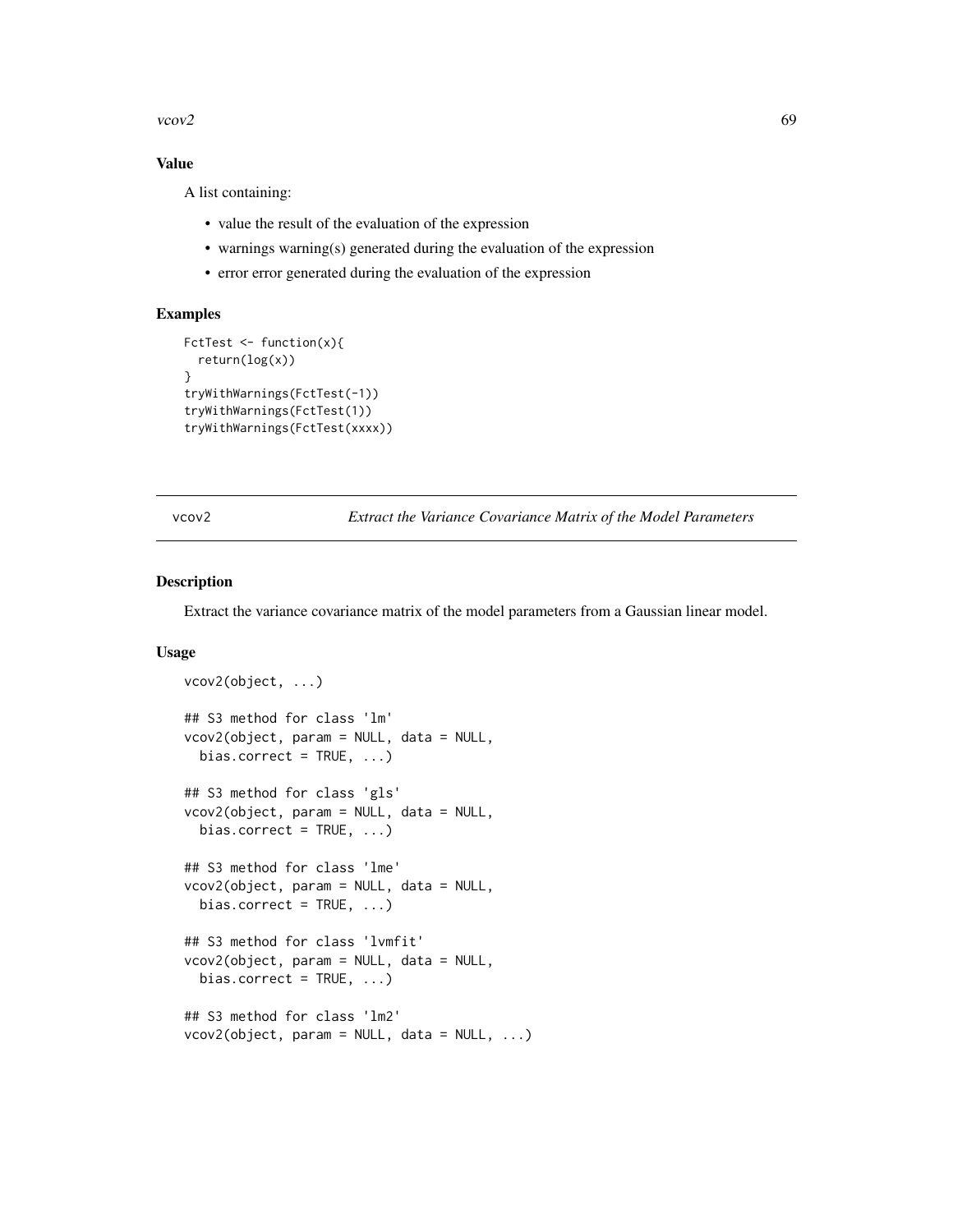<span id="page-68-0"></span> $vcov2$  69

# Value

A list containing:

- value the result of the evaluation of the expression
- warnings warning(s) generated during the evaluation of the expression
- error error generated during the evaluation of the expression

## Examples

```
FctTest <- function(x){
  return(log(x))
}
tryWithWarnings(FctTest(-1))
tryWithWarnings(FctTest(1))
tryWithWarnings(FctTest(xxxx))
```
vcov2 *Extract the Variance Covariance Matrix of the Model Parameters*

# Description

Extract the variance covariance matrix of the model parameters from a Gaussian linear model.

## Usage

```
vcov2(object, ...)
## S3 method for class 'lm'
vcov2(object, param = NULL, data = NULL,
  bias.correct = TRUE, \ldots)
## S3 method for class 'gls'
vcov2(object, param = NULL, data = NULL,
  bias.correct = TRUE, ...)
## S3 method for class 'lme'
vcov2(object, param = NULL, data = NULL,
  bias.correct = TRUE, ...)
## S3 method for class 'lvmfit'
vcov2(object, param = NULL, data = NULL,
  bias.correct = TRUE, ...)
## S3 method for class 'lm2'
vcov2(object, param = NULL, data = NULL, ...)
```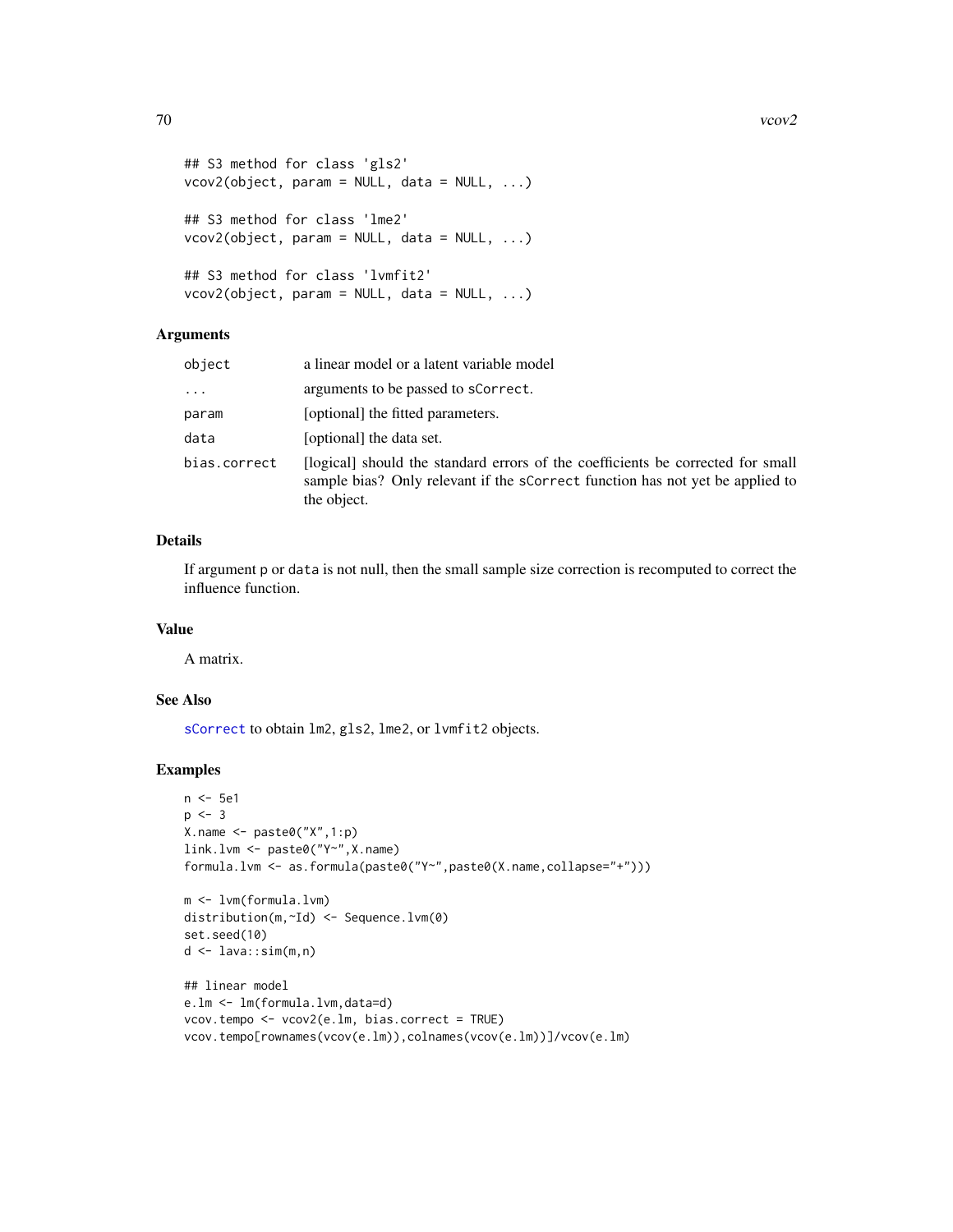<span id="page-69-0"></span> $70$  vcov2

```
## S3 method for class 'gls2'
vcov2(object, param = NULL, data = NULL, ...)
## S3 method for class 'lme2'
vcov2(object, param = NULL, data = NULL, ...)
## S3 method for class 'lvmfit2'
vcov2(object, param = NULL, data = NULL, ...)
```
# Arguments

| object       | a linear model or a latent variable model                                                                                                                                       |
|--------------|---------------------------------------------------------------------------------------------------------------------------------------------------------------------------------|
| $\cdots$     | arguments to be passed to scorrect.                                                                                                                                             |
| param        | [optional] the fitted parameters.                                                                                                                                               |
| data         | [optional] the data set.                                                                                                                                                        |
| bias.correct | [logical] should the standard errors of the coefficients be corrected for small<br>sample bias? Only relevant if the scorrect function has not yet be applied to<br>the object. |

# Details

If argument p or data is not null, then the small sample size correction is recomputed to correct the influence function.

# Value

A matrix.

# See Also

[sCorrect](#page-60-0) to obtain lm2, gls2, lme2, or lvmfit2 objects.

```
n <- 5e1
p \le -3X.name <- paste0("X",1:p)
link.lvm <- paste0("Y~",X.name)
formula.lvm <- as.formula(paste0("Y~",paste0(X.name,collapse="+")))
m <- lvm(formula.lvm)
distribution(m,~Id) <- Sequence.lvm(0)
set.seed(10)
d <- lava::sim(m,n)
## linear model
e.lm <- lm(formula.lvm,data=d)
vcov.tempo <- vcov2(e.lm, bias.correct = TRUE)
```

```
vcov.tempo[rownames(vcov(e.lm)),colnames(vcov(e.lm))]/vcov(e.lm)
```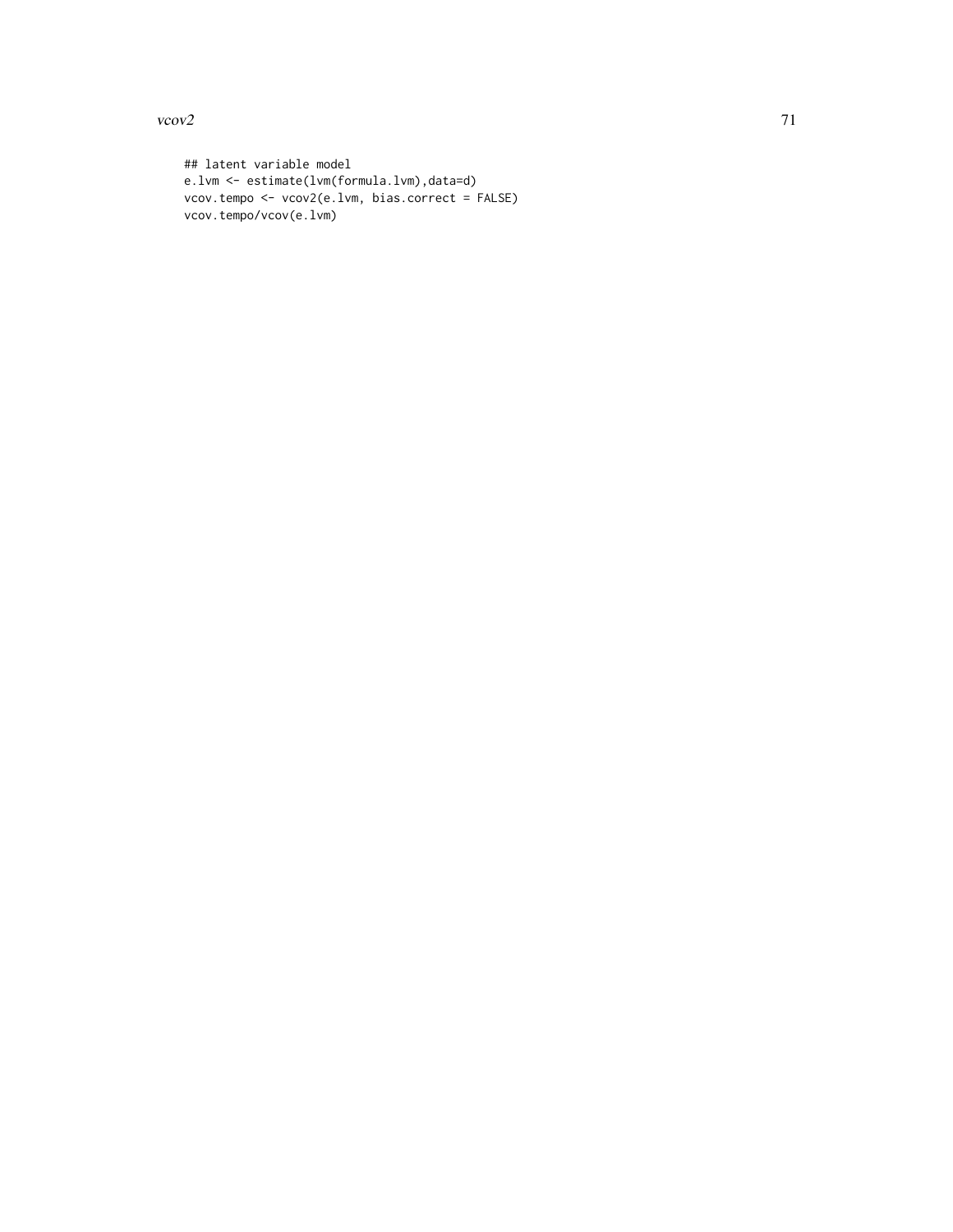$vcov2$  71

## latent variable model e.lvm <- estimate(lvm(formula.lvm),data=d) vcov.tempo <- vcov2(e.lvm, bias.correct = FALSE) vcov.tempo/vcov(e.lvm)